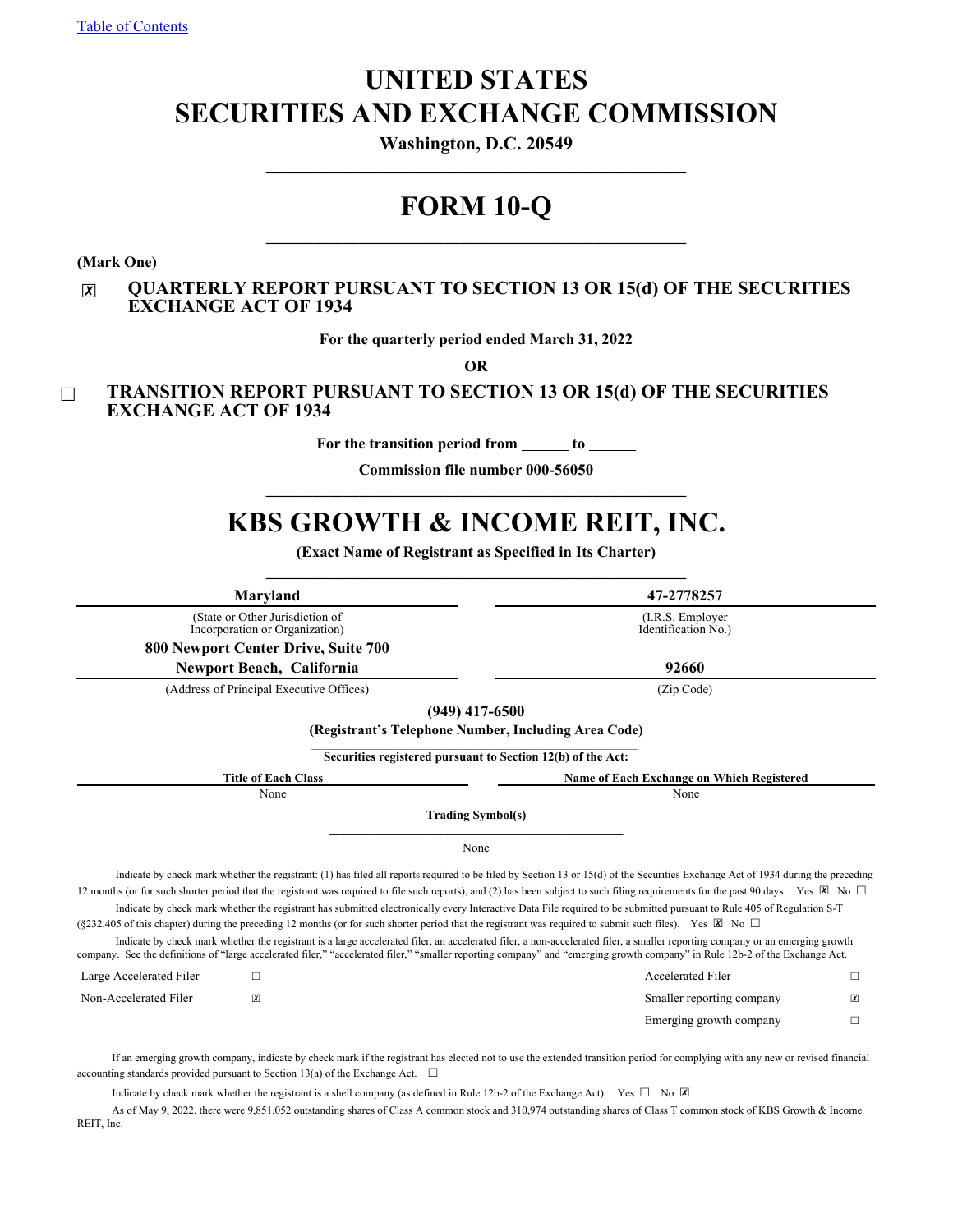# **UNITED STATES SECURITIES AND EXCHANGE COMMISSION**

**Washington, D.C. 20549**

# **FORM 10-Q**

**(Mark One)**

# ☒ **QUARTERLY REPORT PURSUANT TO SECTION 13 OR 15(d) OF THE SECURITIES EXCHANGE ACT OF 1934**

**For the quarterly period ended March 31, 2022**

**OR**

# ☐ **TRANSITION REPORT PURSUANT TO SECTION 13 OR 15(d) OF THE SECURITIES EXCHANGE ACT OF 1934**

For the transition period from \_\_\_\_\_\_ to \_

**Commission file number 000-56050**  $\mathcal{L} = \{ \mathcal{L} \mathcal{L} \mathcal{L} \mathcal{L} \mathcal{L} \mathcal{L} \mathcal{L} \mathcal{L} \mathcal{L} \mathcal{L} \mathcal{L} \mathcal{L} \mathcal{L} \mathcal{L} \mathcal{L} \mathcal{L} \mathcal{L} \mathcal{L} \mathcal{L} \mathcal{L} \mathcal{L} \mathcal{L} \mathcal{L} \mathcal{L} \mathcal{L} \mathcal{L} \mathcal{L} \mathcal{L} \mathcal{L} \mathcal{L} \mathcal{L} \mathcal{L} \mathcal{L} \mathcal{L} \mathcal{L} \$ 

# **KBS GROWTH & INCOME REIT, INC.**

**(Exact Name of Registrant as Specified in Its Charter)**

| Maryland                                                                                                                                                                      |                                                             | 47-2778257                                                                                                                                                                                                                                                                                                                                                   |                 |  |  |  |  |  |
|-------------------------------------------------------------------------------------------------------------------------------------------------------------------------------|-------------------------------------------------------------|--------------------------------------------------------------------------------------------------------------------------------------------------------------------------------------------------------------------------------------------------------------------------------------------------------------------------------------------------------------|-----------------|--|--|--|--|--|
| (State or Other Jurisdiction of<br>Incorporation or Organization)                                                                                                             |                                                             | (I.R.S. Employer<br>Identification No.)                                                                                                                                                                                                                                                                                                                      |                 |  |  |  |  |  |
| 800 Newport Center Drive, Suite 700                                                                                                                                           |                                                             |                                                                                                                                                                                                                                                                                                                                                              |                 |  |  |  |  |  |
| Newport Beach, California                                                                                                                                                     |                                                             | 92660                                                                                                                                                                                                                                                                                                                                                        |                 |  |  |  |  |  |
| (Address of Principal Executive Offices)                                                                                                                                      |                                                             | (Zip Code)                                                                                                                                                                                                                                                                                                                                                   |                 |  |  |  |  |  |
|                                                                                                                                                                               | $(949)$ 417-6500                                            |                                                                                                                                                                                                                                                                                                                                                              |                 |  |  |  |  |  |
|                                                                                                                                                                               | (Registrant's Telephone Number, Including Area Code)        |                                                                                                                                                                                                                                                                                                                                                              |                 |  |  |  |  |  |
|                                                                                                                                                                               | Securities registered pursuant to Section 12(b) of the Act: |                                                                                                                                                                                                                                                                                                                                                              |                 |  |  |  |  |  |
| <b>Title of Each Class</b>                                                                                                                                                    |                                                             | <b>Name of Each Exchange on Which Registered</b>                                                                                                                                                                                                                                                                                                             |                 |  |  |  |  |  |
| None                                                                                                                                                                          |                                                             | None                                                                                                                                                                                                                                                                                                                                                         |                 |  |  |  |  |  |
|                                                                                                                                                                               | <b>Trading Symbol(s)</b>                                    |                                                                                                                                                                                                                                                                                                                                                              |                 |  |  |  |  |  |
|                                                                                                                                                                               | None                                                        |                                                                                                                                                                                                                                                                                                                                                              |                 |  |  |  |  |  |
|                                                                                                                                                                               |                                                             | Indicate by check mark whether the registrant: (1) has filed all reports required to be filed by Section 13 or 15(d) of the Securities Exchange Act of 1934 during the preceding                                                                                                                                                                             |                 |  |  |  |  |  |
|                                                                                                                                                                               |                                                             | 12 months (or for such shorter period that the registrant was required to file such reports), and (2) has been subject to such filing requirements for the past 90 days. Yes $[2]$ No $\Box$                                                                                                                                                                 |                 |  |  |  |  |  |
|                                                                                                                                                                               |                                                             | Indicate by check mark whether the registrant has submitted electronically every Interactive Data File required to be submitted pursuant to Rule 405 of Regulation S-T                                                                                                                                                                                       |                 |  |  |  |  |  |
| (§232.405 of this chapter) during the preceding 12 months (or for such shorter period that the registrant was required to submit such files). Yes $[\mathbb{X}]$ No $\square$ |                                                             |                                                                                                                                                                                                                                                                                                                                                              |                 |  |  |  |  |  |
|                                                                                                                                                                               |                                                             | Indicate by check mark whether the registrant is a large accelerated filer, an accelerated filer, a non-accelerated filer, a smaller reporting company or an emerging growth<br>company. See the definitions of "large accelerated filer," "accelerated filer," "smaller reporting company" and "emerging growth company" in Rule 12b-2 of the Exchange Act. |                 |  |  |  |  |  |
| Large Accelerated Filer<br>п                                                                                                                                                  |                                                             | <b>Accelerated Filer</b><br>$\Box$                                                                                                                                                                                                                                                                                                                           |                 |  |  |  |  |  |
| Non-Accelerated Filer<br>$\vert x \vert$                                                                                                                                      |                                                             | Smaller reporting company                                                                                                                                                                                                                                                                                                                                    | $\vert x \vert$ |  |  |  |  |  |
|                                                                                                                                                                               |                                                             | Emerging growth company<br>$\Box$                                                                                                                                                                                                                                                                                                                            |                 |  |  |  |  |  |
|                                                                                                                                                                               |                                                             |                                                                                                                                                                                                                                                                                                                                                              |                 |  |  |  |  |  |

If an emerging growth company, indicate by check mark if the registrant has elected not to use the extended transition period for complying with any new or revised financial accounting standards provided pursuant to Section 13(a) of the Exchange Act.  $\Box$ 

Indicate by check mark whether the registrant is a shell company (as defined in Rule 12b-2 of the Exchange Act). Yes  $\Box$  No  $\Box$ 

As of May 9, 2022, there were 9,851,052 outstanding shares of Class A common stock and 310,974 outstanding shares of Class T common stock of KBS Growth & Income REIT, Inc.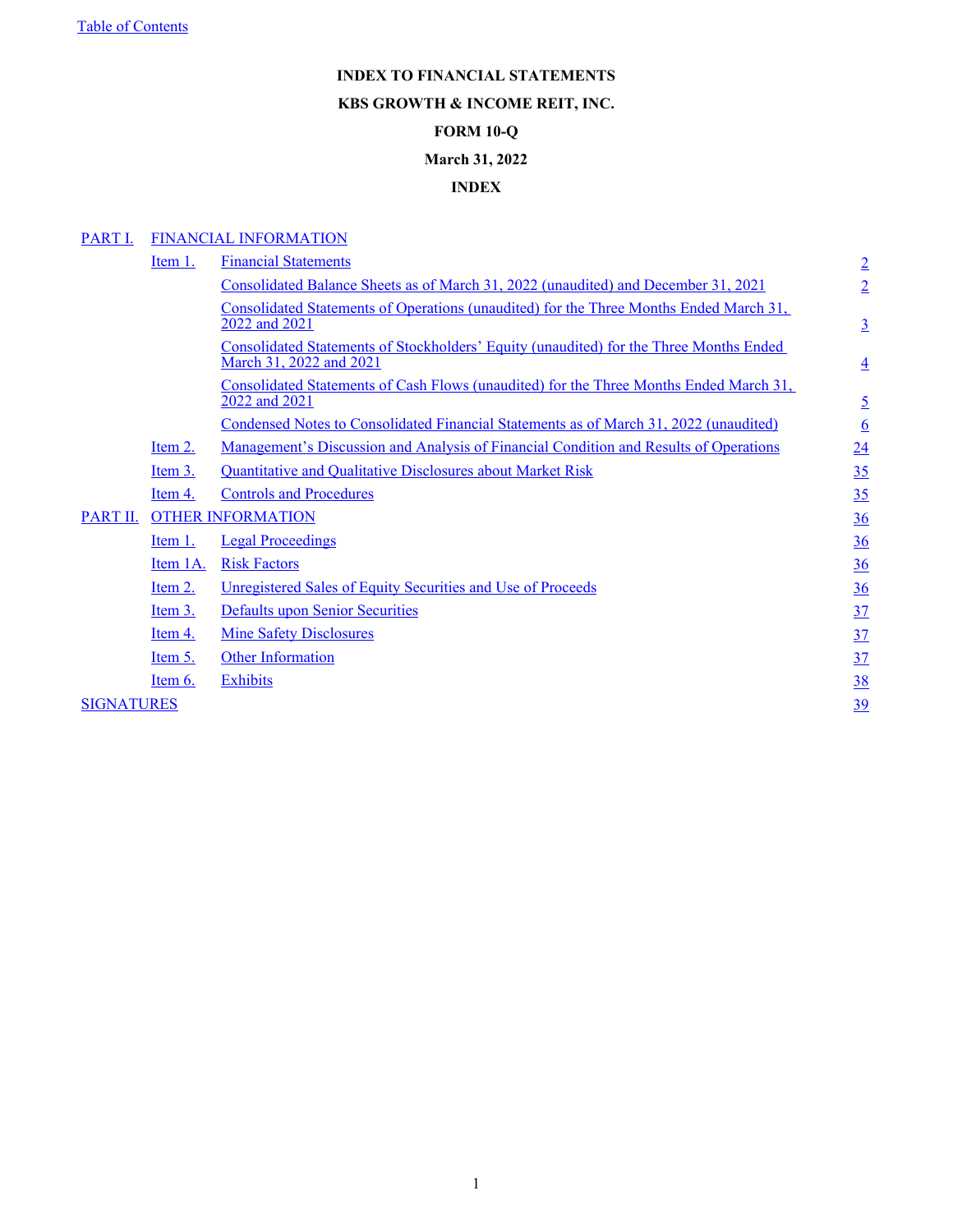# **INDEX TO FINANCIAL STATEMENTS KBS GROWTH & INCOME REIT, INC. FORM 10-Q March 31, 2022**

# **INDEX**

# <span id="page-1-0"></span>[PART I.](#page-2-0) [FINANCIAL INFORMATION](#page-2-0)

|                   | Item 1.   | <b>Financial Statements</b>                                                                                       | $\overline{2}$  |
|-------------------|-----------|-------------------------------------------------------------------------------------------------------------------|-----------------|
|                   |           | Consolidated Balance Sheets as of March 31, 2022 (unaudited) and December 31, 2021                                | $\overline{2}$  |
|                   |           | Consolidated Statements of Operations (unaudited) for the Three Months Ended March 31,<br>2022 and 2021           | $\overline{3}$  |
|                   |           | Consolidated Statements of Stockholders' Equity (unaudited) for the Three Months Ended<br>March 31, 2022 and 2021 | $\overline{4}$  |
|                   |           | Consolidated Statements of Cash Flows (unaudited) for the Three Months Ended March 31,<br>2022 and 2021           | $\overline{2}$  |
|                   |           | Condensed Notes to Consolidated Financial Statements as of March 31, 2022 (unaudited)                             | $6\overline{6}$ |
|                   | Item 2.   | Management's Discussion and Analysis of Financial Condition and Results of Operations                             | 24              |
|                   | Item $3.$ | Quantitative and Qualitative Disclosures about Market Risk                                                        | 35              |
|                   | Item 4.   | <b>Controls and Procedures</b>                                                                                    | 35              |
| PART II.          |           | <b>OTHER INFORMATION</b>                                                                                          | 36              |
|                   | Item 1.   | <b>Legal Proceedings</b>                                                                                          | 36              |
|                   | Item 1A.  | <b>Risk Factors</b>                                                                                               | 36              |
|                   | Item 2.   | Unregistered Sales of Equity Securities and Use of Proceeds                                                       | 36              |
|                   | Item 3.   | <b>Defaults upon Senior Securities</b>                                                                            | 37              |
|                   | Item 4.   | <b>Mine Safety Disclosures</b>                                                                                    | 37              |
|                   | Item 5.   | <b>Other Information</b>                                                                                          | 37              |
|                   | Item 6.   | <b>Exhibits</b>                                                                                                   | <u>38</u>       |
| <b>SIGNATURES</b> |           |                                                                                                                   | 39              |
|                   |           |                                                                                                                   |                 |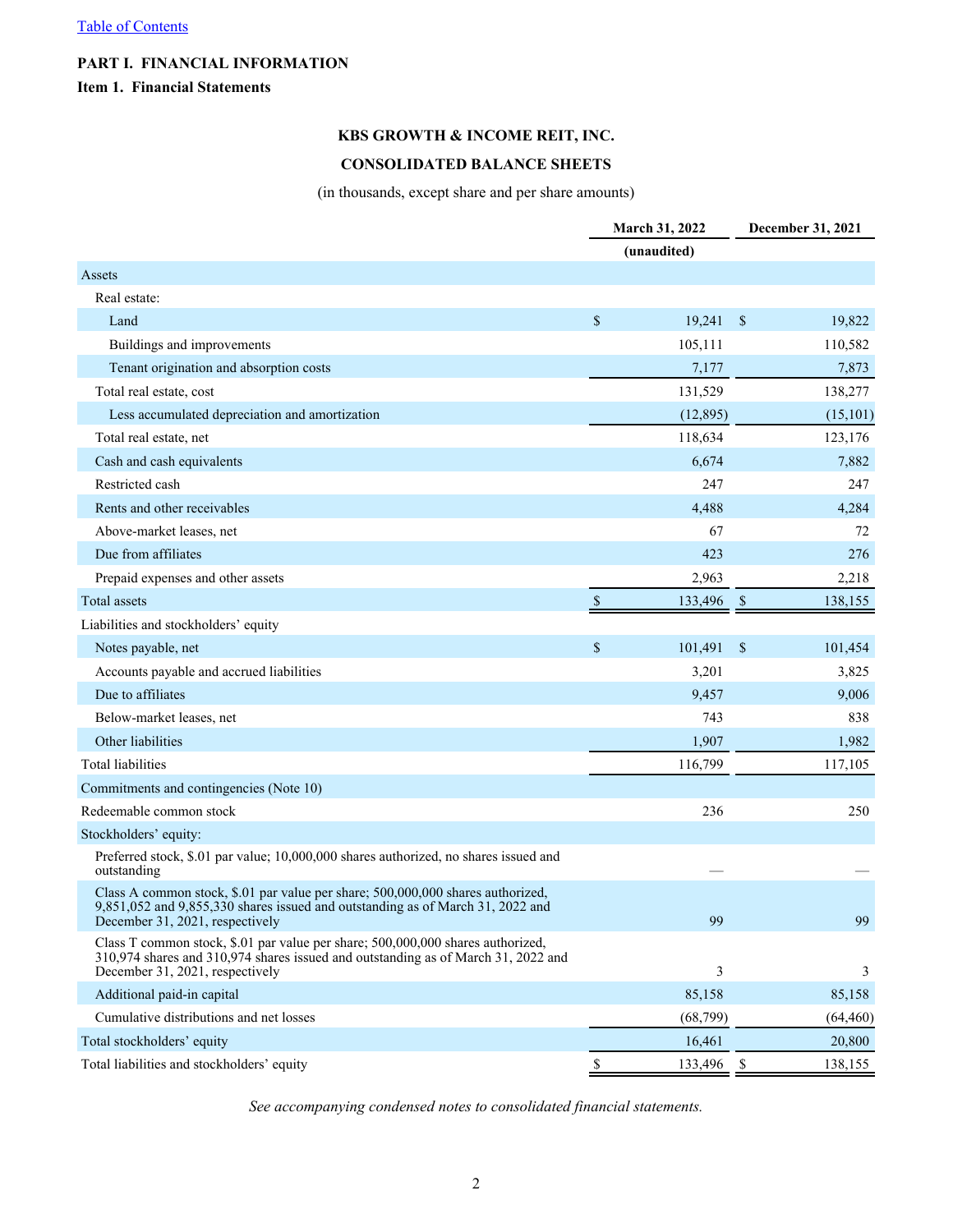# <span id="page-2-0"></span>**PART I. FINANCIAL INFORMATION**

### **Item 1. Financial Statements**

# **KBS GROWTH & INCOME REIT, INC.**

### **CONSOLIDATED BALANCE SHEETS**

(in thousands, except share and per share amounts)

|                                                                                                                                                                                                         |             | March 31, 2022 | December 31, 2021 |           |  |  |
|---------------------------------------------------------------------------------------------------------------------------------------------------------------------------------------------------------|-------------|----------------|-------------------|-----------|--|--|
|                                                                                                                                                                                                         |             | (unaudited)    |                   |           |  |  |
| Assets                                                                                                                                                                                                  |             |                |                   |           |  |  |
| Real estate:                                                                                                                                                                                            |             |                |                   |           |  |  |
| Land                                                                                                                                                                                                    | \$          | 19,241         | $\mathcal{S}$     | 19,822    |  |  |
| Buildings and improvements                                                                                                                                                                              |             | 105,111        |                   | 110,582   |  |  |
| Tenant origination and absorption costs                                                                                                                                                                 |             | 7,177          |                   | 7,873     |  |  |
| Total real estate, cost                                                                                                                                                                                 |             | 131,529        |                   | 138,277   |  |  |
| Less accumulated depreciation and amortization                                                                                                                                                          |             | (12,895)       |                   | (15, 101) |  |  |
| Total real estate, net                                                                                                                                                                                  |             | 118,634        |                   | 123,176   |  |  |
| Cash and cash equivalents                                                                                                                                                                               |             | 6,674          |                   | 7,882     |  |  |
| Restricted cash                                                                                                                                                                                         |             | 247            |                   | 247       |  |  |
| Rents and other receivables                                                                                                                                                                             |             | 4,488          |                   | 4,284     |  |  |
| Above-market leases, net                                                                                                                                                                                |             | 67             |                   | 72        |  |  |
| Due from affiliates                                                                                                                                                                                     |             | 423            |                   | 276       |  |  |
| Prepaid expenses and other assets                                                                                                                                                                       |             | 2,963          |                   | 2,218     |  |  |
| <b>Total assets</b>                                                                                                                                                                                     | \$          | 133,496        | \$                | 138,155   |  |  |
| Liabilities and stockholders' equity                                                                                                                                                                    |             |                |                   |           |  |  |
| Notes payable, net                                                                                                                                                                                      | $\mathbf S$ | 101,491        | \$                | 101,454   |  |  |
| Accounts payable and accrued liabilities                                                                                                                                                                |             | 3,201          |                   | 3,825     |  |  |
| Due to affiliates                                                                                                                                                                                       |             | 9,457          |                   | 9,006     |  |  |
| Below-market leases, net                                                                                                                                                                                |             | 743            |                   | 838       |  |  |
| Other liabilities                                                                                                                                                                                       |             | 1,907          |                   | 1,982     |  |  |
| Total liabilities                                                                                                                                                                                       |             | 116,799        |                   | 117,105   |  |  |
| Commitments and contingencies (Note 10)                                                                                                                                                                 |             |                |                   |           |  |  |
| Redeemable common stock                                                                                                                                                                                 |             | 236            |                   | 250       |  |  |
| Stockholders' equity:                                                                                                                                                                                   |             |                |                   |           |  |  |
| Preferred stock, \$.01 par value; 10,000,000 shares authorized, no shares issued and<br>outstanding                                                                                                     |             |                |                   |           |  |  |
| Class A common stock, \$.01 par value per share; 500,000,000 shares authorized,<br>9,851,052 and 9,855,330 shares issued and outstanding as of March 31, 2022 and<br>December 31, 2021, respectively    |             | 99             |                   | 99        |  |  |
| Class T common stock, \$.01 par value per share; 500,000,000 shares authorized,<br>310,974 shares and 310,974 shares issued and outstanding as of March 31, 2022 and<br>December 31, 2021, respectively |             | 3              |                   | 3         |  |  |
| Additional paid-in capital                                                                                                                                                                              |             | 85,158         |                   | 85,158    |  |  |
| Cumulative distributions and net losses                                                                                                                                                                 |             | (68, 799)      |                   | (64, 460) |  |  |
| Total stockholders' equity                                                                                                                                                                              |             | 16,461         |                   | 20,800    |  |  |
| Total liabilities and stockholders' equity                                                                                                                                                              | \$          | 133,496        | \$                | 138,155   |  |  |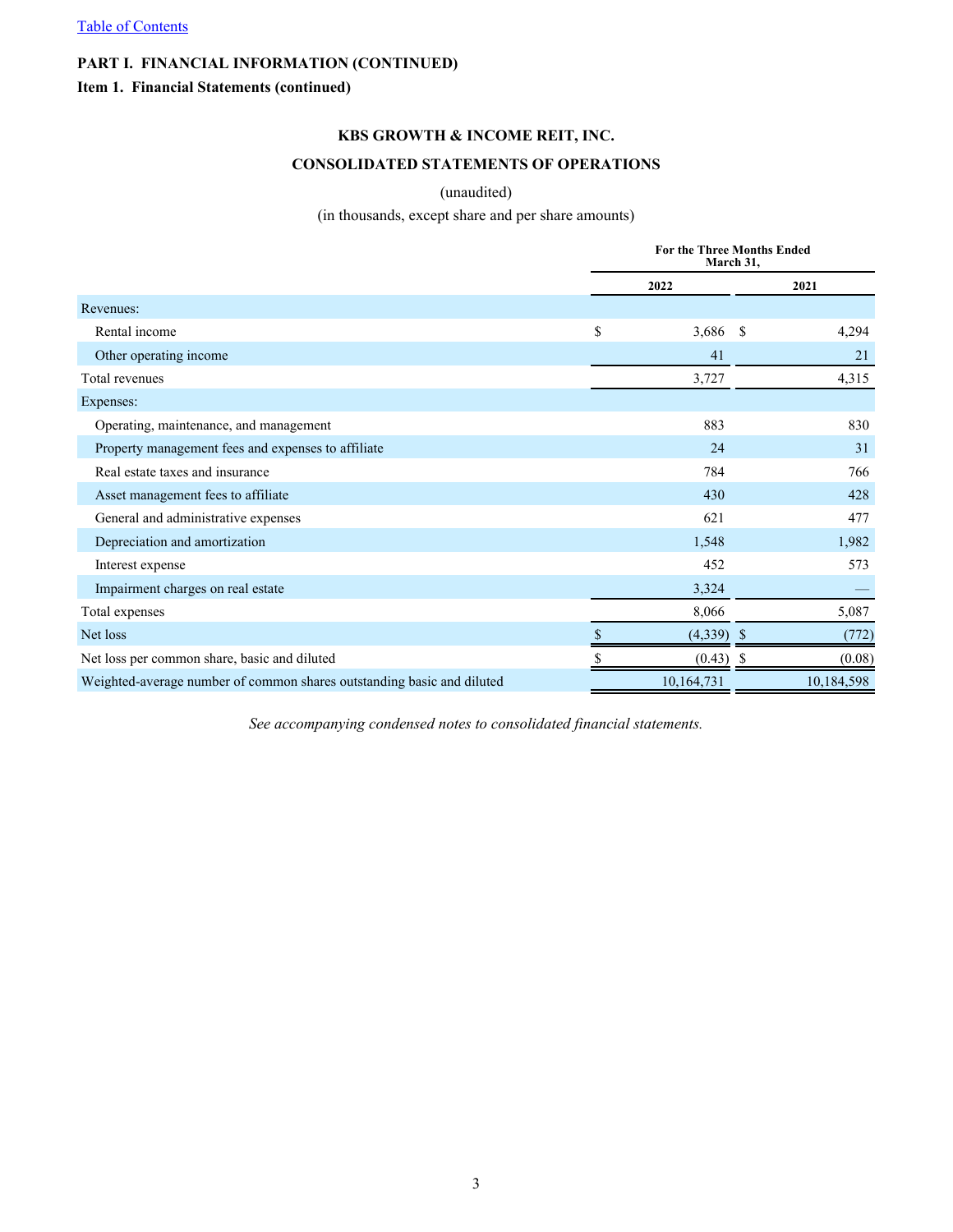<span id="page-3-0"></span>**Item 1. Financial Statements (continued)**

# **KBS GROWTH & INCOME REIT, INC.**

# **CONSOLIDATED STATEMENTS OF OPERATIONS**

#### (unaudited)

(in thousands, except share and per share amounts)

|                                                                        | <b>For the Three Months Ended</b><br>March 31, |    |            |  |  |  |  |  |
|------------------------------------------------------------------------|------------------------------------------------|----|------------|--|--|--|--|--|
|                                                                        | 2022                                           |    | 2021       |  |  |  |  |  |
| Revenues:                                                              |                                                |    |            |  |  |  |  |  |
| Rental income                                                          | \$<br>3,686                                    | -S | 4,294      |  |  |  |  |  |
| Other operating income                                                 | 41                                             |    | 21         |  |  |  |  |  |
| Total revenues                                                         | 3,727                                          |    | 4,315      |  |  |  |  |  |
| Expenses:                                                              |                                                |    |            |  |  |  |  |  |
| Operating, maintenance, and management                                 | 883                                            |    | 830        |  |  |  |  |  |
| Property management fees and expenses to affiliate                     | 24                                             |    | 31         |  |  |  |  |  |
| Real estate taxes and insurance                                        | 784                                            |    | 766        |  |  |  |  |  |
| Asset management fees to affiliate                                     | 430                                            |    | 428        |  |  |  |  |  |
| General and administrative expenses                                    | 621                                            |    | 477        |  |  |  |  |  |
| Depreciation and amortization                                          | 1,548                                          |    | 1,982      |  |  |  |  |  |
| Interest expense                                                       | 452                                            |    | 573        |  |  |  |  |  |
| Impairment charges on real estate                                      | 3,324                                          |    |            |  |  |  |  |  |
| Total expenses                                                         | 8,066                                          |    | 5,087      |  |  |  |  |  |
| Net loss                                                               | $(4,339)$ \$                                   |    | (772)      |  |  |  |  |  |
| Net loss per common share, basic and diluted                           | $(0.43)$ \$                                    |    | (0.08)     |  |  |  |  |  |
| Weighted-average number of common shares outstanding basic and diluted | 10,164,731                                     |    | 10,184,598 |  |  |  |  |  |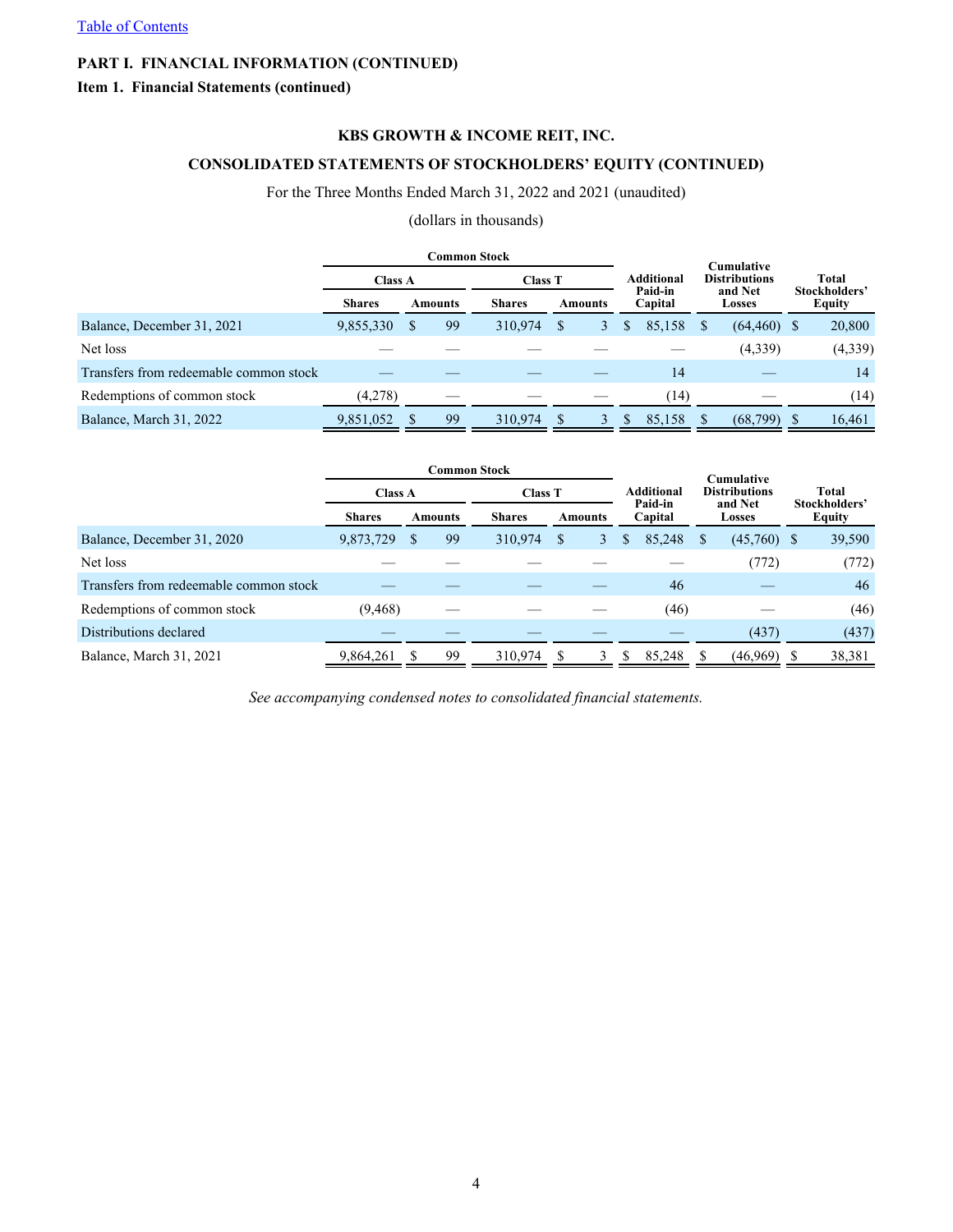# <span id="page-4-0"></span>**Item 1. Financial Statements (continued)**

### **KBS GROWTH & INCOME REIT, INC.**

# **CONSOLIDATED STATEMENTS OF STOCKHOLDERS' EQUITY (CONTINUED)**

#### For the Three Months Ended March 31, 2022 and 2021 (unaudited)

#### (dollars in thousands)

|                                        |                                 | Common Stock |               |                |                | <b>Cumulative</b>  |   |                   |    |                                 |       |         |
|----------------------------------------|---------------------------------|--------------|---------------|----------------|----------------|--------------------|---|-------------------|----|---------------------------------|-------|---------|
|                                        | <b>Class A</b>                  |              |               |                | <b>Class T</b> |                    |   | <b>Additional</b> |    | <b>Distributions</b><br>and Net | Total |         |
|                                        | <b>Shares</b><br><b>Amounts</b> |              | <b>Shares</b> | <b>Amounts</b> |                | Paid-in<br>Capital |   | Losses            |    | Stockholders'<br><b>Equity</b>  |       |         |
| Balance, December 31, 2021             | 9,855,330                       |              | 99            | 310,974        | S              | 3.                 | S | 85,158            | -8 | (64, 460)                       | S     | 20,800  |
| Net loss                               |                                 |              |               |                |                |                    |   |                   |    | (4,339)                         |       | (4,339) |
| Transfers from redeemable common stock |                                 |              |               |                |                |                    |   | 14                |    |                                 |       | 14      |
| Redemptions of common stock            | (4,278)                         |              |               |                |                |                    |   | (14)              |    |                                 |       | (14)    |
| Balance, March 31, 2022                | 9,851,052                       |              | 99            | 310,974        |                |                    |   | 85,158            |    | (68, 799)                       |       | 16,461  |

|                                        |                | <b>Common Stock</b> |    |               |                | <b>Cumulative</b> |                           |                              |        |                                 |                        |        |
|----------------------------------------|----------------|---------------------|----|---------------|----------------|-------------------|---------------------------|------------------------------|--------|---------------------------------|------------------------|--------|
|                                        | <b>Class A</b> |                     |    |               | <b>Class T</b> |                   |                           | <b>Additional</b><br>Paid-in |        | <b>Distributions</b><br>and Net | Total<br>Stockholders' |        |
|                                        | <b>Shares</b>  | Amounts             |    | <b>Shares</b> |                |                   | Capital<br><b>Amounts</b> |                              | Losses |                                 | <b>Equity</b>          |        |
| Balance, December 31, 2020             | 9,873,729      |                     | 99 | 310,974       | S              | 3                 | S                         | 85,248                       | \$.    | (45,760)                        | S                      | 39,590 |
| Net loss                               |                |                     |    |               |                |                   |                           |                              |        | (772)                           |                        | (772)  |
| Transfers from redeemable common stock |                |                     |    |               |                |                   |                           | 46                           |        |                                 |                        | 46     |
| Redemptions of common stock            | (9, 468)       |                     |    |               |                |                   |                           | (46)                         |        |                                 |                        | (46)   |
| Distributions declared                 |                |                     |    |               |                |                   |                           |                              |        | (437)                           |                        | (437)  |
| Balance, March 31, 2021                | 9,864,261      |                     | 99 | 310.974       |                |                   | S                         | 85,248                       |        | (46,969)                        |                        | 38,381 |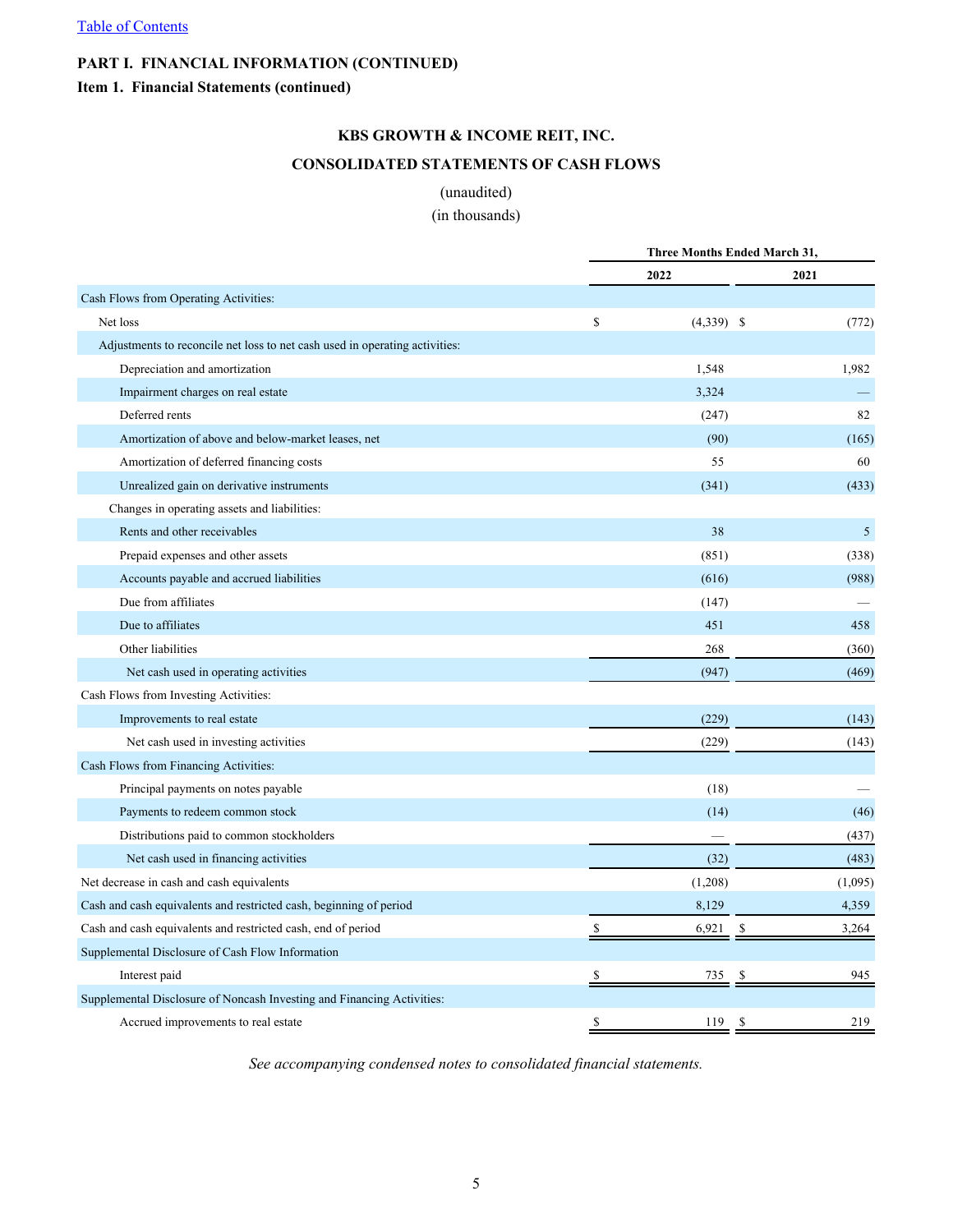<span id="page-5-0"></span>**Item 1. Financial Statements (continued)**

# **KBS GROWTH & INCOME REIT, INC.**

# **CONSOLIDATED STATEMENTS OF CASH FLOWS**

#### (unaudited)

(in thousands)

|                                                                             |    | <b>Three Months Ended March 31,</b> |    |         |  |  |  |
|-----------------------------------------------------------------------------|----|-------------------------------------|----|---------|--|--|--|
|                                                                             |    | 2022                                |    | 2021    |  |  |  |
| Cash Flows from Operating Activities:                                       |    |                                     |    |         |  |  |  |
| Net loss                                                                    | \$ | $(4,339)$ \$                        |    | (772)   |  |  |  |
| Adjustments to reconcile net loss to net cash used in operating activities: |    |                                     |    |         |  |  |  |
| Depreciation and amortization                                               |    | 1,548                               |    | 1,982   |  |  |  |
| Impairment charges on real estate                                           |    | 3,324                               |    |         |  |  |  |
| Deferred rents                                                              |    | (247)                               |    | 82      |  |  |  |
| Amortization of above and below-market leases, net                          |    | (90)                                |    | (165)   |  |  |  |
| Amortization of deferred financing costs                                    |    | 55                                  |    | 60      |  |  |  |
| Unrealized gain on derivative instruments                                   |    | (341)                               |    | (433)   |  |  |  |
| Changes in operating assets and liabilities:                                |    |                                     |    |         |  |  |  |
| Rents and other receivables                                                 |    | 38                                  |    | 5       |  |  |  |
| Prepaid expenses and other assets                                           |    | (851)                               |    | (338)   |  |  |  |
| Accounts payable and accrued liabilities                                    |    | (616)                               |    | (988)   |  |  |  |
| Due from affiliates                                                         |    | (147)                               |    |         |  |  |  |
| Due to affiliates                                                           |    | 451                                 |    | 458     |  |  |  |
| Other liabilities                                                           |    | 268                                 |    | (360)   |  |  |  |
| Net cash used in operating activities                                       |    | (947)                               |    | (469)   |  |  |  |
| Cash Flows from Investing Activities:                                       |    |                                     |    |         |  |  |  |
| Improvements to real estate                                                 |    | (229)                               |    | (143)   |  |  |  |
| Net cash used in investing activities                                       |    | (229)                               |    | (143)   |  |  |  |
| Cash Flows from Financing Activities:                                       |    |                                     |    |         |  |  |  |
| Principal payments on notes payable                                         |    | (18)                                |    |         |  |  |  |
| Payments to redeem common stock                                             |    | (14)                                |    | (46)    |  |  |  |
| Distributions paid to common stockholders                                   |    |                                     |    | (437)   |  |  |  |
| Net cash used in financing activities                                       |    | (32)                                |    | (483)   |  |  |  |
| Net decrease in cash and cash equivalents                                   |    | (1,208)                             |    | (1,095) |  |  |  |
| Cash and cash equivalents and restricted cash, beginning of period          |    | 8,129                               |    | 4,359   |  |  |  |
| Cash and cash equivalents and restricted cash, end of period                | S  | 6,921                               | \$ | 3,264   |  |  |  |
| Supplemental Disclosure of Cash Flow Information                            |    |                                     |    |         |  |  |  |
| Interest paid                                                               |    | 735                                 | S  | 945     |  |  |  |
| Supplemental Disclosure of Noncash Investing and Financing Activities:      |    |                                     |    |         |  |  |  |
| Accrued improvements to real estate                                         | \$ | 119                                 | \$ | 219     |  |  |  |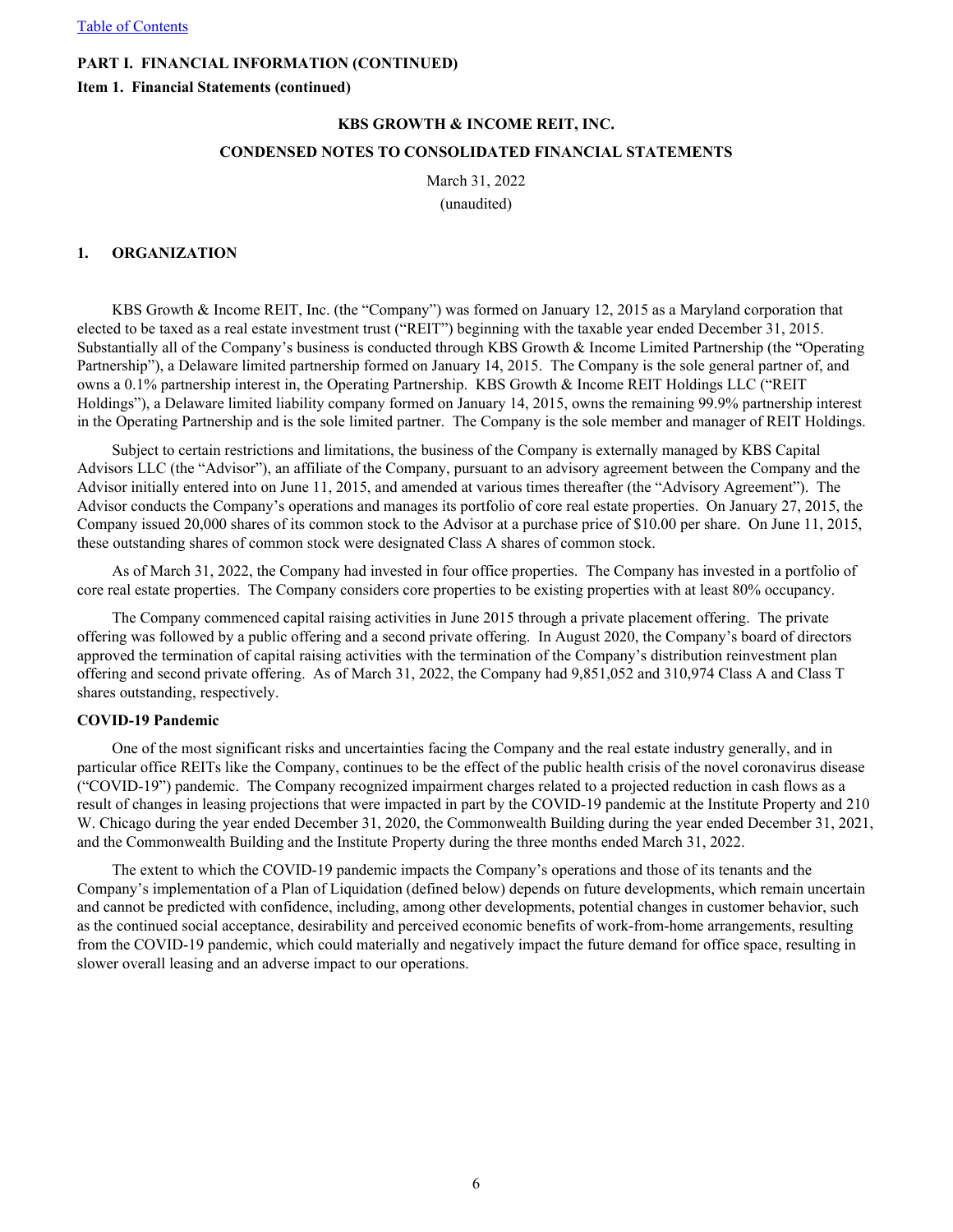<span id="page-6-0"></span>**Item 1. Financial Statements (continued)**

#### **KBS GROWTH & INCOME REIT, INC.**

#### **CONDENSED NOTES TO CONSOLIDATED FINANCIAL STATEMENTS**

March 31, 2022 (unaudited)

#### **1. ORGANIZATION**

KBS Growth & Income REIT, Inc. (the "Company") was formed on January 12, 2015 as a Maryland corporation that elected to be taxed as a real estate investment trust ("REIT") beginning with the taxable year ended December 31, 2015. Substantially all of the Company's business is conducted through KBS Growth & Income Limited Partnership (the "Operating Partnership"), a Delaware limited partnership formed on January 14, 2015. The Company is the sole general partner of, and owns a 0.1% partnership interest in, the Operating Partnership. KBS Growth & Income REIT Holdings LLC ("REIT Holdings"), a Delaware limited liability company formed on January 14, 2015, owns the remaining 99.9% partnership interest in the Operating Partnership and is the sole limited partner. The Company is the sole member and manager of REIT Holdings.

Subject to certain restrictions and limitations, the business of the Company is externally managed by KBS Capital Advisors LLC (the "Advisor"), an affiliate of the Company, pursuant to an advisory agreement between the Company and the Advisor initially entered into on June 11, 2015, and amended at various times thereafter (the "Advisory Agreement"). The Advisor conducts the Company's operations and manages its portfolio of core real estate properties. On January 27, 2015, the Company issued 20,000 shares of its common stock to the Advisor at a purchase price of \$10.00 per share. On June 11, 2015, these outstanding shares of common stock were designated Class A shares of common stock.

As of March 31, 2022, the Company had invested in four office properties. The Company has invested in a portfolio of core real estate properties. The Company considers core properties to be existing properties with at least 80% occupancy.

The Company commenced capital raising activities in June 2015 through a private placement offering. The private offering was followed by a public offering and a second private offering. In August 2020, the Company's board of directors approved the termination of capital raising activities with the termination of the Company's distribution reinvestment plan offering and second private offering. As of March 31, 2022, the Company had 9,851,052 and 310,974 Class A and Class T shares outstanding, respectively.

#### **COVID-19 Pandemic**

One of the most significant risks and uncertainties facing the Company and the real estate industry generally, and in particular office REITs like the Company, continues to be the effect of the public health crisis of the novel coronavirus disease ("COVID-19") pandemic. The Company recognized impairment charges related to a projected reduction in cash flows as a result of changes in leasing projections that were impacted in part by the COVID-19 pandemic at the Institute Property and 210 W. Chicago during the year ended December 31, 2020, the Commonwealth Building during the year ended December 31, 2021, and the Commonwealth Building and the Institute Property during the three months ended March 31, 2022.

The extent to which the COVID-19 pandemic impacts the Company's operations and those of its tenants and the Company's implementation of a Plan of Liquidation (defined below) depends on future developments, which remain uncertain and cannot be predicted with confidence, including, among other developments, potential changes in customer behavior, such as the continued social acceptance, desirability and perceived economic benefits of work-from-home arrangements, resulting from the COVID-19 pandemic, which could materially and negatively impact the future demand for office space, resulting in slower overall leasing and an adverse impact to our operations.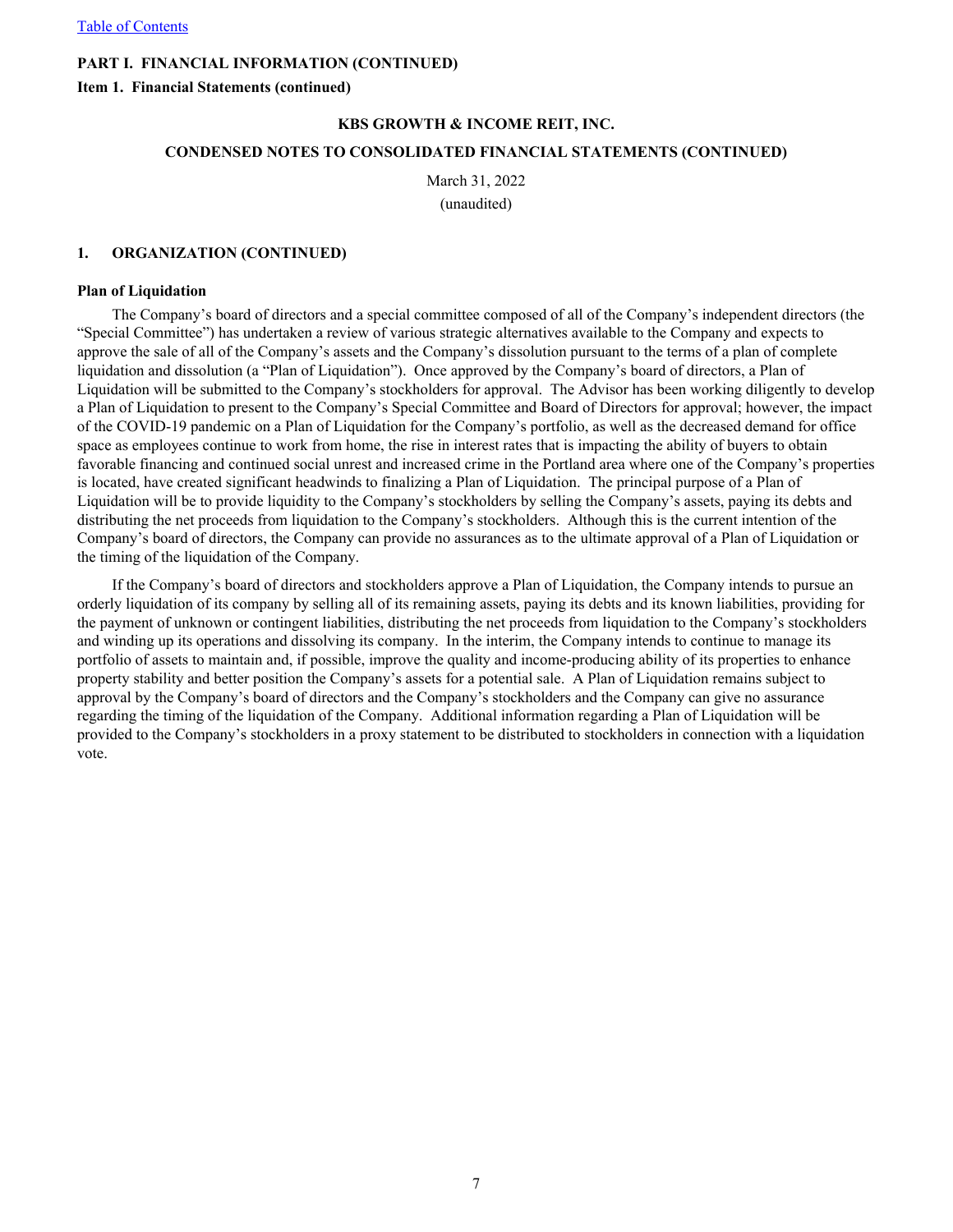**Item 1. Financial Statements (continued)**

#### **KBS GROWTH & INCOME REIT, INC.**

#### **CONDENSED NOTES TO CONSOLIDATED FINANCIAL STATEMENTS (CONTINUED)**

March 31, 2022 (unaudited)

#### **1. ORGANIZATION (CONTINUED)**

#### **Plan of Liquidation**

The Company's board of directors and a special committee composed of all of the Company's independent directors (the "Special Committee") has undertaken a review of various strategic alternatives available to the Company and expects to approve the sale of all of the Company's assets and the Company's dissolution pursuant to the terms of a plan of complete liquidation and dissolution (a "Plan of Liquidation"). Once approved by the Company's board of directors, a Plan of Liquidation will be submitted to the Company's stockholders for approval. The Advisor has been working diligently to develop a Plan of Liquidation to present to the Company's Special Committee and Board of Directors for approval; however, the impact of the COVID-19 pandemic on a Plan of Liquidation for the Company's portfolio, as well as the decreased demand for office space as employees continue to work from home, the rise in interest rates that is impacting the ability of buyers to obtain favorable financing and continued social unrest and increased crime in the Portland area where one of the Company's properties is located, have created significant headwinds to finalizing a Plan of Liquidation. The principal purpose of a Plan of Liquidation will be to provide liquidity to the Company's stockholders by selling the Company's assets, paying its debts and distributing the net proceeds from liquidation to the Company's stockholders. Although this is the current intention of the Company's board of directors, the Company can provide no assurances as to the ultimate approval of a Plan of Liquidation or the timing of the liquidation of the Company.

If the Company's board of directors and stockholders approve a Plan of Liquidation, the Company intends to pursue an orderly liquidation of its company by selling all of its remaining assets, paying its debts and its known liabilities, providing for the payment of unknown or contingent liabilities, distributing the net proceeds from liquidation to the Company's stockholders and winding up its operations and dissolving its company. In the interim, the Company intends to continue to manage its portfolio of assets to maintain and, if possible, improve the quality and income-producing ability of its properties to enhance property stability and better position the Company's assets for a potential sale. A Plan of Liquidation remains subject to approval by the Company's board of directors and the Company's stockholders and the Company can give no assurance regarding the timing of the liquidation of the Company. Additional information regarding a Plan of Liquidation will be provided to the Company's stockholders in a proxy statement to be distributed to stockholders in connection with a liquidation vote.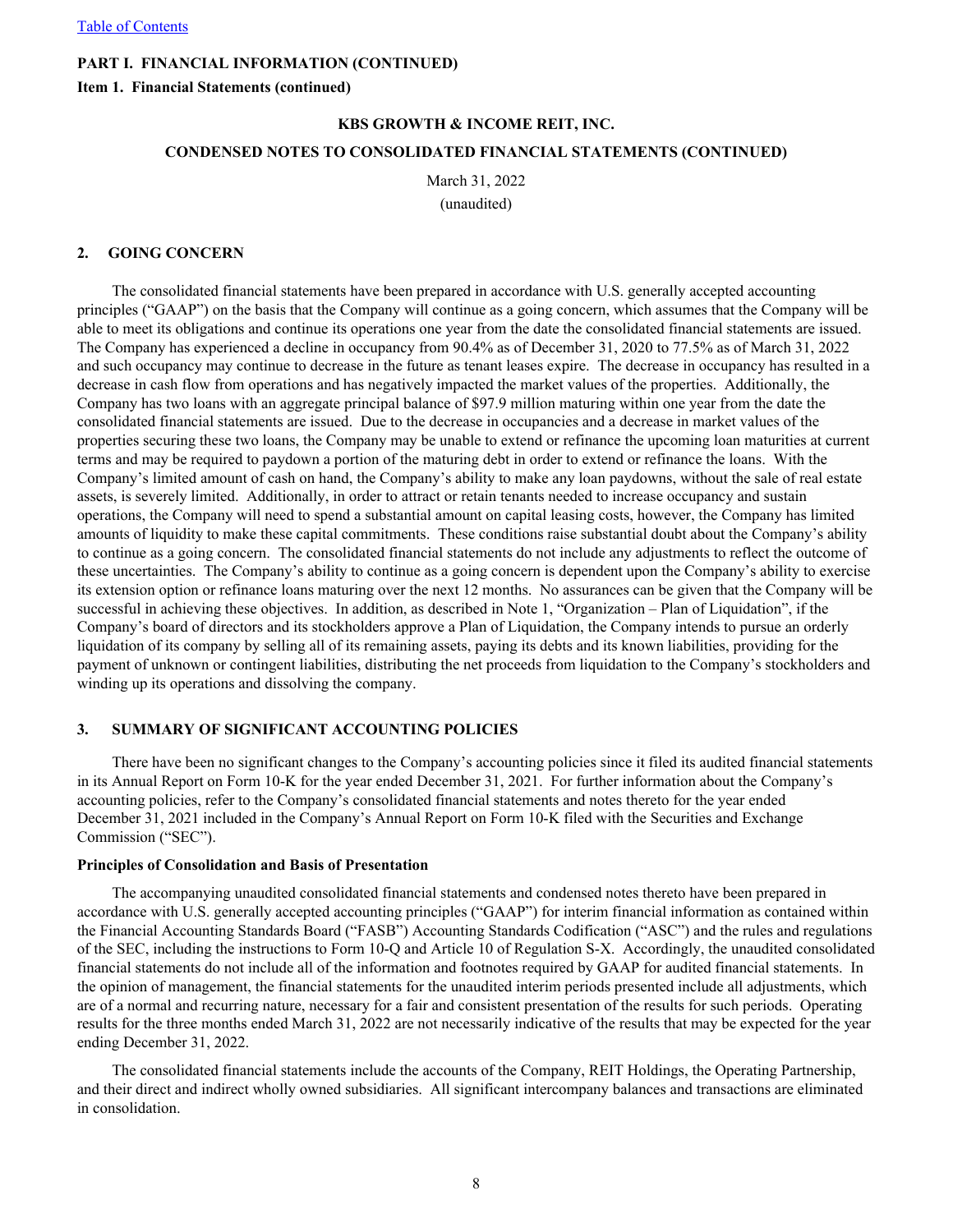**Item 1. Financial Statements (continued)**

#### **KBS GROWTH & INCOME REIT, INC.**

#### **CONDENSED NOTES TO CONSOLIDATED FINANCIAL STATEMENTS (CONTINUED)**

March 31, 2022 (unaudited)

#### **2. GOING CONCERN**

The consolidated financial statements have been prepared in accordance with U.S. generally accepted accounting principles ("GAAP") on the basis that the Company will continue as a going concern, which assumes that the Company will be able to meet its obligations and continue its operations one year from the date the consolidated financial statements are issued. The Company has experienced a decline in occupancy from 90.4% as of December 31, 2020 to 77.5% as of March 31, 2022 and such occupancy may continue to decrease in the future as tenant leases expire. The decrease in occupancy has resulted in a decrease in cash flow from operations and has negatively impacted the market values of the properties. Additionally, the Company has two loans with an aggregate principal balance of \$97.9 million maturing within one year from the date the consolidated financial statements are issued. Due to the decrease in occupancies and a decrease in market values of the properties securing these two loans, the Company may be unable to extend or refinance the upcoming loan maturities at current terms and may be required to paydown a portion of the maturing debt in order to extend or refinance the loans. With the Company's limited amount of cash on hand, the Company's ability to make any loan paydowns, without the sale of real estate assets, is severely limited. Additionally, in order to attract or retain tenants needed to increase occupancy and sustain operations, the Company will need to spend a substantial amount on capital leasing costs, however, the Company has limited amounts of liquidity to make these capital commitments. These conditions raise substantial doubt about the Company's ability to continue as a going concern. The consolidated financial statements do not include any adjustments to reflect the outcome of these uncertainties. The Company's ability to continue as a going concern is dependent upon the Company's ability to exercise its extension option or refinance loans maturing over the next 12 months. No assurances can be given that the Company will be successful in achieving these objectives. In addition, as described in Note 1, "Organization – Plan of Liquidation", if the Company's board of directors and its stockholders approve a Plan of Liquidation, the Company intends to pursue an orderly liquidation of its company by selling all of its remaining assets, paying its debts and its known liabilities, providing for the payment of unknown or contingent liabilities, distributing the net proceeds from liquidation to the Company's stockholders and winding up its operations and dissolving the company.

#### **3. SUMMARY OF SIGNIFICANT ACCOUNTING POLICIES**

There have been no significant changes to the Company's accounting policies since it filed its audited financial statements in its Annual Report on Form 10-K for the year ended December 31, 2021. For further information about the Company's accounting policies, refer to the Company's consolidated financial statements and notes thereto for the year ended December 31, 2021 included in the Company's Annual Report on Form 10-K filed with the Securities and Exchange Commission ("SEC").

#### **Principles of Consolidation and Basis of Presentation**

The accompanying unaudited consolidated financial statements and condensed notes thereto have been prepared in accordance with U.S. generally accepted accounting principles ("GAAP") for interim financial information as contained within the Financial Accounting Standards Board ("FASB") Accounting Standards Codification ("ASC") and the rules and regulations of the SEC, including the instructions to Form 10-Q and Article 10 of Regulation S-X. Accordingly, the unaudited consolidated financial statements do not include all of the information and footnotes required by GAAP for audited financial statements. In the opinion of management, the financial statements for the unaudited interim periods presented include all adjustments, which are of a normal and recurring nature, necessary for a fair and consistent presentation of the results for such periods. Operating results for the three months ended March 31, 2022 are not necessarily indicative of the results that may be expected for the year ending December 31, 2022.

The consolidated financial statements include the accounts of the Company, REIT Holdings, the Operating Partnership, and their direct and indirect wholly owned subsidiaries. All significant intercompany balances and transactions are eliminated in consolidation.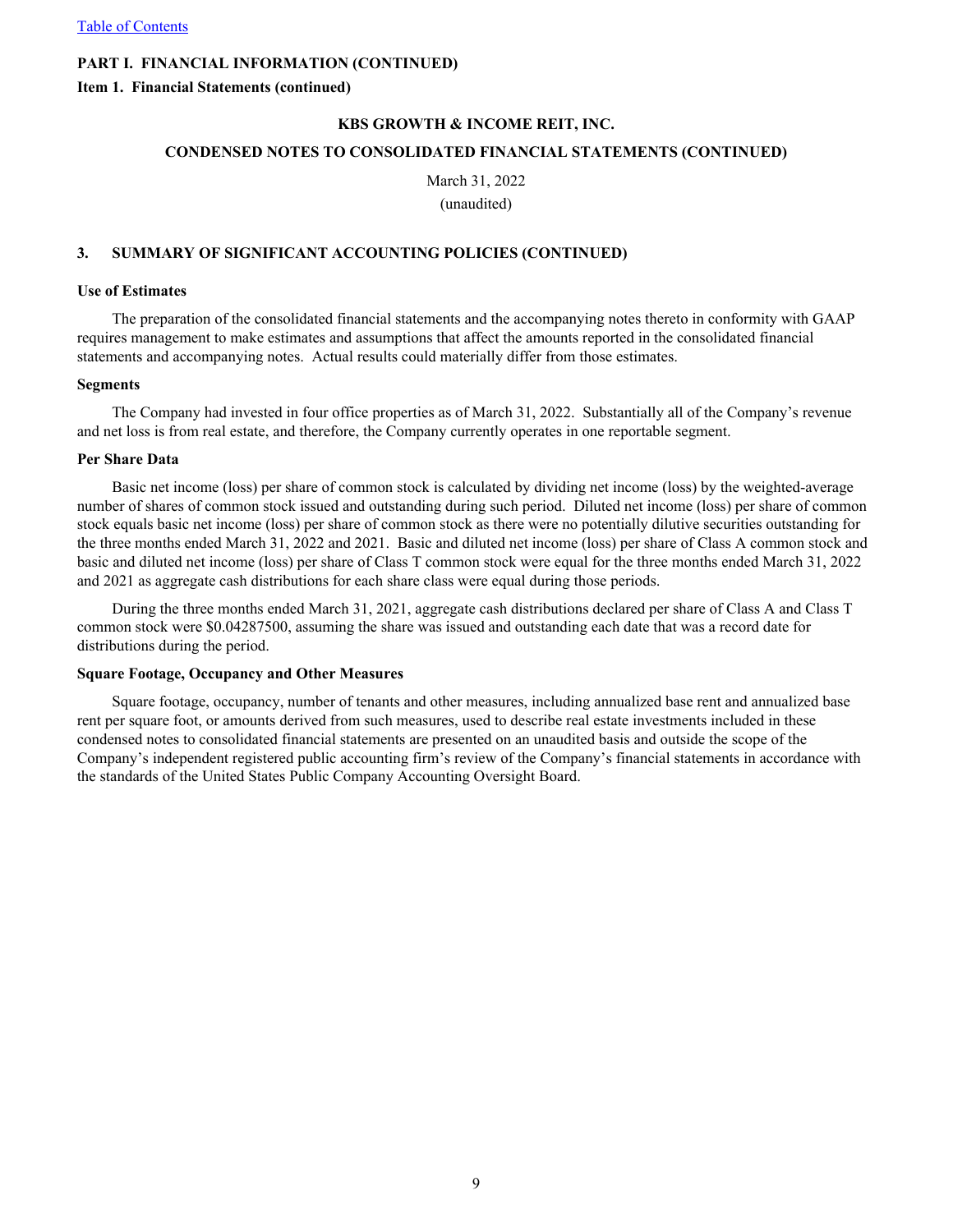**Item 1. Financial Statements (continued)**

#### **KBS GROWTH & INCOME REIT, INC.**

#### **CONDENSED NOTES TO CONSOLIDATED FINANCIAL STATEMENTS (CONTINUED)**

March 31, 2022

(unaudited)

#### **3. SUMMARY OF SIGNIFICANT ACCOUNTING POLICIES (CONTINUED)**

#### **Use of Estimates**

The preparation of the consolidated financial statements and the accompanying notes thereto in conformity with GAAP requires management to make estimates and assumptions that affect the amounts reported in the consolidated financial statements and accompanying notes. Actual results could materially differ from those estimates.

#### **Segments**

The Company had invested in four office properties as of March 31, 2022. Substantially all of the Company's revenue and net loss is from real estate, and therefore, the Company currently operates in one reportable segment.

#### **Per Share Data**

Basic net income (loss) per share of common stock is calculated by dividing net income (loss) by the weighted-average number of shares of common stock issued and outstanding during such period. Diluted net income (loss) per share of common stock equals basic net income (loss) per share of common stock as there were no potentially dilutive securities outstanding for the three months ended March 31, 2022 and 2021. Basic and diluted net income (loss) per share of Class A common stock and basic and diluted net income (loss) per share of Class T common stock were equal for the three months ended March 31, 2022 and 2021 as aggregate cash distributions for each share class were equal during those periods.

During the three months ended March 31, 2021, aggregate cash distributions declared per share of Class A and Class T common stock were \$0.04287500, assuming the share was issued and outstanding each date that was a record date for distributions during the period.

#### **Square Footage, Occupancy and Other Measures**

Square footage, occupancy, number of tenants and other measures, including annualized base rent and annualized base rent per square foot, or amounts derived from such measures, used to describe real estate investments included in these condensed notes to consolidated financial statements are presented on an unaudited basis and outside the scope of the Company's independent registered public accounting firm's review of the Company's financial statements in accordance with the standards of the United States Public Company Accounting Oversight Board.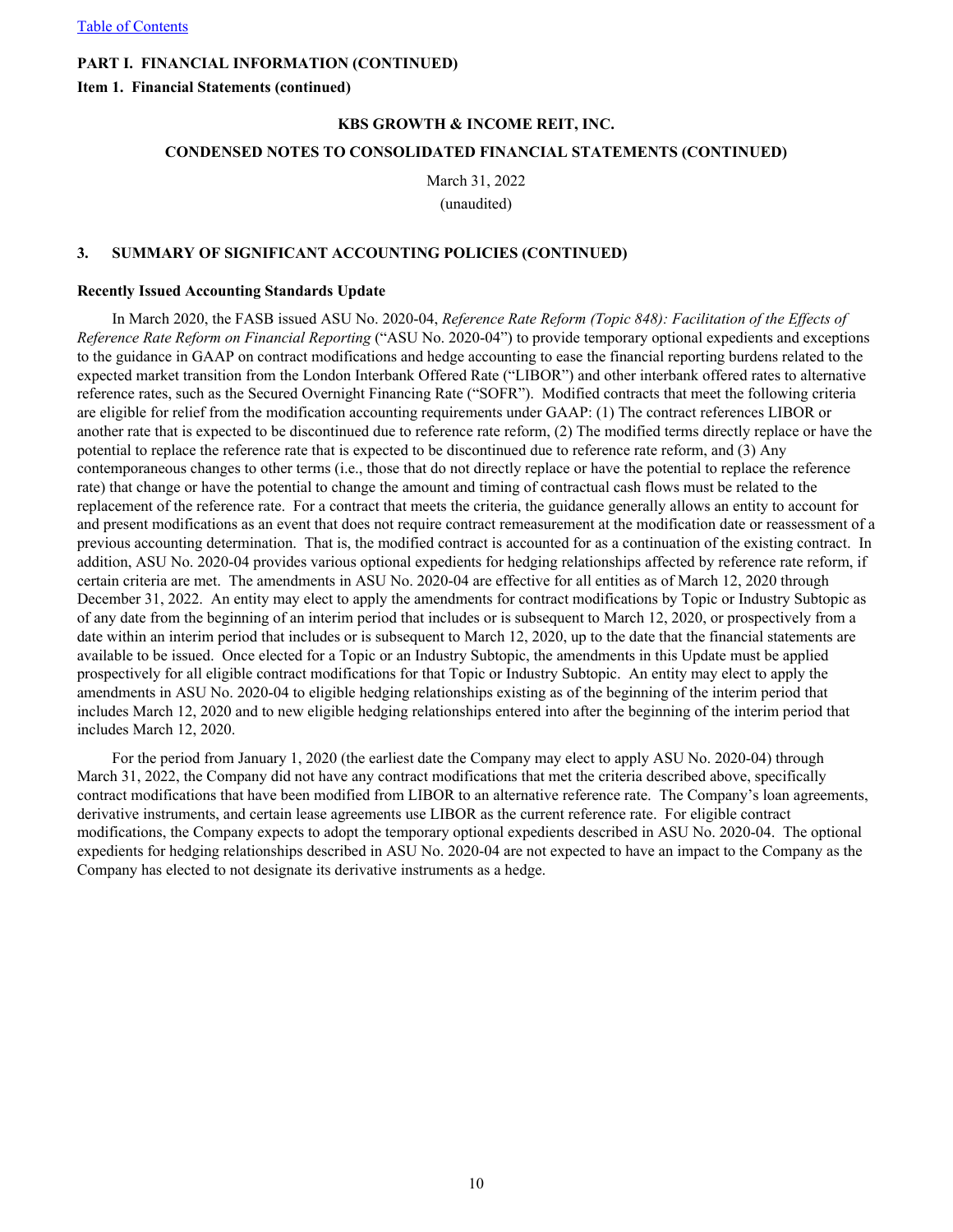**Item 1. Financial Statements (continued)**

#### **KBS GROWTH & INCOME REIT, INC.**

#### **CONDENSED NOTES TO CONSOLIDATED FINANCIAL STATEMENTS (CONTINUED)**

March 31, 2022 (unaudited)

#### **3. SUMMARY OF SIGNIFICANT ACCOUNTING POLICIES (CONTINUED)**

#### **Recently Issued Accounting Standards Update**

In March 2020, the FASB issued ASU No. 2020-04, *Reference Rate Reform (Topic 848): Facilitation of the Effects of Reference Rate Reform on Financial Reporting* ("ASU No. 2020-04") to provide temporary optional expedients and exceptions to the guidance in GAAP on contract modifications and hedge accounting to ease the financial reporting burdens related to the expected market transition from the London Interbank Offered Rate ("LIBOR") and other interbank offered rates to alternative reference rates, such as the Secured Overnight Financing Rate ("SOFR"). Modified contracts that meet the following criteria are eligible for relief from the modification accounting requirements under GAAP: (1) The contract references LIBOR or another rate that is expected to be discontinued due to reference rate reform, (2) The modified terms directly replace or have the potential to replace the reference rate that is expected to be discontinued due to reference rate reform, and (3) Any contemporaneous changes to other terms (i.e., those that do not directly replace or have the potential to replace the reference rate) that change or have the potential to change the amount and timing of contractual cash flows must be related to the replacement of the reference rate. For a contract that meets the criteria, the guidance generally allows an entity to account for and present modifications as an event that does not require contract remeasurement at the modification date or reassessment of a previous accounting determination. That is, the modified contract is accounted for as a continuation of the existing contract. In addition, ASU No. 2020-04 provides various optional expedients for hedging relationships affected by reference rate reform, if certain criteria are met. The amendments in ASU No. 2020-04 are effective for all entities as of March 12, 2020 through December 31, 2022. An entity may elect to apply the amendments for contract modifications by Topic or Industry Subtopic as of any date from the beginning of an interim period that includes or is subsequent to March 12, 2020, or prospectively from a date within an interim period that includes or is subsequent to March 12, 2020, up to the date that the financial statements are available to be issued. Once elected for a Topic or an Industry Subtopic, the amendments in this Update must be applied prospectively for all eligible contract modifications for that Topic or Industry Subtopic. An entity may elect to apply the amendments in ASU No. 2020-04 to eligible hedging relationships existing as of the beginning of the interim period that includes March 12, 2020 and to new eligible hedging relationships entered into after the beginning of the interim period that includes March 12, 2020.

For the period from January 1, 2020 (the earliest date the Company may elect to apply ASU No. 2020-04) through March 31, 2022, the Company did not have any contract modifications that met the criteria described above, specifically contract modifications that have been modified from LIBOR to an alternative reference rate. The Company's loan agreements, derivative instruments, and certain lease agreements use LIBOR as the current reference rate. For eligible contract modifications, the Company expects to adopt the temporary optional expedients described in ASU No. 2020-04. The optional expedients for hedging relationships described in ASU No. 2020-04 are not expected to have an impact to the Company as the Company has elected to not designate its derivative instruments as a hedge.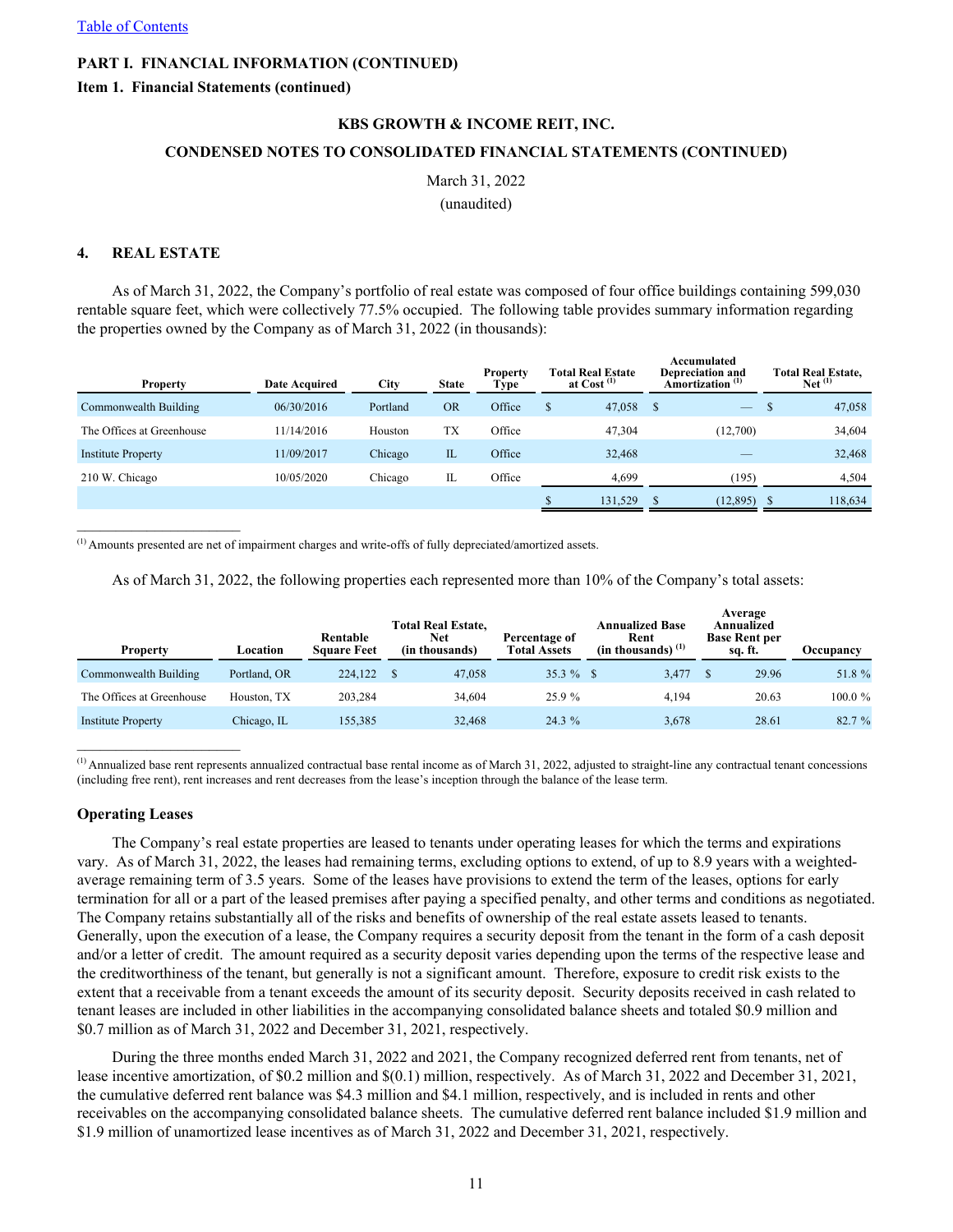#### **Item 1. Financial Statements (continued)**

#### **KBS GROWTH & INCOME REIT, INC.**

#### **CONDENSED NOTES TO CONSOLIDATED FINANCIAL STATEMENTS (CONTINUED)**

# March 31, 2022

#### (unaudited)

#### **4. REAL ESTATE**

As of March 31, 2022, the Company's portfolio of real estate was composed of four office buildings containing 599,030 rentable square feet, which were collectively 77.5% occupied. The following table provides summary information regarding the properties owned by the Company as of March 31, 2022 (in thousands):

| <b>Property</b>           | <b>Date Acquired</b> | City     | <b>State</b> | Property<br>Type |    | <b>Total Real Estate</b><br>at Cost $^{(1)}$ |               | Accumulated<br><b>Depreciation and</b><br>Amortization <sup>(1)</sup> |    | <b>Total Real Estate,</b><br>Net <sup>(1)</sup> |
|---------------------------|----------------------|----------|--------------|------------------|----|----------------------------------------------|---------------|-----------------------------------------------------------------------|----|-------------------------------------------------|
| Commonwealth Building     | 06/30/2016           | Portland | <b>OR</b>    | Office           | S. | 47,058                                       | <sup>\$</sup> |                                                                       |    | 47,058                                          |
| The Offices at Greenhouse | 11/14/2016           | Houston  | ТX           | Office           |    | 47,304                                       |               | (12,700)                                                              |    | 34,604                                          |
| <b>Institute Property</b> | 11/09/2017           | Chicago  | IL           | Office           |    | 32,468                                       |               |                                                                       |    | 32,468                                          |
| 210 W. Chicago            | 10/05/2020           | Chicago  | IL           | Office           |    | 4,699                                        |               | (195)                                                                 |    | 4,504                                           |
|                           |                      |          |              |                  |    | 131,529                                      |               | (12, 895)                                                             | -S | 118,634                                         |

 $<sup>(1)</sup>$  Amounts presented are net of impairment charges and write-offs of fully depreciated/amortized assets.</sup>

As of March 31, 2022, the following properties each represented more than 10% of the Company's total assets:

| <b>Property</b>           | Location     | Rentable<br><b>Square Feet</b> |      | Total Real Estate,<br>Net<br>(in thousands) | Percentage of<br><b>Total Assets</b> | <b>Annualized Base</b><br>Rent<br>$(in thousands)$ <sup>(1)</sup> | Average<br>Annualized<br><b>Base Rent per</b><br>sq. ft. | Occupancv |
|---------------------------|--------------|--------------------------------|------|---------------------------------------------|--------------------------------------|-------------------------------------------------------------------|----------------------------------------------------------|-----------|
| Commonwealth Building     | Portland, OR | 224,122                        | - \$ | 47,058                                      | $35.3 \%$ \$                         | 3.477                                                             | 29.96                                                    | 51.8 %    |
| The Offices at Greenhouse | Houston, TX  | 203.284                        |      | 34.604                                      | 25.9 %                               | 4.194                                                             | 20.63                                                    | 100.0%    |
| <b>Institute Property</b> | Chicago, IL  | 155,385                        |      | 32,468                                      | $24.3\%$                             | 3,678                                                             | 28.61                                                    | 82.7 %    |

 $<sup>(1)</sup>$  Annualized base rent represents annualized contractual base rental income as of March 31, 2022, adjusted to straight-line any contractual tenant concessions</sup> (including free rent), rent increases and rent decreases from the lease's inception through the balance of the lease term.

#### **Operating Leases**

 $\mathcal{L}_\text{max}$  and  $\mathcal{L}_\text{max}$  and  $\mathcal{L}_\text{max}$ 

The Company's real estate properties are leased to tenants under operating leases for which the terms and expirations vary. As of March 31, 2022, the leases had remaining terms, excluding options to extend, of up to 8.9 years with a weightedaverage remaining term of 3.5 years. Some of the leases have provisions to extend the term of the leases, options for early termination for all or a part of the leased premises after paying a specified penalty, and other terms and conditions as negotiated. The Company retains substantially all of the risks and benefits of ownership of the real estate assets leased to tenants. Generally, upon the execution of a lease, the Company requires a security deposit from the tenant in the form of a cash deposit and/or a letter of credit. The amount required as a security deposit varies depending upon the terms of the respective lease and the creditworthiness of the tenant, but generally is not a significant amount. Therefore, exposure to credit risk exists to the extent that a receivable from a tenant exceeds the amount of its security deposit. Security deposits received in cash related to tenant leases are included in other liabilities in the accompanying consolidated balance sheets and totaled \$0.9 million and \$0.7 million as of March 31, 2022 and December 31, 2021, respectively.

During the three months ended March 31, 2022 and 2021, the Company recognized deferred rent from tenants, net of lease incentive amortization, of \$0.2 million and \$(0.1) million, respectively. As of March 31, 2022 and December 31, 2021, the cumulative deferred rent balance was \$4.3 million and \$4.1 million, respectively, and is included in rents and other receivables on the accompanying consolidated balance sheets. The cumulative deferred rent balance included \$1.9 million and \$1.9 million of unamortized lease incentives as of March 31, 2022 and December 31, 2021, respectively.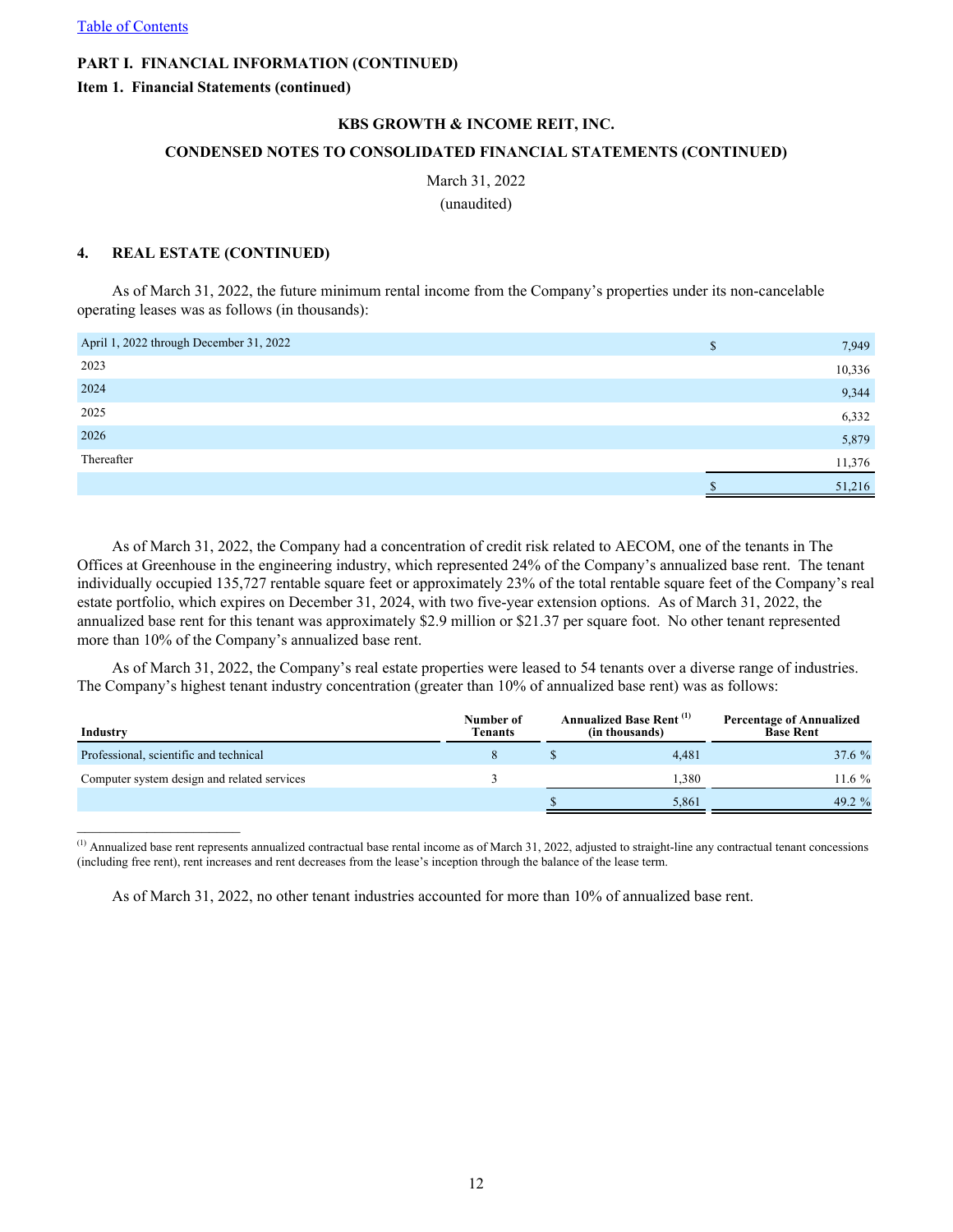#### **Item 1. Financial Statements (continued)**

#### **KBS GROWTH & INCOME REIT, INC.**

#### **CONDENSED NOTES TO CONSOLIDATED FINANCIAL STATEMENTS (CONTINUED)**

# March 31, 2022

(unaudited)

#### **4. REAL ESTATE (CONTINUED)**

 $\mathcal{L}_\text{max}$ 

As of March 31, 2022, the future minimum rental income from the Company's properties under its non-cancelable operating leases was as follows (in thousands):

| April 1, 2022 through December 31, 2022 | \$<br>7,949 |
|-----------------------------------------|-------------|
| 2023                                    | 10,336      |
| 2024                                    | 9,344       |
| 2025                                    | 6,332       |
| 2026                                    | 5,879       |
| Thereafter                              | 11,376      |
|                                         | 51,216      |

As of March 31, 2022, the Company had a concentration of credit risk related to AECOM, one of the tenants in The Offices at Greenhouse in the engineering industry, which represented 24% of the Company's annualized base rent. The tenant individually occupied 135,727 rentable square feet or approximately 23% of the total rentable square feet of the Company's real estate portfolio, which expires on December 31, 2024, with two five-year extension options. As of March 31, 2022, the annualized base rent for this tenant was approximately \$2.9 million or \$21.37 per square foot. No other tenant represented more than 10% of the Company's annualized base rent.

As of March 31, 2022, the Company's real estate properties were leased to 54 tenants over a diverse range of industries. The Company's highest tenant industry concentration (greater than 10% of annualized base rent) was as follows:

| Industry                                    | Number of<br><b>Tenants</b> | <b>Annualized Base Rent (1)</b><br>(in thousands) | <b>Percentage of Annualized</b><br><b>Base Rent</b> |  |  |
|---------------------------------------------|-----------------------------|---------------------------------------------------|-----------------------------------------------------|--|--|
| Professional, scientific and technical      |                             | 4.481                                             | 37.6 %                                              |  |  |
| Computer system design and related services |                             | .380                                              | $11.6\%$                                            |  |  |
|                                             |                             | 5.861                                             | 49.2 %                                              |  |  |

 $<sup>(1)</sup>$  Annualized base rent represents annualized contractual base rental income as of March 31, 2022, adjusted to straight-line any contractual tenant concessions</sup> (including free rent), rent increases and rent decreases from the lease's inception through the balance of the lease term.

As of March 31, 2022, no other tenant industries accounted for more than 10% of annualized base rent.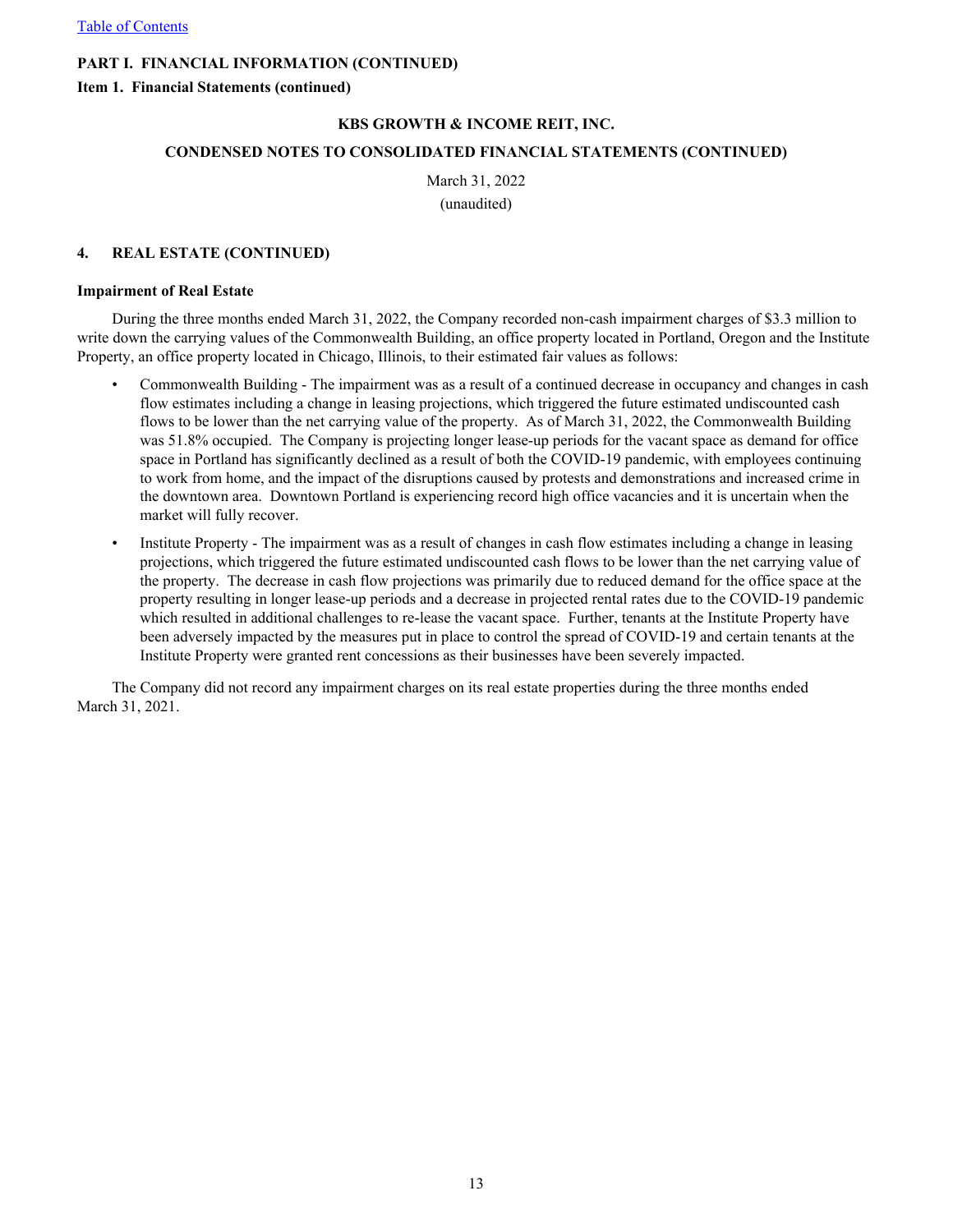**Item 1. Financial Statements (continued)**

#### **KBS GROWTH & INCOME REIT, INC.**

#### **CONDENSED NOTES TO CONSOLIDATED FINANCIAL STATEMENTS (CONTINUED)**

March 31, 2022 (unaudited)

#### **4. REAL ESTATE (CONTINUED)**

#### **Impairment of Real Estate**

During the three months ended March 31, 2022, the Company recorded non-cash impairment charges of \$3.3 million to write down the carrying values of the Commonwealth Building, an office property located in Portland, Oregon and the Institute Property, an office property located in Chicago, Illinois, to their estimated fair values as follows:

- Commonwealth Building The impairment was as a result of a continued decrease in occupancy and changes in cash flow estimates including a change in leasing projections, which triggered the future estimated undiscounted cash flows to be lower than the net carrying value of the property. As of March 31, 2022, the Commonwealth Building was 51.8% occupied. The Company is projecting longer lease-up periods for the vacant space as demand for office space in Portland has significantly declined as a result of both the COVID-19 pandemic, with employees continuing to work from home, and the impact of the disruptions caused by protests and demonstrations and increased crime in the downtown area. Downtown Portland is experiencing record high office vacancies and it is uncertain when the market will fully recover.
- Institute Property The impairment was as a result of changes in cash flow estimates including a change in leasing projections, which triggered the future estimated undiscounted cash flows to be lower than the net carrying value of the property. The decrease in cash flow projections was primarily due to reduced demand for the office space at the property resulting in longer lease-up periods and a decrease in projected rental rates due to the COVID-19 pandemic which resulted in additional challenges to re-lease the vacant space. Further, tenants at the Institute Property have been adversely impacted by the measures put in place to control the spread of COVID-19 and certain tenants at the Institute Property were granted rent concessions as their businesses have been severely impacted.

The Company did not record any impairment charges on its real estate properties during the three months ended March 31, 2021.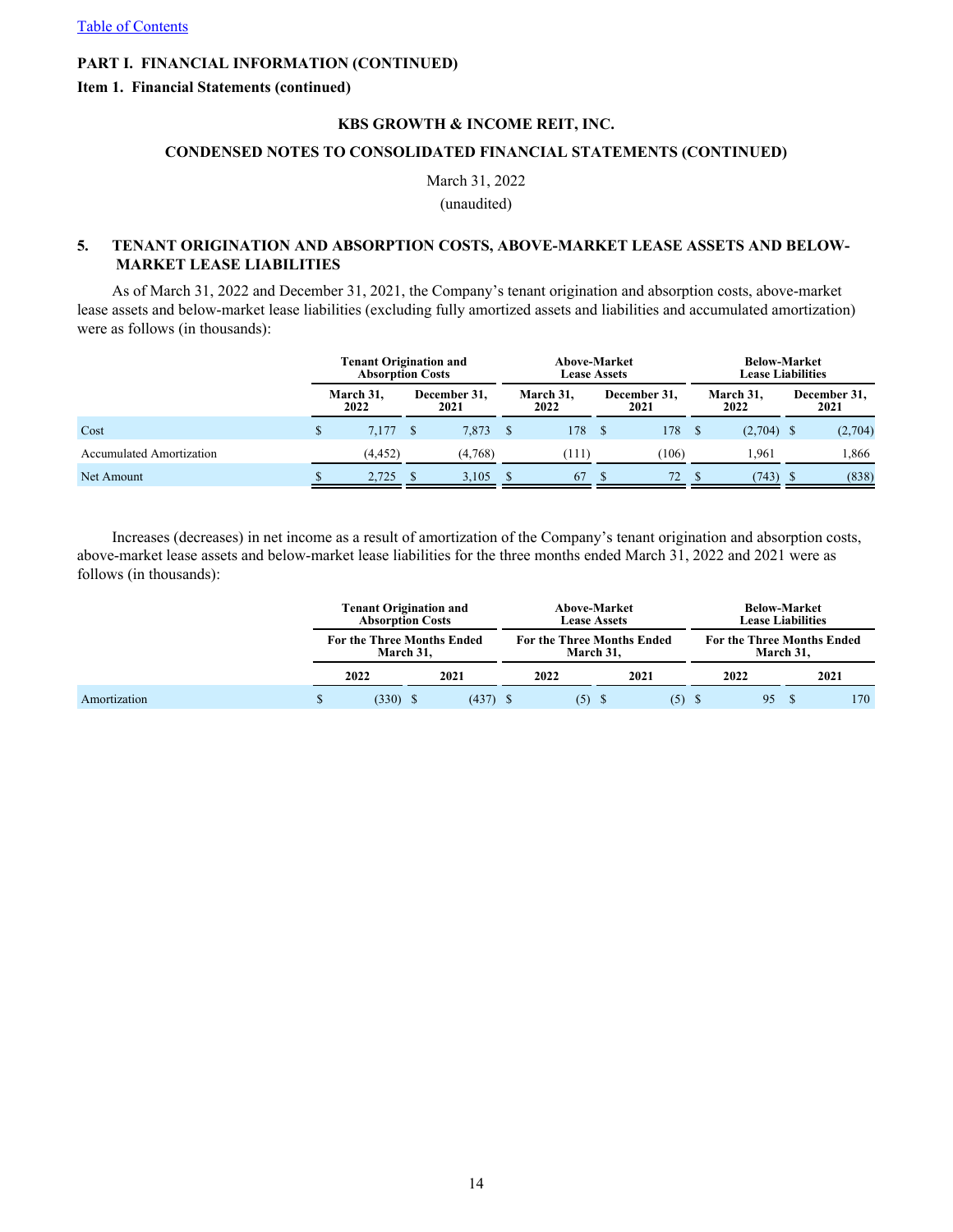#### **Item 1. Financial Statements (continued)**

#### **KBS GROWTH & INCOME REIT, INC.**

#### **CONDENSED NOTES TO CONSOLIDATED FINANCIAL STATEMENTS (CONTINUED)**

# March 31, 2022

#### (unaudited)

#### **5. TENANT ORIGINATION AND ABSORPTION COSTS, ABOVE-MARKET LEASE ASSETS AND BELOW- MARKET LEASE LIABILITIES**

As of March 31, 2022 and December 31, 2021, the Company's tenant origination and absorption costs, above-market lease assets and below-market lease liabilities (excluding fully amortized assets and liabilities and accumulated amortization) were as follows (in thousands):

|                                 | <b>Tenant Origination and</b><br><b>Absorption Costs</b> |                   |  |                      | <b>Above-Market</b><br><b>Lease Assets</b> |  | <b>Below-Market</b><br><b>Lease Liabilities</b> |  |                   |  |                      |
|---------------------------------|----------------------------------------------------------|-------------------|--|----------------------|--------------------------------------------|--|-------------------------------------------------|--|-------------------|--|----------------------|
|                                 |                                                          | March 31,<br>2022 |  | December 31.<br>2021 | March 31,<br>2022                          |  | December 31,<br>2021                            |  | March 31.<br>2022 |  | December 31,<br>2021 |
| Cost                            |                                                          | 7.177             |  | 7,873                | 178                                        |  | 178                                             |  | $(2,704)$ \$      |  | (2,704)              |
| <b>Accumulated Amortization</b> |                                                          | (4.452)           |  | (4,768)              | (111)                                      |  | (106)                                           |  | l.961             |  | 1,866                |
| Net Amount                      |                                                          | 2,725             |  | 3.105                | 67                                         |  | 72                                              |  | 743)              |  | (838)                |

Increases (decreases) in net income as a result of amortization of the Company's tenant origination and absorption costs, above-market lease assets and below-market lease liabilities for the three months ended March 31, 2022 and 2021 were as follows (in thousands):

|              | <b>Tenant Origination and</b><br><b>Absorption Costs</b> |            |  |                                                |  |      |          | <b>Above-Market</b><br><b>Lease Assets</b> |          | <b>Below-Market</b><br><b>Lease Liabilities</b> |                                   |    |  |      |  |  |
|--------------|----------------------------------------------------------|------------|--|------------------------------------------------|--|------|----------|--------------------------------------------|----------|-------------------------------------------------|-----------------------------------|----|--|------|--|--|
|              | <b>For the Three Months Ended</b><br>March 31.           |            |  | <b>For the Three Months Ended</b><br>March 31. |  |      |          |                                            |          | March 31.                                       | <b>For the Three Months Ended</b> |    |  |      |  |  |
|              | 2022                                                     |            |  | 2021                                           |  | 2022 |          | 2021                                       |          |                                                 | 2022                              |    |  | 2021 |  |  |
| Amortization |                                                          | $(330)$ \$ |  | $(437)$ \$                                     |  |      | $(5)$ \$ |                                            | $(5)$ \$ |                                                 |                                   | 95 |  | 170  |  |  |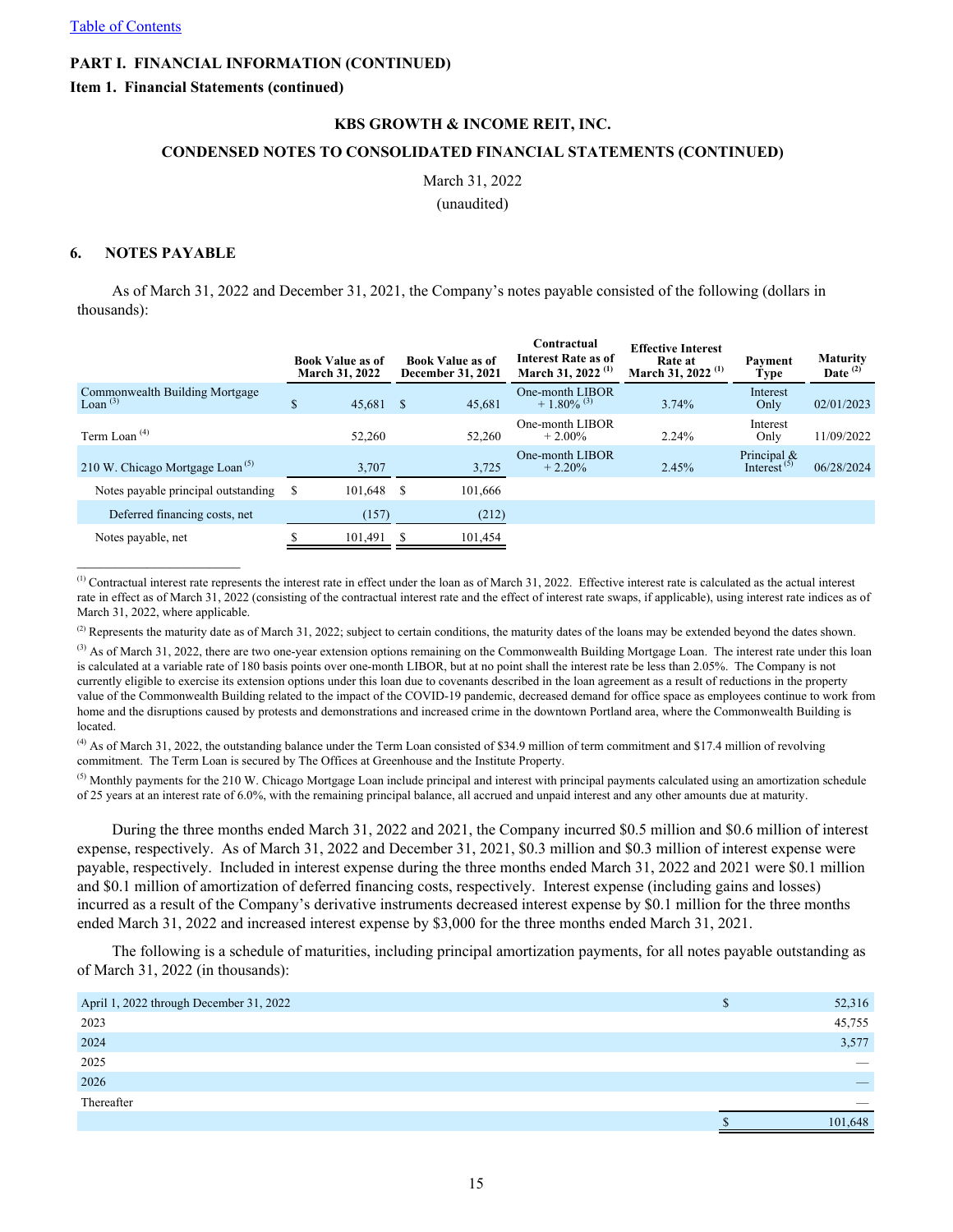#### **Item 1. Financial Statements (continued)**

#### **KBS GROWTH & INCOME REIT, INC.**

#### **CONDENSED NOTES TO CONSOLIDATED FINANCIAL STATEMENTS (CONTINUED)**

March 31, 2022 (unaudited)

#### **6. NOTES PAYABLE**

As of March 31, 2022 and December 31, 2021, the Company's notes payable consisted of the following (dollars in thousands):

|                                              |    | <b>Book Value as of</b><br>March 31, 2022 |              | <b>Book Value as of</b><br><b>December 31, 2021</b> | Contractual<br><b>Interest Rate as of</b><br>March 31, 2022 <sup>(1)</sup> | <b>Effective Interest</b><br>Rate at<br>March 31, 2022 <sup>(1)</sup> | Payment<br>Type                                       | <b>Maturity</b><br>Date $(2)$ |
|----------------------------------------------|----|-------------------------------------------|--------------|-----------------------------------------------------|----------------------------------------------------------------------------|-----------------------------------------------------------------------|-------------------------------------------------------|-------------------------------|
| Commonwealth Building Mortgage<br>Loan $(3)$ | \$ | 45,681                                    | <sup>S</sup> | 45,681                                              | One-month LIBOR<br>$+1.80\%$ <sup>(3)</sup>                                | 3.74%                                                                 | Interest<br>Only                                      | 02/01/2023                    |
| Term Loan $(4)$                              |    | 52.260                                    |              | 52.260                                              | One-month LIBOR<br>$+2.00\%$                                               | 2.24%                                                                 | Interest<br>Only                                      | 11/09/2022                    |
| 210 W. Chicago Mortgage Loan <sup>(5)</sup>  |    | 3,707                                     |              | 3,725                                               | One-month LIBOR<br>$+2.20%$                                                | 2.45%                                                                 | Principal $&$<br>Interest <sup><math>(5)</math></sup> | 06/28/2024                    |
| Notes payable principal outstanding          | S  | 101,648                                   | -S           | 101,666                                             |                                                                            |                                                                       |                                                       |                               |
| Deferred financing costs, net                |    | (157)                                     |              | (212)                                               |                                                                            |                                                                       |                                                       |                               |
| Notes payable, net                           |    | 101,491                                   |              | 101,454                                             |                                                                            |                                                                       |                                                       |                               |

(1) Contractual interest rate represents the interest rate in effect under the loan as of March 31, 2022. Effective interest rate is calculated as the actual interest rate in effect as of March 31, 2022 (consisting of the contractual interest rate and the effect of interest rate swaps, if applicable), using interest rate indices as of March 31, 2022, where applicable.

(2) Represents the maturity date as of March 31, 2022; subject to certain conditions, the maturity dates of the loans may be extended beyond the dates shown.

<sup>(3)</sup> As of March 31, 2022, there are two one-year extension options remaining on the Commonwealth Building Mortgage Loan. The interest rate under this loan is calculated at a variable rate of 180 basis points over one-month LIBOR, but at no point shall the interest rate be less than 2.05%. The Company is not currently eligible to exercise its extension options under this loan due to covenants described in the loan agreement as a result of reductions in the property value of the Commonwealth Building related to the impact of the COVID-19 pandemic, decreased demand for office space as employees continue to work from home and the disruptions caused by protests and demonstrations and increased crime in the downtown Portland area, where the Commonwealth Building is located.

<sup>(4)</sup> As of March 31, 2022, the outstanding balance under the Term Loan consisted of \$34.9 million of term commitment and \$17.4 million of revolving commitment. The Term Loan is secured by The Offices at Greenhouse and the Institute Property.

 $<sup>(5)</sup>$  Monthly payments for the 210 W. Chicago Mortgage Loan include principal and interest with principal payments calculated using an amortization schedule</sup> of 25 years at an interest rate of 6.0%, with the remaining principal balance, all accrued and unpaid interest and any other amounts due at maturity.

During the three months ended March 31, 2022 and 2021, the Company incurred \$0.5 million and \$0.6 million of interest expense, respectively. As of March 31, 2022 and December 31, 2021, \$0.3 million and \$0.3 million of interest expense were payable, respectively. Included in interest expense during the three months ended March 31, 2022 and 2021 were \$0.1 million and \$0.1 million of amortization of deferred financing costs, respectively. Interest expense (including gains and losses) incurred as a result of the Company's derivative instruments decreased interest expense by \$0.1 million for the three months ended March 31, 2022 and increased interest expense by \$3,000 for the three months ended March 31, 2021.

The following is a schedule of maturities, including principal amortization payments, for all notes payable outstanding as of March 31, 2022 (in thousands):

| April 1, 2022 through December 31, 2022 | 52,316  |
|-----------------------------------------|---------|
| 2023                                    | 45,755  |
| 2024                                    | 3,577   |
| 2025                                    |         |
| 2026                                    |         |
| Thereafter                              |         |
|                                         | 101,648 |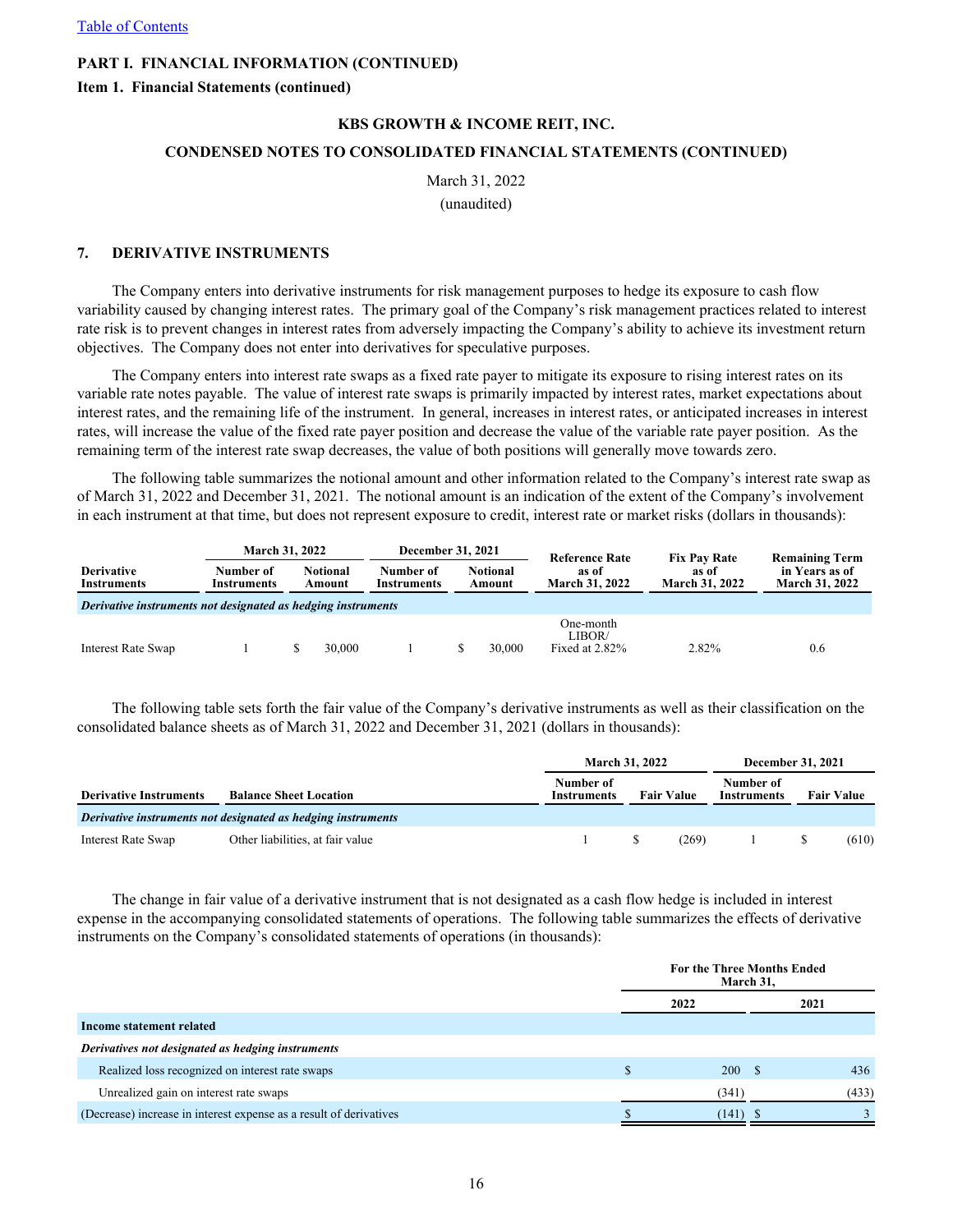**Item 1. Financial Statements (continued)**

#### **KBS GROWTH & INCOME REIT, INC.**

#### **CONDENSED NOTES TO CONSOLIDATED FINANCIAL STATEMENTS (CONTINUED)**

# March 31, 2022

(unaudited)

#### **7. DERIVATIVE INSTRUMENTS**

The Company enters into derivative instruments for risk management purposes to hedge its exposure to cash flow variability caused by changing interest rates. The primary goal of the Company's risk management practices related to interest rate risk is to prevent changes in interest rates from adversely impacting the Company's ability to achieve its investment return objectives. The Company does not enter into derivatives for speculative purposes.

The Company enters into interest rate swaps as a fixed rate payer to mitigate its exposure to rising interest rates on its variable rate notes payable. The value of interest rate swaps is primarily impacted by interest rates, market expectations about interest rates, and the remaining life of the instrument. In general, increases in interest rates, or anticipated increases in interest rates, will increase the value of the fixed rate payer position and decrease the value of the variable rate payer position. As the remaining term of the interest rate swap decreases, the value of both positions will generally move towards zero.

The following table summarizes the notional amount and other information related to the Company's interest rate swap as of March 31, 2022 and December 31, 2021. The notional amount is an indication of the extent of the Company's involvement in each instrument at that time, but does not represent exposure to credit, interest rate or market risks (dollars in thousands):

|                                                              | <b>March 31, 2022</b>           |                           | <b>December 31, 2021</b> |                          |                           | <b>Reference Rate</b> | <b>Fix Pay Rate</b>                      | <b>Remaining Term</b>          |                                         |
|--------------------------------------------------------------|---------------------------------|---------------------------|--------------------------|--------------------------|---------------------------|-----------------------|------------------------------------------|--------------------------------|-----------------------------------------|
| <b>Derivative</b><br>Instruments                             | Number of<br><b>Instruments</b> | <b>Notional</b><br>Amount |                          | Number of<br>Instruments | <b>Notional</b><br>Amount |                       | as of<br><b>March 31, 2022</b>           | as of<br><b>March 31, 2022</b> | in Years as of<br><b>March 31, 2022</b> |
| Derivative instruments not designated as hedging instruments |                                 |                           |                          |                          |                           |                       |                                          |                                |                                         |
| Interest Rate Swap                                           |                                 |                           | 30,000                   |                          |                           | 30,000                | One-month<br>LIBOR/<br>Fixed at $2.82\%$ | 2.82%                          | 0.6                                     |

The following table sets forth the fair value of the Company's derivative instruments as well as their classification on the consolidated balance sheets as of March 31, 2022 and December 31, 2021 (dollars in thousands):

|                               |                                                              | <b>March 31, 2022</b>           |                   | <b>December 31, 2021</b> |                                 |  |                   |
|-------------------------------|--------------------------------------------------------------|---------------------------------|-------------------|--------------------------|---------------------------------|--|-------------------|
| <b>Derivative Instruments</b> | <b>Balance Sheet Location</b>                                | Number of<br><b>Instruments</b> | <b>Fair Value</b> |                          | Number of<br><b>Instruments</b> |  | <b>Fair Value</b> |
|                               | Derivative instruments not designated as hedging instruments |                                 |                   |                          |                                 |  |                   |
| Interest Rate Swap            | Other liabilities, at fair value                             |                                 |                   | (269)                    |                                 |  | (610)             |

The change in fair value of a derivative instrument that is not designated as a cash flow hedge is included in interest expense in the accompanying consolidated statements of operations. The following table summarizes the effects of derivative instruments on the Company's consolidated statements of operations (in thousands):

|                                                                    | <b>For the Three Months Ended</b><br>March 31, |       |  |       |  |  |
|--------------------------------------------------------------------|------------------------------------------------|-------|--|-------|--|--|
|                                                                    | 2022                                           |       |  |       |  |  |
| Income statement related                                           |                                                |       |  |       |  |  |
| Derivatives not designated as hedging instruments                  |                                                |       |  |       |  |  |
| Realized loss recognized on interest rate swaps                    |                                                | 200S  |  | 436   |  |  |
| Unrealized gain on interest rate swaps                             |                                                | (341) |  | (433) |  |  |
| (Decrease) increase in interest expense as a result of derivatives |                                                | (141) |  |       |  |  |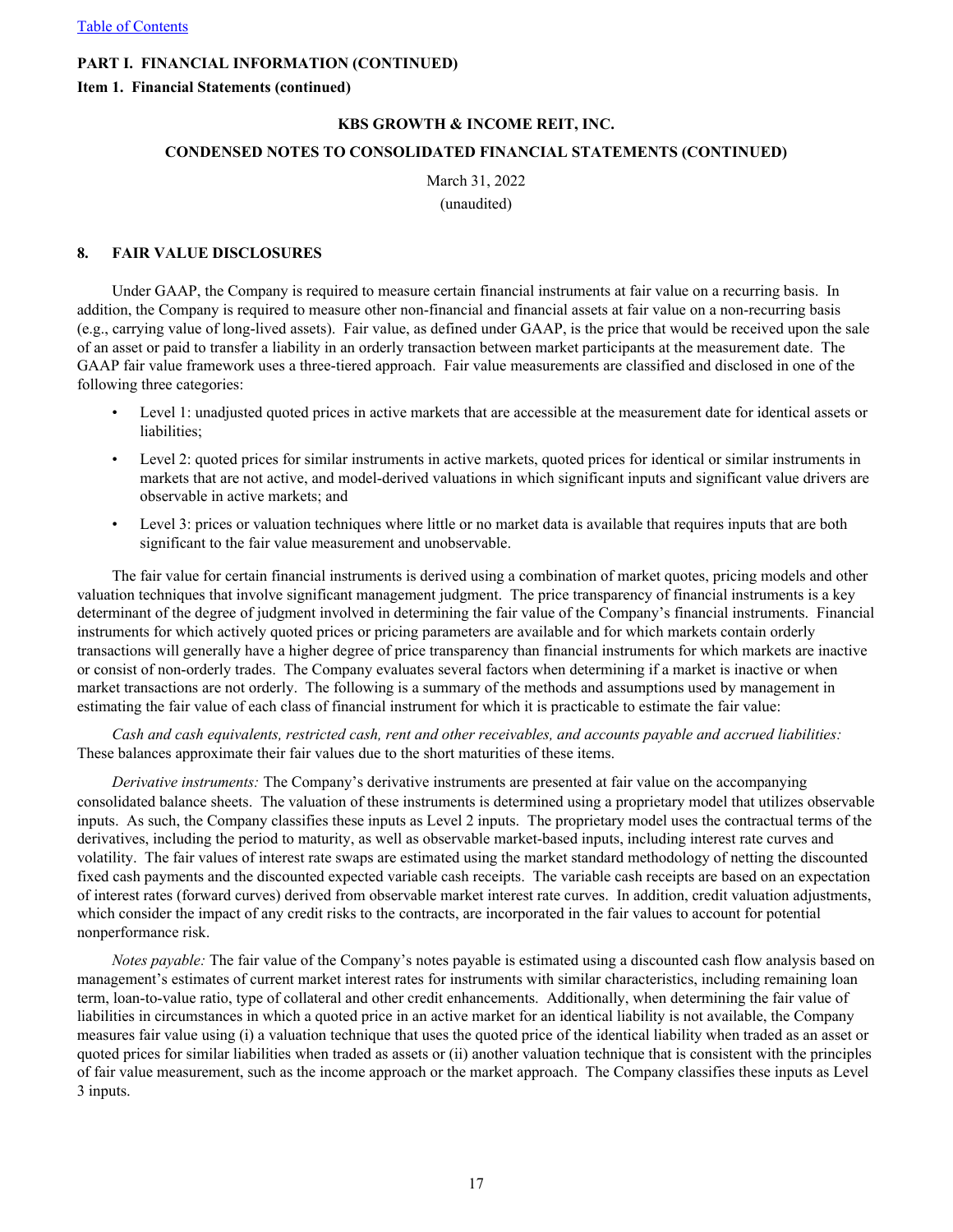**Item 1. Financial Statements (continued)**

#### **KBS GROWTH & INCOME REIT, INC.**

# **CONDENSED NOTES TO CONSOLIDATED FINANCIAL STATEMENTS (CONTINUED)**

March 31, 2022 (unaudited)

# **8. FAIR VALUE DISCLOSURES**

Under GAAP, the Company is required to measure certain financial instruments at fair value on a recurring basis. In addition, the Company is required to measure other non-financial and financial assets at fair value on a non-recurring basis (e.g., carrying value of long-lived assets). Fair value, as defined under GAAP, is the price that would be received upon the sale of an asset or paid to transfer a liability in an orderly transaction between market participants at the measurement date. The GAAP fair value framework uses a three-tiered approach. Fair value measurements are classified and disclosed in one of the following three categories:

- Level 1: unadjusted quoted prices in active markets that are accessible at the measurement date for identical assets or liabilities;
- Level 2: quoted prices for similar instruments in active markets, quoted prices for identical or similar instruments in markets that are not active, and model-derived valuations in which significant inputs and significant value drivers are observable in active markets; and
- Level 3: prices or valuation techniques where little or no market data is available that requires inputs that are both significant to the fair value measurement and unobservable.

The fair value for certain financial instruments is derived using a combination of market quotes, pricing models and other valuation techniques that involve significant management judgment. The price transparency of financial instruments is a key determinant of the degree of judgment involved in determining the fair value of the Company's financial instruments. Financial instruments for which actively quoted prices or pricing parameters are available and for which markets contain orderly transactions will generally have a higher degree of price transparency than financial instruments for which markets are inactive or consist of non-orderly trades. The Company evaluates several factors when determining if a market is inactive or when market transactions are not orderly. The following is a summary of the methods and assumptions used by management in estimating the fair value of each class of financial instrument for which it is practicable to estimate the fair value:

*Cash and cash equivalents, restricted cash, rent and other receivables, and accounts payable and accrued liabilities:* These balances approximate their fair values due to the short maturities of these items.

*Derivative instruments:* The Company's derivative instruments are presented at fair value on the accompanying consolidated balance sheets. The valuation of these instruments is determined using a proprietary model that utilizes observable inputs. As such, the Company classifies these inputs as Level 2 inputs. The proprietary model uses the contractual terms of the derivatives, including the period to maturity, as well as observable market-based inputs, including interest rate curves and volatility. The fair values of interest rate swaps are estimated using the market standard methodology of netting the discounted fixed cash payments and the discounted expected variable cash receipts. The variable cash receipts are based on an expectation of interest rates (forward curves) derived from observable market interest rate curves. In addition, credit valuation adjustments, which consider the impact of any credit risks to the contracts, are incorporated in the fair values to account for potential nonperformance risk.

*Notes payable:* The fair value of the Company's notes payable is estimated using a discounted cash flow analysis based on management's estimates of current market interest rates for instruments with similar characteristics, including remaining loan term, loan-to-value ratio, type of collateral and other credit enhancements. Additionally, when determining the fair value of liabilities in circumstances in which a quoted price in an active market for an identical liability is not available, the Company measures fair value using (i) a valuation technique that uses the quoted price of the identical liability when traded as an asset or quoted prices for similar liabilities when traded as assets or (ii) another valuation technique that is consistent with the principles of fair value measurement, such as the income approach or the market approach. The Company classifies these inputs as Level 3 inputs.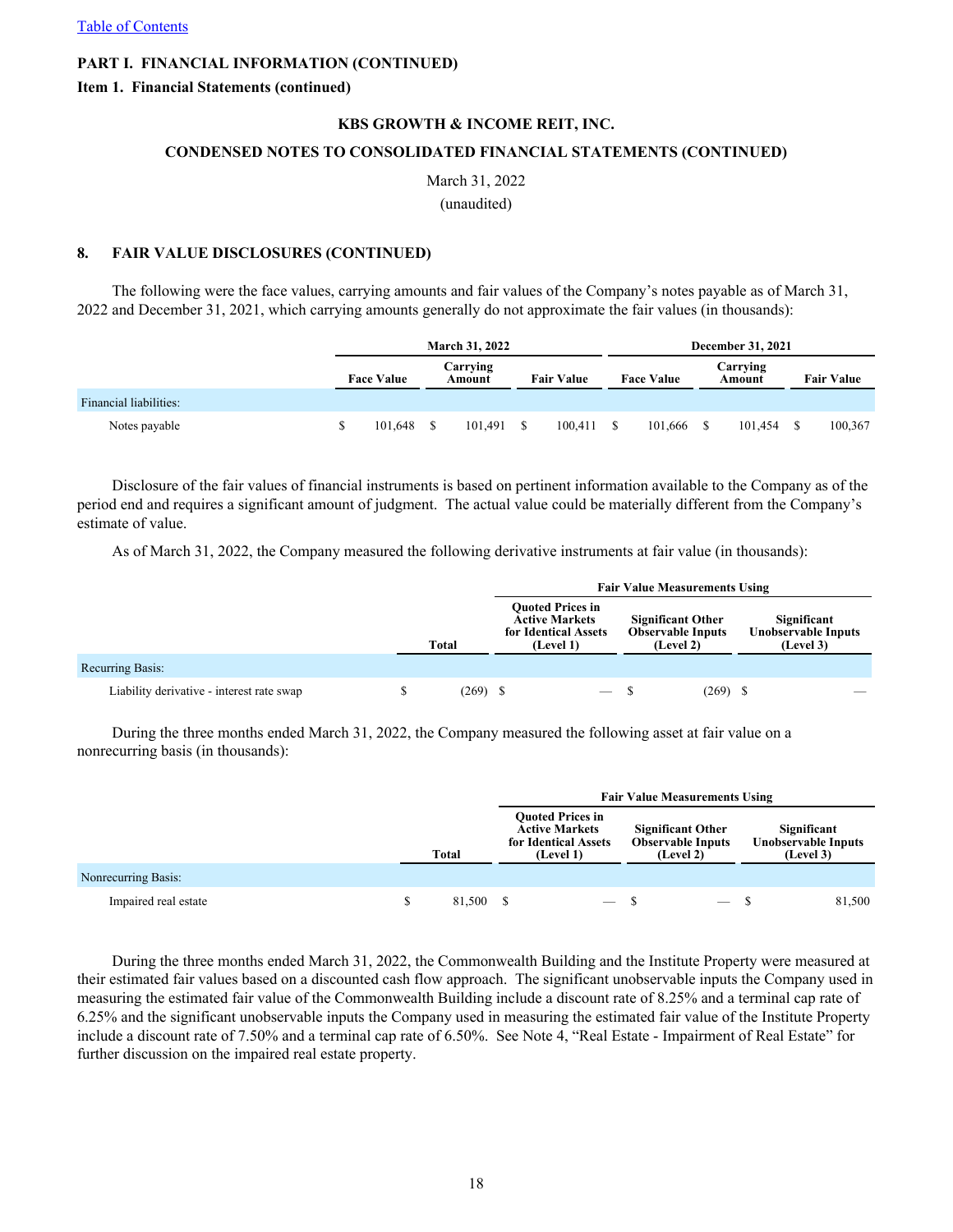#### **Item 1. Financial Statements (continued)**

#### **KBS GROWTH & INCOME REIT, INC.**

#### **CONDENSED NOTES TO CONSOLIDATED FINANCIAL STATEMENTS (CONTINUED)**

# March 31, 2022

(unaudited)

#### **8. FAIR VALUE DISCLOSURES (CONTINUED)**

The following were the face values, carrying amounts and fair values of the Company's notes payable as of March 31, 2022 and December 31, 2021, which carrying amounts generally do not approximate the fair values (in thousands):

|                        | <b>March 31, 2022</b> |         |  |                    |                   |         | December 31, 2021 |                   |  |                    |                   |         |  |
|------------------------|-----------------------|---------|--|--------------------|-------------------|---------|-------------------|-------------------|--|--------------------|-------------------|---------|--|
|                        | <b>Face Value</b>     |         |  | Carrying<br>Amount | <b>Fair Value</b> |         |                   | <b>Face Value</b> |  | Carrying<br>Amount | <b>Fair Value</b> |         |  |
| Financial liabilities: |                       |         |  |                    |                   |         |                   |                   |  |                    |                   |         |  |
| Notes payable          |                       | 101.648 |  | 101.491 S          |                   | 100.411 | -S                | 101.666           |  | 101.454            |                   | 100,367 |  |

Disclosure of the fair values of financial instruments is based on pertinent information available to the Company as of the period end and requires a significant amount of judgment. The actual value could be materially different from the Company's estimate of value.

As of March 31, 2022, the Company measured the following derivative instruments at fair value (in thousands):

|                                           | <b>Total</b> |            | <b>Ouoted Prices in</b><br><b>Active Markets</b><br>for Identical Assets<br>(Level 1) |                          | <b>Significant Other</b><br><b>Observable Inputs</b><br>(Level 2) |            |  | Significant<br><b>Unobservable Inputs</b><br>(Level 3) |
|-------------------------------------------|--------------|------------|---------------------------------------------------------------------------------------|--------------------------|-------------------------------------------------------------------|------------|--|--------------------------------------------------------|
| Recurring Basis:                          |              |            |                                                                                       |                          |                                                                   |            |  |                                                        |
| Liability derivative - interest rate swap |              | $(269)$ \$ |                                                                                       | $\overline{\phantom{m}}$ |                                                                   | $(269)$ \$ |  |                                                        |

During the three months ended March 31, 2022, the Company measured the following asset at fair value on a nonrecurring basis (in thousands):

|                      |              | <b>Fair Value Measurements Using</b>                                                  |                                                                   |  |                                                        |  |  |  |  |  |  |  |
|----------------------|--------------|---------------------------------------------------------------------------------------|-------------------------------------------------------------------|--|--------------------------------------------------------|--|--|--|--|--|--|--|
|                      | <b>Total</b> | <b>Ouoted Prices in</b><br><b>Active Markets</b><br>for Identical Assets<br>(Level 1) | <b>Significant Other</b><br><b>Observable Inputs</b><br>(Level 2) |  | Significant<br><b>Unobservable Inputs</b><br>(Level 3) |  |  |  |  |  |  |  |
| Nonrecurring Basis:  |              |                                                                                       |                                                                   |  |                                                        |  |  |  |  |  |  |  |
| Impaired real estate | 81.500       |                                                                                       |                                                                   |  | 81,500                                                 |  |  |  |  |  |  |  |

During the three months ended March 31, 2022, the Commonwealth Building and the Institute Property were measured at their estimated fair values based on a discounted cash flow approach. The significant unobservable inputs the Company used in measuring the estimated fair value of the Commonwealth Building include a discount rate of 8.25% and a terminal cap rate of 6.25% and the significant unobservable inputs the Company used in measuring the estimated fair value of the Institute Property include a discount rate of 7.50% and a terminal cap rate of 6.50%. See Note 4, "Real Estate - Impairment of Real Estate" for further discussion on the impaired real estate property.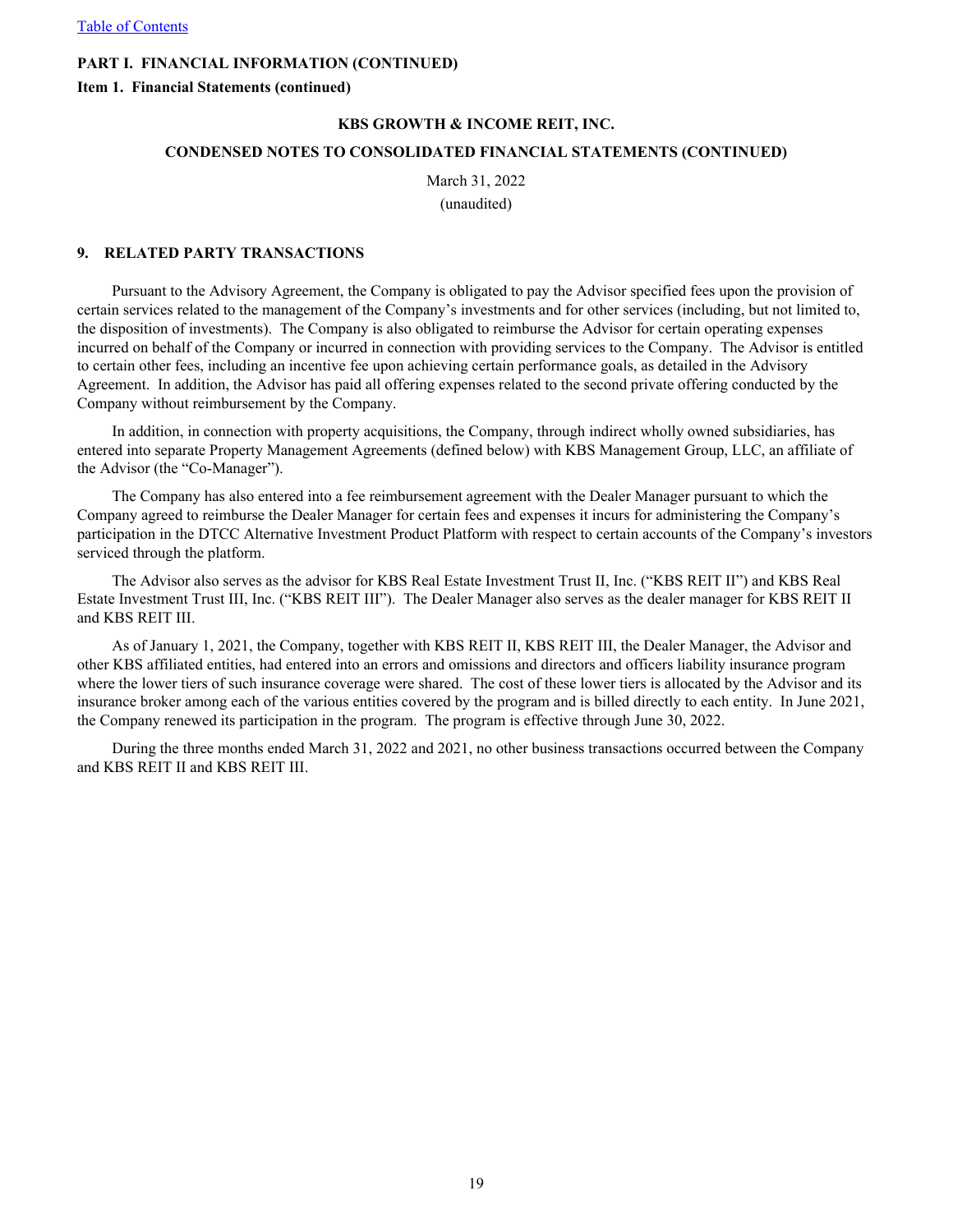**Item 1. Financial Statements (continued)**

#### **KBS GROWTH & INCOME REIT, INC.**

# **CONDENSED NOTES TO CONSOLIDATED FINANCIAL STATEMENTS (CONTINUED)**

March 31, 2022 (unaudited)

#### **9. RELATED PARTY TRANSACTIONS**

Pursuant to the Advisory Agreement, the Company is obligated to pay the Advisor specified fees upon the provision of certain services related to the management of the Company's investments and for other services (including, but not limited to, the disposition of investments). The Company is also obligated to reimburse the Advisor for certain operating expenses incurred on behalf of the Company or incurred in connection with providing services to the Company. The Advisor is entitled to certain other fees, including an incentive fee upon achieving certain performance goals, as detailed in the Advisory Agreement. In addition, the Advisor has paid all offering expenses related to the second private offering conducted by the Company without reimbursement by the Company.

In addition, in connection with property acquisitions, the Company, through indirect wholly owned subsidiaries, has entered into separate Property Management Agreements (defined below) with KBS Management Group, LLC, an affiliate of the Advisor (the "Co-Manager").

The Company has also entered into a fee reimbursement agreement with the Dealer Manager pursuant to which the Company agreed to reimburse the Dealer Manager for certain fees and expenses it incurs for administering the Company's participation in the DTCC Alternative Investment Product Platform with respect to certain accounts of the Company's investors serviced through the platform.

The Advisor also serves as the advisor for KBS Real Estate Investment Trust II, Inc. ("KBS REIT II") and KBS Real Estate Investment Trust III, Inc. ("KBS REIT III"). The Dealer Manager also serves as the dealer manager for KBS REIT II and KBS REIT III.

As of January 1, 2021, the Company, together with KBS REIT II, KBS REIT III, the Dealer Manager, the Advisor and other KBS affiliated entities, had entered into an errors and omissions and directors and officers liability insurance program where the lower tiers of such insurance coverage were shared. The cost of these lower tiers is allocated by the Advisor and its insurance broker among each of the various entities covered by the program and is billed directly to each entity. In June 2021, the Company renewed its participation in the program. The program is effective through June 30, 2022.

During the three months ended March 31, 2022 and 2021, no other business transactions occurred between the Company and KBS REIT II and KBS REIT III.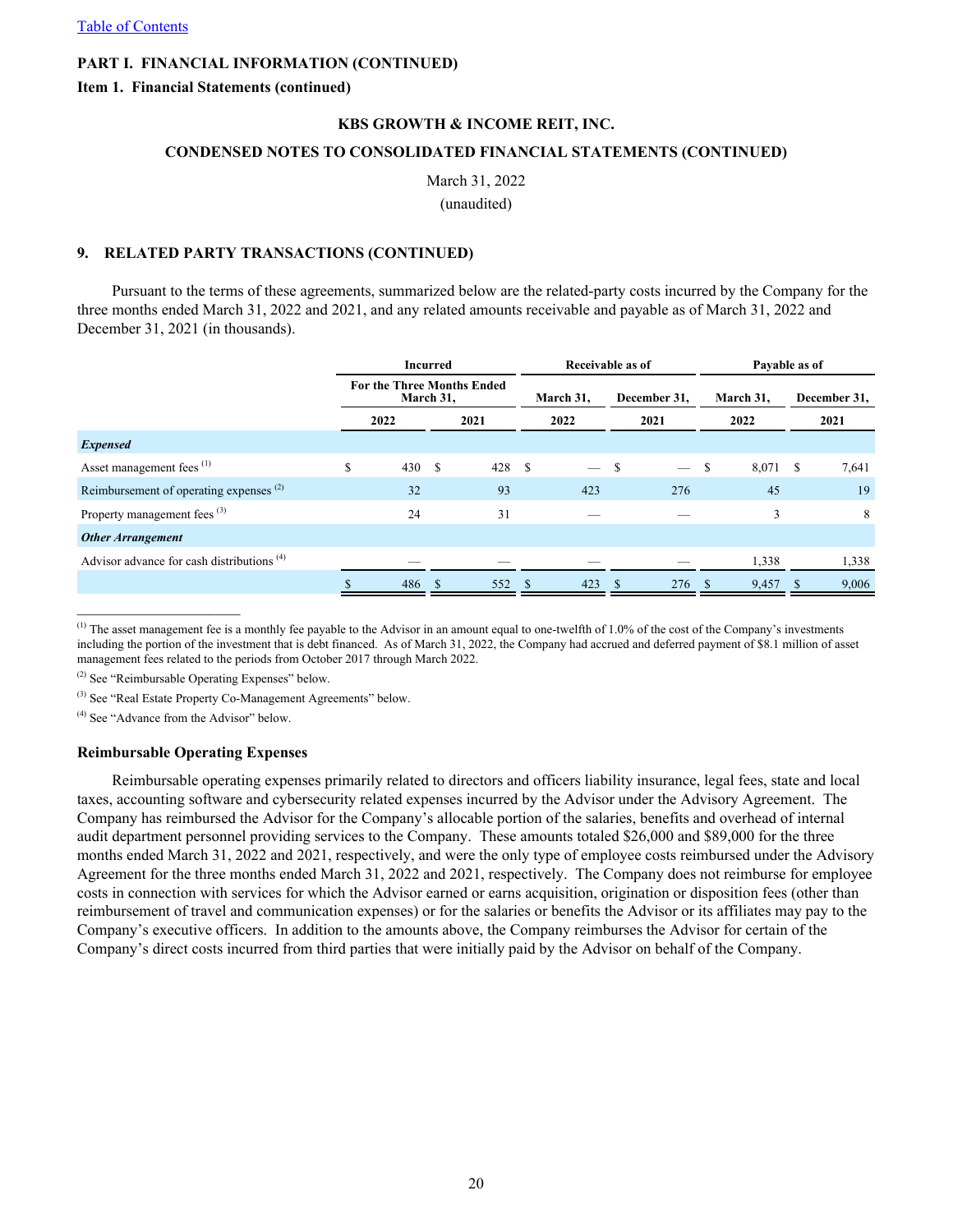#### **Item 1. Financial Statements (continued)**

#### **KBS GROWTH & INCOME REIT, INC.**

#### **CONDENSED NOTES TO CONSOLIDATED FINANCIAL STATEMENTS (CONTINUED)**

March 31, 2022

(unaudited)

#### **9. RELATED PARTY TRANSACTIONS (CONTINUED)**

Pursuant to the terms of these agreements, summarized below are the related-party costs incurred by the Company for the three months ended March 31, 2022 and 2021, and any related amounts receivable and payable as of March 31, 2022 and December 31, 2021 (in thousands).

|                                                       |                                                | <b>Incurred</b> |     |             | Receivable as of |           |              |                                 |   | Payable as of |               |              |  |
|-------------------------------------------------------|------------------------------------------------|-----------------|-----|-------------|------------------|-----------|--------------|---------------------------------|---|---------------|---------------|--------------|--|
|                                                       | <b>For the Three Months Ended</b><br>March 31, |                 |     |             |                  | March 31, | December 31, |                                 |   | March 31,     |               | December 31, |  |
|                                                       |                                                | 2022<br>2021    |     |             | 2022             |           | 2021         | 2022                            |   | 2021          |               |              |  |
| <b>Expensed</b>                                       |                                                |                 |     |             |                  |           |              |                                 |   |               |               |              |  |
| Asset management fees <sup>(1)</sup>                  | \$                                             | 430             | - S | $428 \quad$ |                  |           | S            | $\hspace{0.1mm}-\hspace{0.1mm}$ | S | 8,071         | <sup>\$</sup> | 7,641        |  |
| Reimbursement of operating expenses <sup>(2)</sup>    |                                                | 32              |     | 93          |                  | 423       |              | 276                             |   | 45            |               | 19           |  |
| Property management fees <sup>(3)</sup>               |                                                | 24              |     | 31          |                  |           |              |                                 |   | 3             |               | 8            |  |
| <b>Other Arrangement</b>                              |                                                |                 |     |             |                  |           |              |                                 |   |               |               |              |  |
| Advisor advance for cash distributions <sup>(4)</sup> |                                                |                 |     |             |                  |           |              |                                 |   | 1,338         |               | 1,338        |  |
|                                                       |                                                | 486 \$          |     | 552         | - \$             | 423       |              | 276S                            |   | 9,457         | -8            | 9,006        |  |
|                                                       |                                                |                 |     |             |                  |           |              |                                 |   |               |               |              |  |

 $<sup>(1)</sup>$  The asset management fee is a monthly fee payable to the Advisor in an amount equal to one-twelfth of 1.0% of the cost of the Company's investments</sup> including the portion of the investment that is debt financed. As of March 31, 2022, the Company had accrued and deferred payment of \$8.1 million of asset management fees related to the periods from October 2017 through March 2022.

(2) See "Reimbursable Operating Expenses" below.

(3) See "Real Estate Property Co-Management Agreements" below.

(4) See "Advance from the Advisor" below.

#### **Reimbursable Operating Expenses**

Reimbursable operating expenses primarily related to directors and officers liability insurance, legal fees, state and local taxes, accounting software and cybersecurity related expenses incurred by the Advisor under the Advisory Agreement. The Company has reimbursed the Advisor for the Company's allocable portion of the salaries, benefits and overhead of internal audit department personnel providing services to the Company. These amounts totaled \$26,000 and \$89,000 for the three months ended March 31, 2022 and 2021, respectively, and were the only type of employee costs reimbursed under the Advisory Agreement for the three months ended March 31, 2022 and 2021, respectively. The Company does not reimburse for employee costs in connection with services for which the Advisor earned or earns acquisition, origination or disposition fees (other than reimbursement of travel and communication expenses) or for the salaries or benefits the Advisor or its affiliates may pay to the Company's executive officers. In addition to the amounts above, the Company reimburses the Advisor for certain of the Company's direct costs incurred from third parties that were initially paid by the Advisor on behalf of the Company.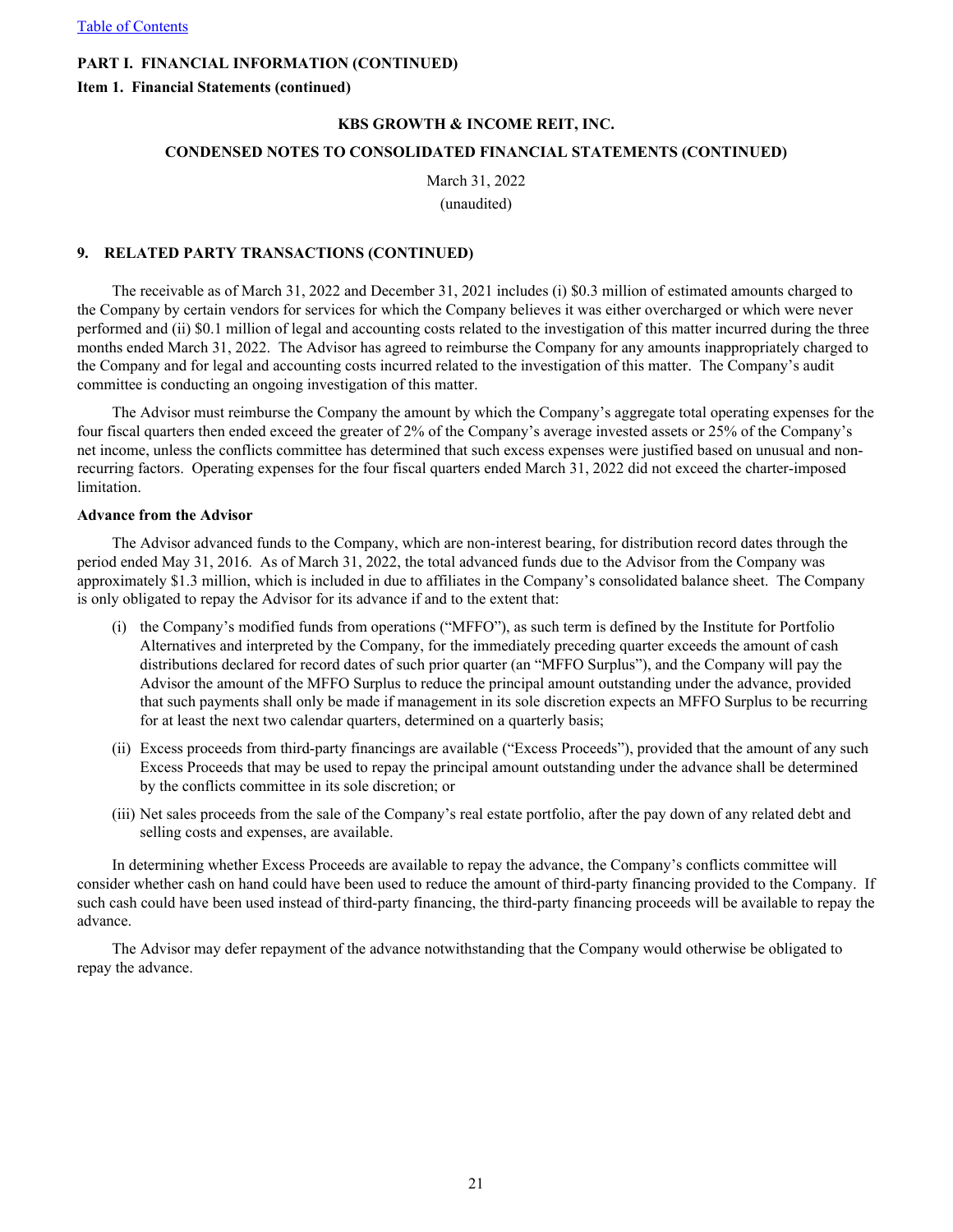**Item 1. Financial Statements (continued)**

#### **KBS GROWTH & INCOME REIT, INC.**

#### **CONDENSED NOTES TO CONSOLIDATED FINANCIAL STATEMENTS (CONTINUED)**

March 31, 2022 (unaudited)

#### **9. RELATED PARTY TRANSACTIONS (CONTINUED)**

The receivable as of March 31, 2022 and December 31, 2021 includes (i) \$0.3 million of estimated amounts charged to the Company by certain vendors for services for which the Company believes it was either overcharged or which were never performed and (ii) \$0.1 million of legal and accounting costs related to the investigation of this matter incurred during the three months ended March 31, 2022. The Advisor has agreed to reimburse the Company for any amounts inappropriately charged to the Company and for legal and accounting costs incurred related to the investigation of this matter. The Company's audit committee is conducting an ongoing investigation of this matter.

The Advisor must reimburse the Company the amount by which the Company's aggregate total operating expenses for the four fiscal quarters then ended exceed the greater of 2% of the Company's average invested assets or 25% of the Company's net income, unless the conflicts committee has determined that such excess expenses were justified based on unusual and nonrecurring factors. Operating expenses for the four fiscal quarters ended March 31, 2022 did not exceed the charter-imposed limitation.

#### **Advance from the Advisor**

The Advisor advanced funds to the Company, which are non-interest bearing, for distribution record dates through the period ended May 31, 2016. As of March 31, 2022, the total advanced funds due to the Advisor from the Company was approximately \$1.3 million, which is included in due to affiliates in the Company's consolidated balance sheet. The Company is only obligated to repay the Advisor for its advance if and to the extent that:

- (i) the Company's modified funds from operations ("MFFO"), as such term is defined by the Institute for Portfolio Alternatives and interpreted by the Company, for the immediately preceding quarter exceeds the amount of cash distributions declared for record dates of such prior quarter (an "MFFO Surplus"), and the Company will pay the Advisor the amount of the MFFO Surplus to reduce the principal amount outstanding under the advance, provided that such payments shall only be made if management in its sole discretion expects an MFFO Surplus to be recurring for at least the next two calendar quarters, determined on a quarterly basis;
- (ii) Excess proceeds from third-party financings are available ("Excess Proceeds"), provided that the amount of any such Excess Proceeds that may be used to repay the principal amount outstanding under the advance shall be determined by the conflicts committee in its sole discretion; or
- (iii) Net sales proceeds from the sale of the Company's real estate portfolio, after the pay down of any related debt and selling costs and expenses, are available.

In determining whether Excess Proceeds are available to repay the advance, the Company's conflicts committee will consider whether cash on hand could have been used to reduce the amount of third-party financing provided to the Company. If such cash could have been used instead of third-party financing, the third-party financing proceeds will be available to repay the advance.

The Advisor may defer repayment of the advance notwithstanding that the Company would otherwise be obligated to repay the advance.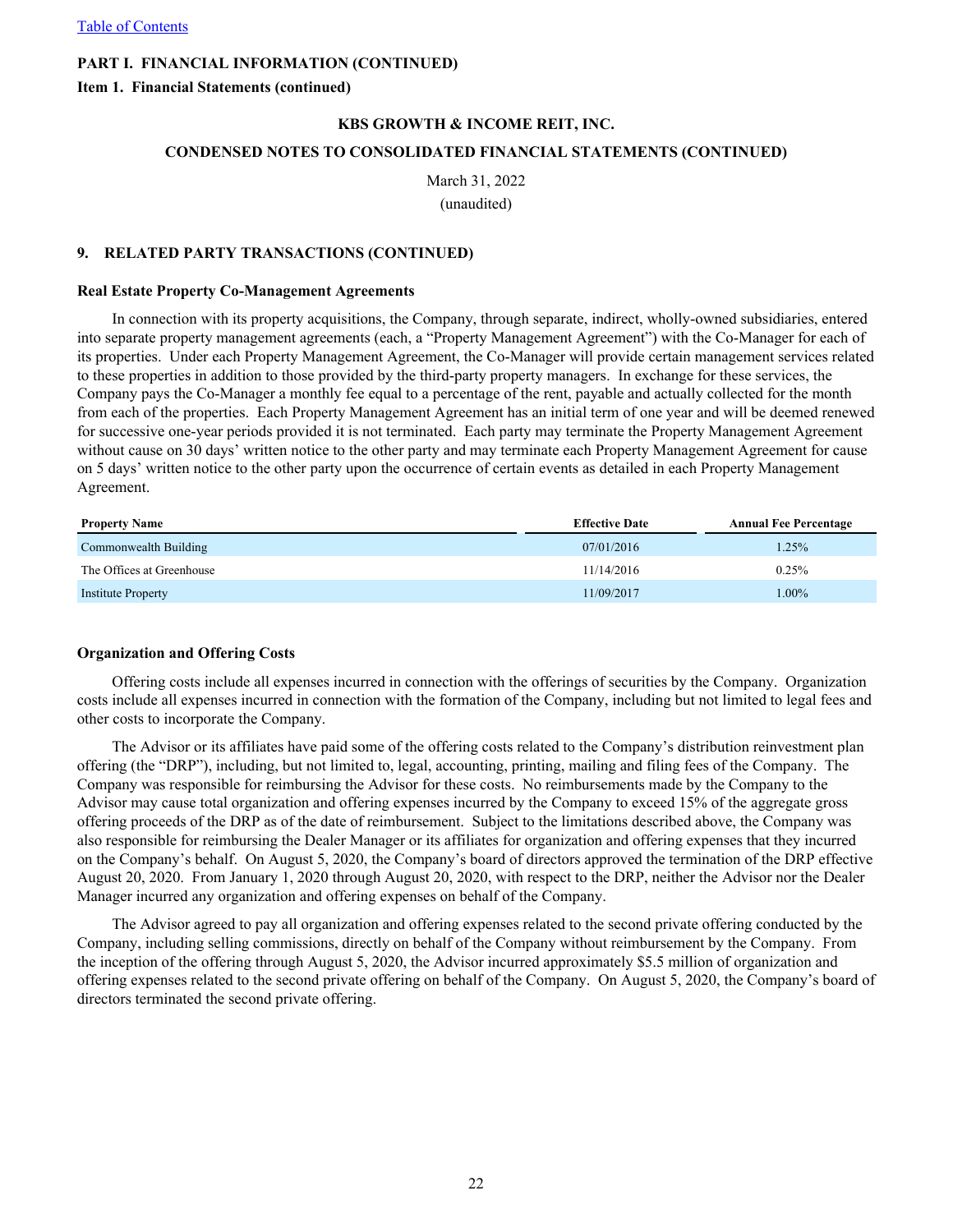**Item 1. Financial Statements (continued)**

#### **KBS GROWTH & INCOME REIT, INC.**

#### **CONDENSED NOTES TO CONSOLIDATED FINANCIAL STATEMENTS (CONTINUED)**

March 31, 2022

(unaudited)

#### **9. RELATED PARTY TRANSACTIONS (CONTINUED)**

#### **Real Estate Property Co-Management Agreements**

In connection with its property acquisitions, the Company, through separate, indirect, wholly-owned subsidiaries, entered into separate property management agreements (each, a "Property Management Agreement") with the Co-Manager for each of its properties. Under each Property Management Agreement, the Co-Manager will provide certain management services related to these properties in addition to those provided by the third-party property managers. In exchange for these services, the Company pays the Co-Manager a monthly fee equal to a percentage of the rent, payable and actually collected for the month from each of the properties. Each Property Management Agreement has an initial term of one year and will be deemed renewed for successive one-year periods provided it is not terminated. Each party may terminate the Property Management Agreement without cause on 30 days' written notice to the other party and may terminate each Property Management Agreement for cause on 5 days' written notice to the other party upon the occurrence of certain events as detailed in each Property Management Agreement.

| <b>Property Name</b>      | <b>Effective Date</b> | <b>Annual Fee Percentage</b> |
|---------------------------|-----------------------|------------------------------|
| Commonwealth Building     | 07/01/2016            | .25%                         |
| The Offices at Greenhouse | 11/14/2016            | 0.25%                        |
| Institute Property        | 11/09/2017            | $00\%$                       |

#### **Organization and Offering Costs**

Offering costs include all expenses incurred in connection with the offerings of securities by the Company. Organization costs include all expenses incurred in connection with the formation of the Company, including but not limited to legal fees and other costs to incorporate the Company.

The Advisor or its affiliates have paid some of the offering costs related to the Company's distribution reinvestment plan offering (the "DRP"), including, but not limited to, legal, accounting, printing, mailing and filing fees of the Company. The Company was responsible for reimbursing the Advisor for these costs. No reimbursements made by the Company to the Advisor may cause total organization and offering expenses incurred by the Company to exceed 15% of the aggregate gross offering proceeds of the DRP as of the date of reimbursement. Subject to the limitations described above, the Company was also responsible for reimbursing the Dealer Manager or its affiliates for organization and offering expenses that they incurred on the Company's behalf. On August 5, 2020, the Company's board of directors approved the termination of the DRP effective August 20, 2020. From January 1, 2020 through August 20, 2020, with respect to the DRP, neither the Advisor nor the Dealer Manager incurred any organization and offering expenses on behalf of the Company.

The Advisor agreed to pay all organization and offering expenses related to the second private offering conducted by the Company, including selling commissions, directly on behalf of the Company without reimbursement by the Company. From the inception of the offering through August 5, 2020, the Advisor incurred approximately \$5.5 million of organization and offering expenses related to the second private offering on behalf of the Company. On August 5, 2020, the Company's board of directors terminated the second private offering.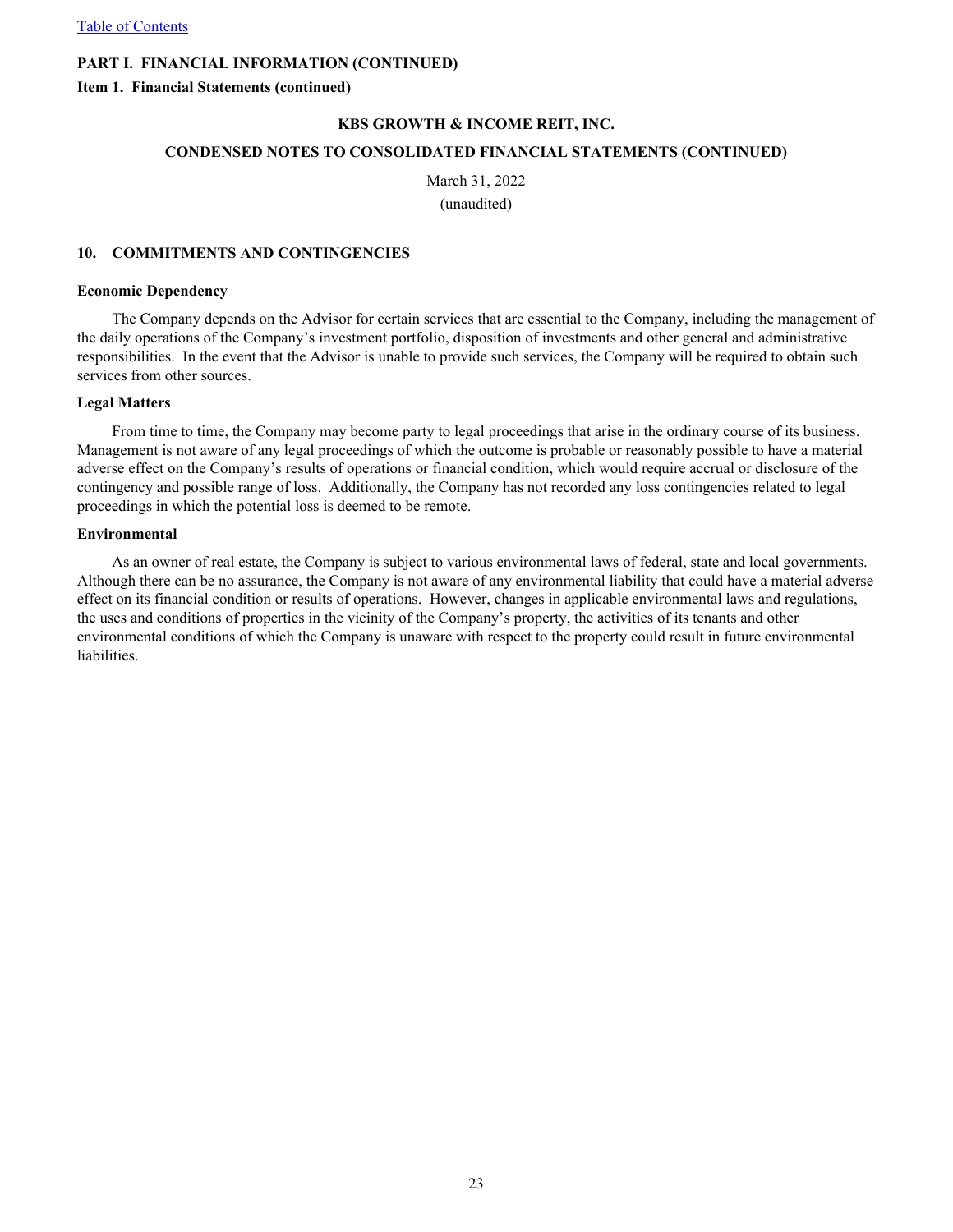**Item 1. Financial Statements (continued)**

#### **KBS GROWTH & INCOME REIT, INC.**

#### **CONDENSED NOTES TO CONSOLIDATED FINANCIAL STATEMENTS (CONTINUED)**

March 31, 2022 (unaudited)

#### **10. COMMITMENTS AND CONTINGENCIES**

#### **Economic Dependency**

The Company depends on the Advisor for certain services that are essential to the Company, including the management of the daily operations of the Company's investment portfolio, disposition of investments and other general and administrative responsibilities. In the event that the Advisor is unable to provide such services, the Company will be required to obtain such services from other sources.

#### **Legal Matters**

From time to time, the Company may become party to legal proceedings that arise in the ordinary course of its business. Management is not aware of any legal proceedings of which the outcome is probable or reasonably possible to have a material adverse effect on the Company's results of operations or financial condition, which would require accrual or disclosure of the contingency and possible range of loss. Additionally, the Company has not recorded any loss contingencies related to legal proceedings in which the potential loss is deemed to be remote.

#### **Environmental**

As an owner of real estate, the Company is subject to various environmental laws of federal, state and local governments. Although there can be no assurance, the Company is not aware of any environmental liability that could have a material adverse effect on its financial condition or results of operations. However, changes in applicable environmental laws and regulations, the uses and conditions of properties in the vicinity of the Company's property, the activities of its tenants and other environmental conditions of which the Company is unaware with respect to the property could result in future environmental liabilities.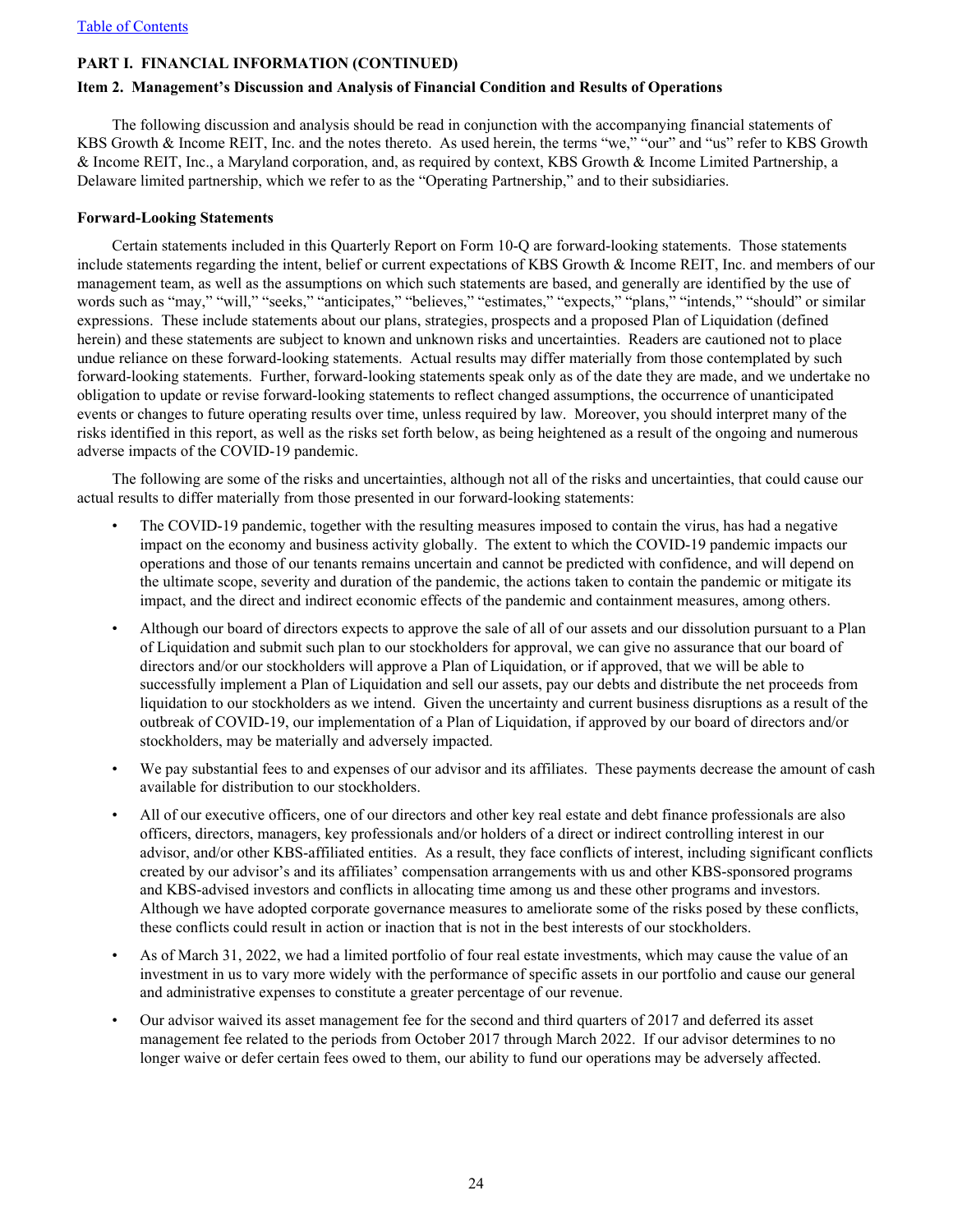#### <span id="page-24-0"></span>**Item 2. Management's Discussion and Analysis of Financial Condition and Results of Operations**

The following discussion and analysis should be read in conjunction with the accompanying financial statements of KBS Growth & Income REIT, Inc. and the notes thereto. As used herein, the terms "we," "our" and "us" refer to KBS Growth & Income REIT, Inc., a Maryland corporation, and, as required by context, KBS Growth & Income Limited Partnership, a Delaware limited partnership, which we refer to as the "Operating Partnership," and to their subsidiaries.

#### **Forward-Looking Statements**

Certain statements included in this Quarterly Report on Form 10-Q are forward-looking statements. Those statements include statements regarding the intent, belief or current expectations of KBS Growth & Income REIT, Inc. and members of our management team, as well as the assumptions on which such statements are based, and generally are identified by the use of words such as "may," "will," "seeks," "anticipates," "believes," "estimates," "expects," "plans," "intends," "should" or similar expressions. These include statements about our plans, strategies, prospects and a proposed Plan of Liquidation (defined herein) and these statements are subject to known and unknown risks and uncertainties. Readers are cautioned not to place undue reliance on these forward-looking statements. Actual results may differ materially from those contemplated by such forward-looking statements. Further, forward-looking statements speak only as of the date they are made, and we undertake no obligation to update or revise forward-looking statements to reflect changed assumptions, the occurrence of unanticipated events or changes to future operating results over time, unless required by law. Moreover, you should interpret many of the risks identified in this report, as well as the risks set forth below, as being heightened as a result of the ongoing and numerous adverse impacts of the COVID-19 pandemic.

The following are some of the risks and uncertainties, although not all of the risks and uncertainties, that could cause our actual results to differ materially from those presented in our forward-looking statements:

- The COVID-19 pandemic, together with the resulting measures imposed to contain the virus, has had a negative impact on the economy and business activity globally. The extent to which the COVID-19 pandemic impacts our operations and those of our tenants remains uncertain and cannot be predicted with confidence, and will depend on the ultimate scope, severity and duration of the pandemic, the actions taken to contain the pandemic or mitigate its impact, and the direct and indirect economic effects of the pandemic and containment measures, among others.
- Although our board of directors expects to approve the sale of all of our assets and our dissolution pursuant to a Plan of Liquidation and submit such plan to our stockholders for approval, we can give no assurance that our board of directors and/or our stockholders will approve a Plan of Liquidation, or if approved, that we will be able to successfully implement a Plan of Liquidation and sell our assets, pay our debts and distribute the net proceeds from liquidation to our stockholders as we intend. Given the uncertainty and current business disruptions as a result of the outbreak of COVID-19, our implementation of a Plan of Liquidation, if approved by our board of directors and/or stockholders, may be materially and adversely impacted.
- We pay substantial fees to and expenses of our advisor and its affiliates. These payments decrease the amount of cash available for distribution to our stockholders.
- All of our executive officers, one of our directors and other key real estate and debt finance professionals are also officers, directors, managers, key professionals and/or holders of a direct or indirect controlling interest in our advisor, and/or other KBS-affiliated entities. As a result, they face conflicts of interest, including significant conflicts created by our advisor's and its affiliates' compensation arrangements with us and other KBS-sponsored programs and KBS-advised investors and conflicts in allocating time among us and these other programs and investors. Although we have adopted corporate governance measures to ameliorate some of the risks posed by these conflicts, these conflicts could result in action or inaction that is not in the best interests of our stockholders.
- As of March 31, 2022, we had a limited portfolio of four real estate investments, which may cause the value of an investment in us to vary more widely with the performance of specific assets in our portfolio and cause our general and administrative expenses to constitute a greater percentage of our revenue.
- Our advisor waived its asset management fee for the second and third quarters of 2017 and deferred its asset management fee related to the periods from October 2017 through March 2022. If our advisor determines to no longer waive or defer certain fees owed to them, our ability to fund our operations may be adversely affected.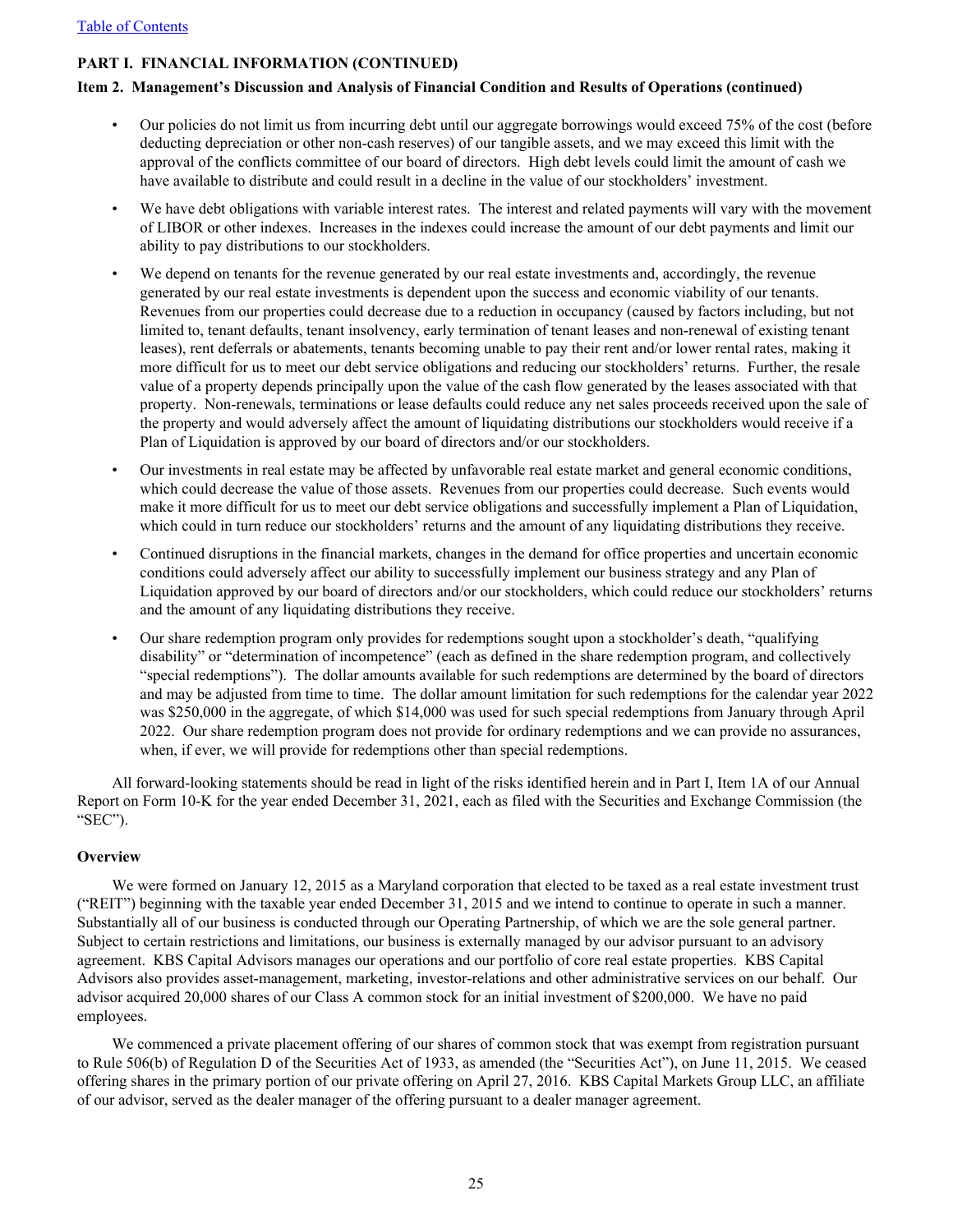### **Item 2. Management's Discussion and Analysis of Financial Condition and Results of Operations (continued)**

- Our policies do not limit us from incurring debt until our aggregate borrowings would exceed 75% of the cost (before deducting depreciation or other non-cash reserves) of our tangible assets, and we may exceed this limit with the approval of the conflicts committee of our board of directors. High debt levels could limit the amount of cash we have available to distribute and could result in a decline in the value of our stockholders' investment.
- We have debt obligations with variable interest rates. The interest and related payments will vary with the movement of LIBOR or other indexes. Increases in the indexes could increase the amount of our debt payments and limit our ability to pay distributions to our stockholders.
- We depend on tenants for the revenue generated by our real estate investments and, accordingly, the revenue generated by our real estate investments is dependent upon the success and economic viability of our tenants. Revenues from our properties could decrease due to a reduction in occupancy (caused by factors including, but not limited to, tenant defaults, tenant insolvency, early termination of tenant leases and non-renewal of existing tenant leases), rent deferrals or abatements, tenants becoming unable to pay their rent and/or lower rental rates, making it more difficult for us to meet our debt service obligations and reducing our stockholders' returns. Further, the resale value of a property depends principally upon the value of the cash flow generated by the leases associated with that property. Non-renewals, terminations or lease defaults could reduce any net sales proceeds received upon the sale of the property and would adversely affect the amount of liquidating distributions our stockholders would receive if a Plan of Liquidation is approved by our board of directors and/or our stockholders.
- Our investments in real estate may be affected by unfavorable real estate market and general economic conditions, which could decrease the value of those assets. Revenues from our properties could decrease. Such events would make it more difficult for us to meet our debt service obligations and successfully implement a Plan of Liquidation, which could in turn reduce our stockholders' returns and the amount of any liquidating distributions they receive.
- Continued disruptions in the financial markets, changes in the demand for office properties and uncertain economic conditions could adversely affect our ability to successfully implement our business strategy and any Plan of Liquidation approved by our board of directors and/or our stockholders, which could reduce our stockholders' returns and the amount of any liquidating distributions they receive.
- Our share redemption program only provides for redemptions sought upon a stockholder's death, "qualifying disability" or "determination of incompetence" (each as defined in the share redemption program, and collectively "special redemptions"). The dollar amounts available for such redemptions are determined by the board of directors and may be adjusted from time to time. The dollar amount limitation for such redemptions for the calendar year 2022 was \$250,000 in the aggregate, of which \$14,000 was used for such special redemptions from January through April 2022. Our share redemption program does not provide for ordinary redemptions and we can provide no assurances, when, if ever, we will provide for redemptions other than special redemptions.

All forward-looking statements should be read in light of the risks identified herein and in Part I, Item 1A of our Annual Report on Form 10-K for the year ended December 31, 2021, each as filed with the Securities and Exchange Commission (the "SEC").

#### **Overview**

We were formed on January 12, 2015 as a Maryland corporation that elected to be taxed as a real estate investment trust ("REIT") beginning with the taxable year ended December 31, 2015 and we intend to continue to operate in such a manner. Substantially all of our business is conducted through our Operating Partnership, of which we are the sole general partner. Subject to certain restrictions and limitations, our business is externally managed by our advisor pursuant to an advisory agreement. KBS Capital Advisors manages our operations and our portfolio of core real estate properties. KBS Capital Advisors also provides asset-management, marketing, investor-relations and other administrative services on our behalf. Our advisor acquired 20,000 shares of our Class A common stock for an initial investment of \$200,000. We have no paid employees.

We commenced a private placement offering of our shares of common stock that was exempt from registration pursuant to Rule 506(b) of Regulation D of the Securities Act of 1933, as amended (the "Securities Act"), on June 11, 2015. We ceased offering shares in the primary portion of our private offering on April 27, 2016. KBS Capital Markets Group LLC, an affiliate of our advisor, served as the dealer manager of the offering pursuant to a dealer manager agreement.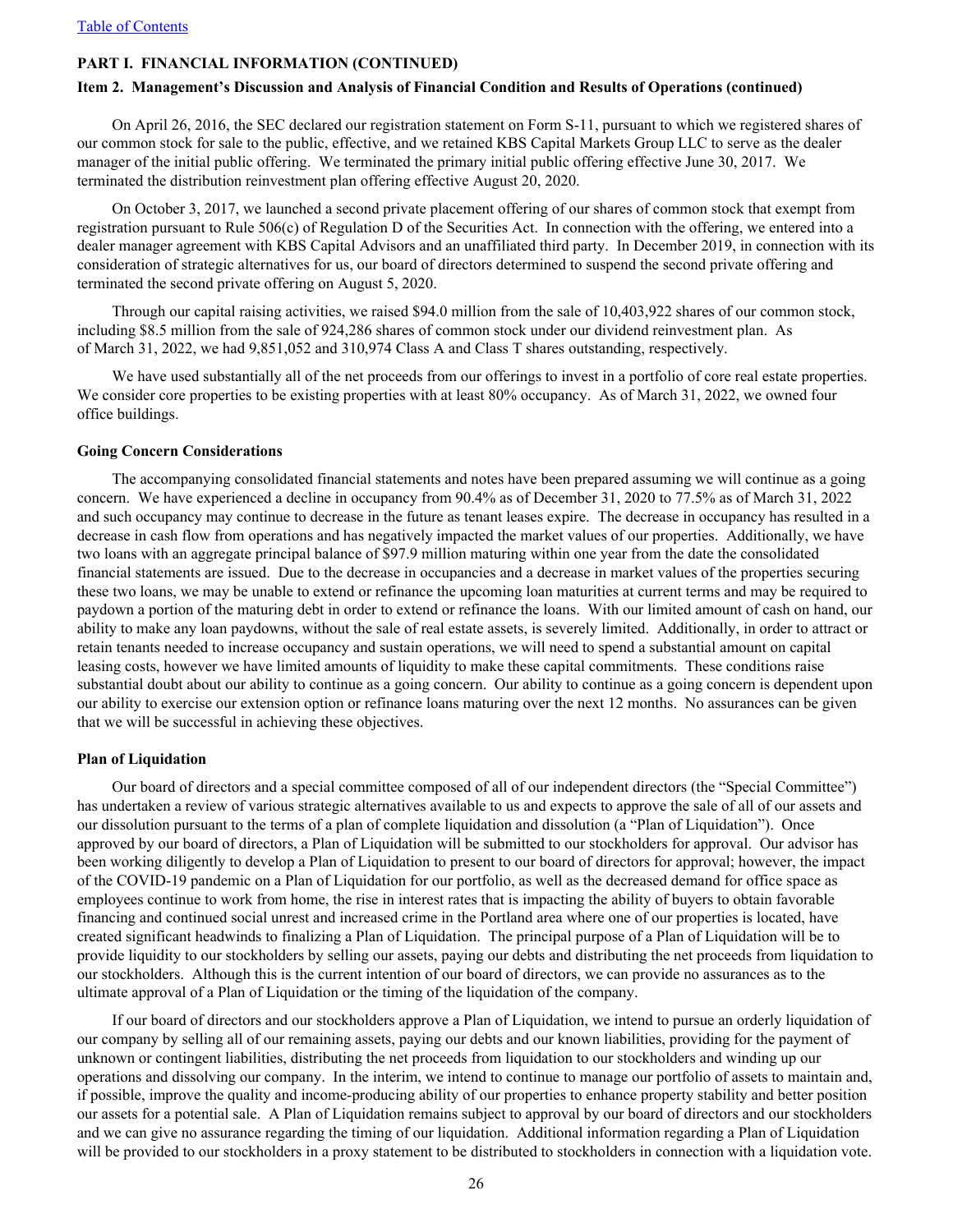#### **Item 2. Management's Discussion and Analysis of Financial Condition and Results of Operations (continued)**

On April 26, 2016, the SEC declared our registration statement on Form S-11, pursuant to which we registered shares of our common stock for sale to the public, effective, and we retained KBS Capital Markets Group LLC to serve as the dealer manager of the initial public offering. We terminated the primary initial public offering effective June 30, 2017. We terminated the distribution reinvestment plan offering effective August 20, 2020.

On October 3, 2017, we launched a second private placement offering of our shares of common stock that exempt from registration pursuant to Rule 506(c) of Regulation D of the Securities Act. In connection with the offering, we entered into a dealer manager agreement with KBS Capital Advisors and an unaffiliated third party. In December 2019, in connection with its consideration of strategic alternatives for us, our board of directors determined to suspend the second private offering and terminated the second private offering on August 5, 2020.

Through our capital raising activities, we raised \$94.0 million from the sale of 10,403,922 shares of our common stock, including \$8.5 million from the sale of 924,286 shares of common stock under our dividend reinvestment plan. As of March 31, 2022, we had 9,851,052 and 310,974 Class A and Class T shares outstanding, respectively.

We have used substantially all of the net proceeds from our offerings to invest in a portfolio of core real estate properties. We consider core properties to be existing properties with at least 80% occupancy. As of March 31, 2022, we owned four office buildings.

#### **Going Concern Considerations**

The accompanying consolidated financial statements and notes have been prepared assuming we will continue as a going concern. We have experienced a decline in occupancy from 90.4% as of December 31, 2020 to 77.5% as of March 31, 2022 and such occupancy may continue to decrease in the future as tenant leases expire. The decrease in occupancy has resulted in a decrease in cash flow from operations and has negatively impacted the market values of our properties. Additionally, we have two loans with an aggregate principal balance of \$97.9 million maturing within one year from the date the consolidated financial statements are issued. Due to the decrease in occupancies and a decrease in market values of the properties securing these two loans, we may be unable to extend or refinance the upcoming loan maturities at current terms and may be required to paydown a portion of the maturing debt in order to extend or refinance the loans. With our limited amount of cash on hand, our ability to make any loan paydowns, without the sale of real estate assets, is severely limited. Additionally, in order to attract or retain tenants needed to increase occupancy and sustain operations, we will need to spend a substantial amount on capital leasing costs, however we have limited amounts of liquidity to make these capital commitments. These conditions raise substantial doubt about our ability to continue as a going concern. Our ability to continue as a going concern is dependent upon our ability to exercise our extension option or refinance loans maturing over the next 12 months. No assurances can be given that we will be successful in achieving these objectives.

#### **Plan of Liquidation**

Our board of directors and a special committee composed of all of our independent directors (the "Special Committee") has undertaken a review of various strategic alternatives available to us and expects to approve the sale of all of our assets and our dissolution pursuant to the terms of a plan of complete liquidation and dissolution (a "Plan of Liquidation"). Once approved by our board of directors, a Plan of Liquidation will be submitted to our stockholders for approval. Our advisor has been working diligently to develop a Plan of Liquidation to present to our board of directors for approval; however, the impact of the COVID-19 pandemic on a Plan of Liquidation for our portfolio, as well as the decreased demand for office space as employees continue to work from home, the rise in interest rates that is impacting the ability of buyers to obtain favorable financing and continued social unrest and increased crime in the Portland area where one of our properties is located, have created significant headwinds to finalizing a Plan of Liquidation. The principal purpose of a Plan of Liquidation will be to provide liquidity to our stockholders by selling our assets, paying our debts and distributing the net proceeds from liquidation to our stockholders. Although this is the current intention of our board of directors, we can provide no assurances as to the ultimate approval of a Plan of Liquidation or the timing of the liquidation of the company.

If our board of directors and our stockholders approve a Plan of Liquidation, we intend to pursue an orderly liquidation of our company by selling all of our remaining assets, paying our debts and our known liabilities, providing for the payment of unknown or contingent liabilities, distributing the net proceeds from liquidation to our stockholders and winding up our operations and dissolving our company. In the interim, we intend to continue to manage our portfolio of assets to maintain and, if possible, improve the quality and income-producing ability of our properties to enhance property stability and better position our assets for a potential sale. A Plan of Liquidation remains subject to approval by our board of directors and our stockholders and we can give no assurance regarding the timing of our liquidation. Additional information regarding a Plan of Liquidation will be provided to our stockholders in a proxy statement to be distributed to stockholders in connection with a liquidation vote.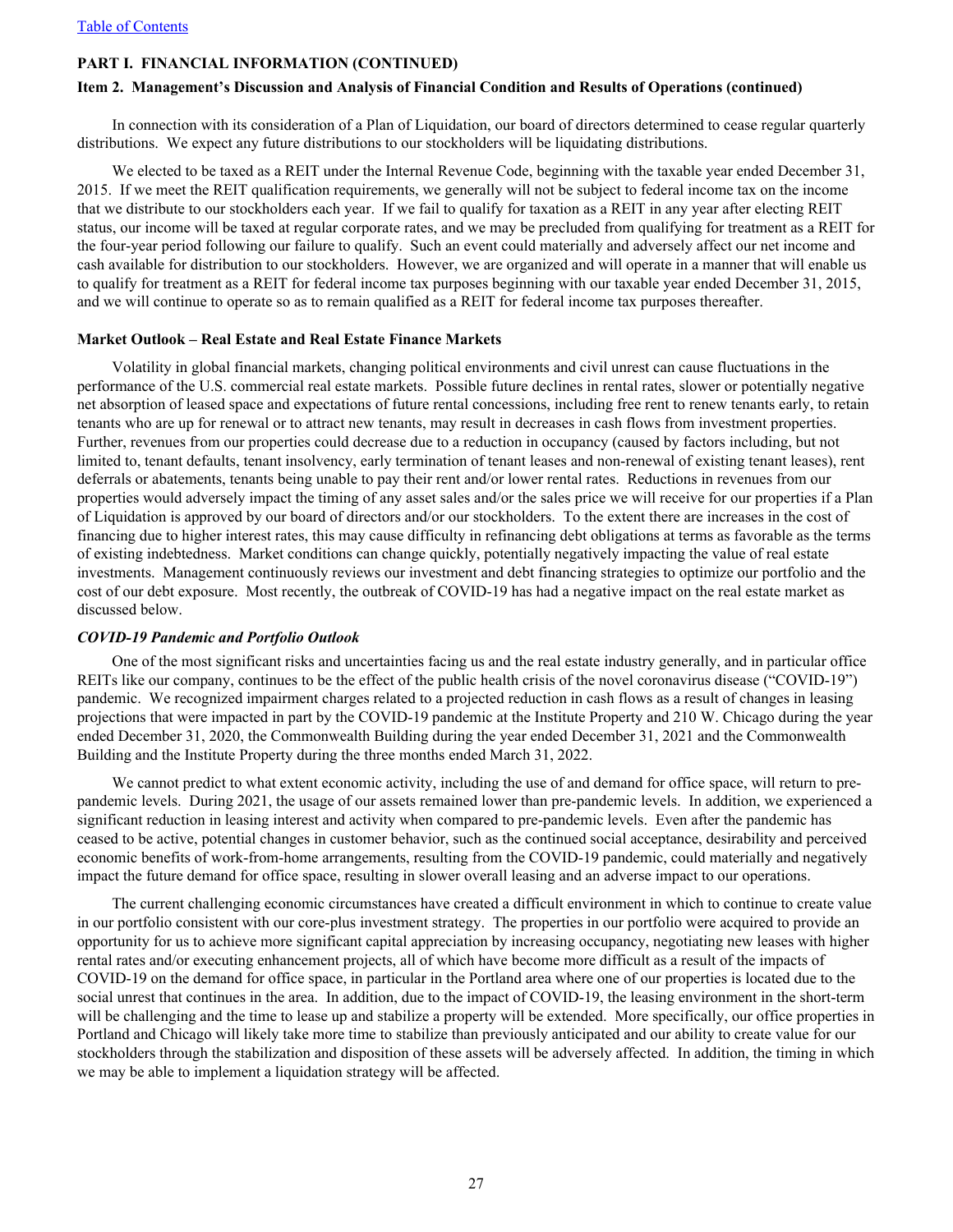#### **Item 2. Management's Discussion and Analysis of Financial Condition and Results of Operations (continued)**

In connection with its consideration of a Plan of Liquidation, our board of directors determined to cease regular quarterly distributions. We expect any future distributions to our stockholders will be liquidating distributions.

We elected to be taxed as a REIT under the Internal Revenue Code, beginning with the taxable year ended December 31, 2015. If we meet the REIT qualification requirements, we generally will not be subject to federal income tax on the income that we distribute to our stockholders each year. If we fail to qualify for taxation as a REIT in any year after electing REIT status, our income will be taxed at regular corporate rates, and we may be precluded from qualifying for treatment as a REIT for the four-year period following our failure to qualify. Such an event could materially and adversely affect our net income and cash available for distribution to our stockholders. However, we are organized and will operate in a manner that will enable us to qualify for treatment as a REIT for federal income tax purposes beginning with our taxable year ended December 31, 2015, and we will continue to operate so as to remain qualified as a REIT for federal income tax purposes thereafter.

#### **Market Outlook – Real Estate and Real Estate Finance Markets**

Volatility in global financial markets, changing political environments and civil unrest can cause fluctuations in the performance of the U.S. commercial real estate markets. Possible future declines in rental rates, slower or potentially negative net absorption of leased space and expectations of future rental concessions, including free rent to renew tenants early, to retain tenants who are up for renewal or to attract new tenants, may result in decreases in cash flows from investment properties. Further, revenues from our properties could decrease due to a reduction in occupancy (caused by factors including, but not limited to, tenant defaults, tenant insolvency, early termination of tenant leases and non-renewal of existing tenant leases), rent deferrals or abatements, tenants being unable to pay their rent and/or lower rental rates. Reductions in revenues from our properties would adversely impact the timing of any asset sales and/or the sales price we will receive for our properties if a Plan of Liquidation is approved by our board of directors and/or our stockholders. To the extent there are increases in the cost of financing due to higher interest rates, this may cause difficulty in refinancing debt obligations at terms as favorable as the terms of existing indebtedness. Market conditions can change quickly, potentially negatively impacting the value of real estate investments. Management continuously reviews our investment and debt financing strategies to optimize our portfolio and the cost of our debt exposure. Most recently, the outbreak of COVID-19 has had a negative impact on the real estate market as discussed below.

#### *COVID-19 Pandemic and Portfolio Outlook*

One of the most significant risks and uncertainties facing us and the real estate industry generally, and in particular office REITs like our company, continues to be the effect of the public health crisis of the novel coronavirus disease ("COVID-19") pandemic. We recognized impairment charges related to a projected reduction in cash flows as a result of changes in leasing projections that were impacted in part by the COVID-19 pandemic at the Institute Property and 210 W. Chicago during the year ended December 31, 2020, the Commonwealth Building during the year ended December 31, 2021 and the Commonwealth Building and the Institute Property during the three months ended March 31, 2022.

We cannot predict to what extent economic activity, including the use of and demand for office space, will return to prepandemic levels. During 2021, the usage of our assets remained lower than pre-pandemic levels. In addition, we experienced a significant reduction in leasing interest and activity when compared to pre-pandemic levels. Even after the pandemic has ceased to be active, potential changes in customer behavior, such as the continued social acceptance, desirability and perceived economic benefits of work-from-home arrangements, resulting from the COVID-19 pandemic, could materially and negatively impact the future demand for office space, resulting in slower overall leasing and an adverse impact to our operations.

The current challenging economic circumstances have created a difficult environment in which to continue to create value in our portfolio consistent with our core-plus investment strategy. The properties in our portfolio were acquired to provide an opportunity for us to achieve more significant capital appreciation by increasing occupancy, negotiating new leases with higher rental rates and/or executing enhancement projects, all of which have become more difficult as a result of the impacts of COVID-19 on the demand for office space, in particular in the Portland area where one of our properties is located due to the social unrest that continues in the area. In addition, due to the impact of COVID-19, the leasing environment in the short-term will be challenging and the time to lease up and stabilize a property will be extended. More specifically, our office properties in Portland and Chicago will likely take more time to stabilize than previously anticipated and our ability to create value for our stockholders through the stabilization and disposition of these assets will be adversely affected. In addition, the timing in which we may be able to implement a liquidation strategy will be affected.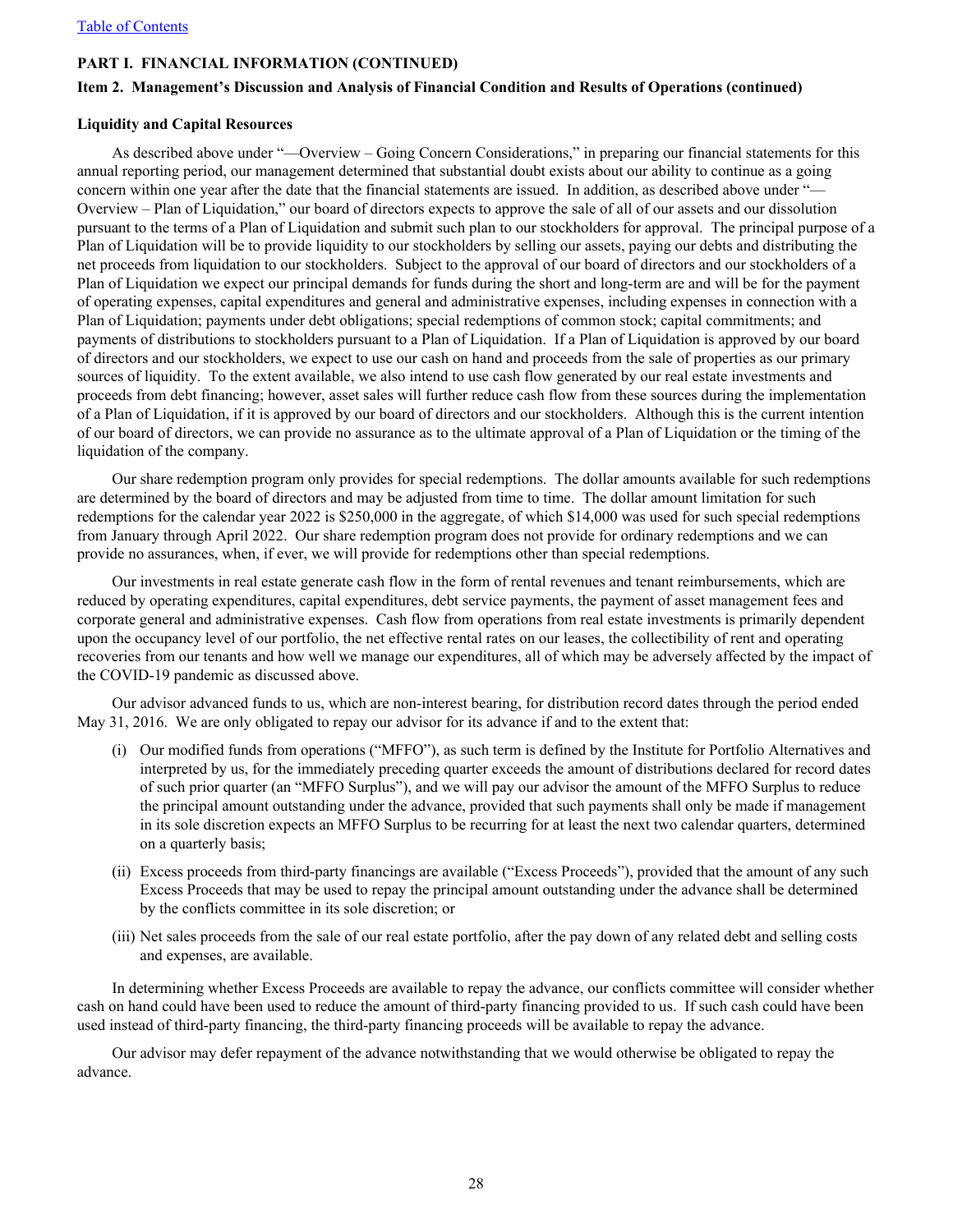#### **Item 2. Management's Discussion and Analysis of Financial Condition and Results of Operations (continued)**

#### **Liquidity and Capital Resources**

As described above under "—Overview – Going Concern Considerations," in preparing our financial statements for this annual reporting period, our management determined that substantial doubt exists about our ability to continue as a going concern within one year after the date that the financial statements are issued. In addition, as described above under "— Overview – Plan of Liquidation," our board of directors expects to approve the sale of all of our assets and our dissolution pursuant to the terms of a Plan of Liquidation and submit such plan to our stockholders for approval. The principal purpose of a Plan of Liquidation will be to provide liquidity to our stockholders by selling our assets, paying our debts and distributing the net proceeds from liquidation to our stockholders. Subject to the approval of our board of directors and our stockholders of a Plan of Liquidation we expect our principal demands for funds during the short and long-term are and will be for the payment of operating expenses, capital expenditures and general and administrative expenses, including expenses in connection with a Plan of Liquidation; payments under debt obligations; special redemptions of common stock; capital commitments; and payments of distributions to stockholders pursuant to a Plan of Liquidation. If a Plan of Liquidation is approved by our board of directors and our stockholders, we expect to use our cash on hand and proceeds from the sale of properties as our primary sources of liquidity. To the extent available, we also intend to use cash flow generated by our real estate investments and proceeds from debt financing; however, asset sales will further reduce cash flow from these sources during the implementation of a Plan of Liquidation, if it is approved by our board of directors and our stockholders. Although this is the current intention of our board of directors, we can provide no assurance as to the ultimate approval of a Plan of Liquidation or the timing of the liquidation of the company.

Our share redemption program only provides for special redemptions. The dollar amounts available for such redemptions are determined by the board of directors and may be adjusted from time to time. The dollar amount limitation for such redemptions for the calendar year 2022 is \$250,000 in the aggregate, of which \$14,000 was used for such special redemptions from January through April 2022. Our share redemption program does not provide for ordinary redemptions and we can provide no assurances, when, if ever, we will provide for redemptions other than special redemptions.

Our investments in real estate generate cash flow in the form of rental revenues and tenant reimbursements, which are reduced by operating expenditures, capital expenditures, debt service payments, the payment of asset management fees and corporate general and administrative expenses. Cash flow from operations from real estate investments is primarily dependent upon the occupancy level of our portfolio, the net effective rental rates on our leases, the collectibility of rent and operating recoveries from our tenants and how well we manage our expenditures, all of which may be adversely affected by the impact of the COVID-19 pandemic as discussed above.

Our advisor advanced funds to us, which are non-interest bearing, for distribution record dates through the period ended May 31, 2016. We are only obligated to repay our advisor for its advance if and to the extent that:

- (i) Our modified funds from operations ("MFFO"), as such term is defined by the Institute for Portfolio Alternatives and interpreted by us, for the immediately preceding quarter exceeds the amount of distributions declared for record dates of such prior quarter (an "MFFO Surplus"), and we will pay our advisor the amount of the MFFO Surplus to reduce the principal amount outstanding under the advance, provided that such payments shall only be made if management in its sole discretion expects an MFFO Surplus to be recurring for at least the next two calendar quarters, determined on a quarterly basis;
- (ii) Excess proceeds from third-party financings are available ("Excess Proceeds"), provided that the amount of any such Excess Proceeds that may be used to repay the principal amount outstanding under the advance shall be determined by the conflicts committee in its sole discretion; or
- (iii) Net sales proceeds from the sale of our real estate portfolio, after the pay down of any related debt and selling costs and expenses, are available.

In determining whether Excess Proceeds are available to repay the advance, our conflicts committee will consider whether cash on hand could have been used to reduce the amount of third-party financing provided to us. If such cash could have been used instead of third-party financing, the third-party financing proceeds will be available to repay the advance.

Our advisor may defer repayment of the advance notwithstanding that we would otherwise be obligated to repay the advance.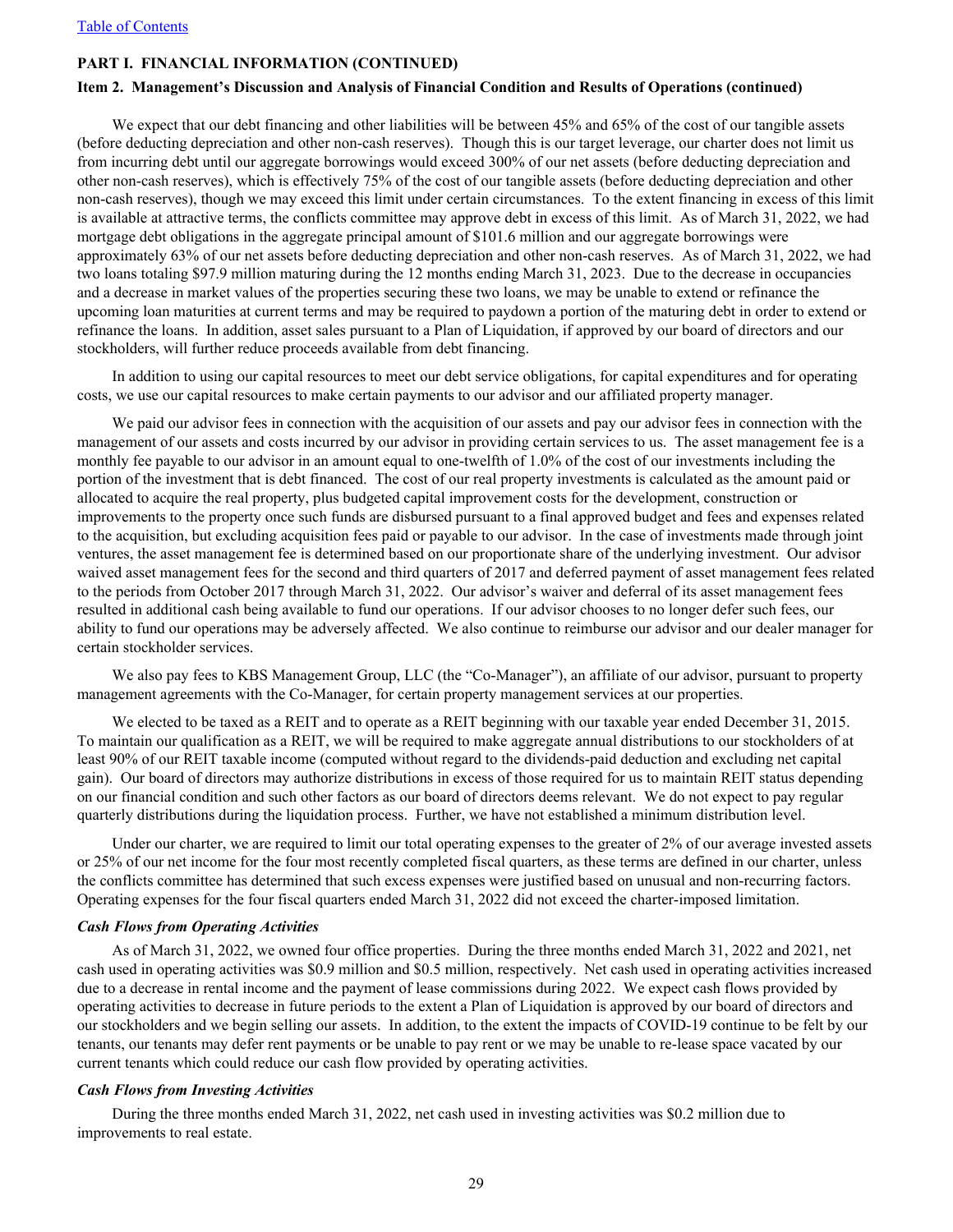#### **Item 2. Management's Discussion and Analysis of Financial Condition and Results of Operations (continued)**

We expect that our debt financing and other liabilities will be between 45% and 65% of the cost of our tangible assets (before deducting depreciation and other non-cash reserves). Though this is our target leverage, our charter does not limit us from incurring debt until our aggregate borrowings would exceed 300% of our net assets (before deducting depreciation and other non-cash reserves), which is effectively 75% of the cost of our tangible assets (before deducting depreciation and other non-cash reserves), though we may exceed this limit under certain circumstances. To the extent financing in excess of this limit is available at attractive terms, the conflicts committee may approve debt in excess of this limit. As of March 31, 2022, we had mortgage debt obligations in the aggregate principal amount of \$101.6 million and our aggregate borrowings were approximately 63% of our net assets before deducting depreciation and other non-cash reserves. As of March 31, 2022, we had two loans totaling \$97.9 million maturing during the 12 months ending March 31, 2023. Due to the decrease in occupancies and a decrease in market values of the properties securing these two loans, we may be unable to extend or refinance the upcoming loan maturities at current terms and may be required to paydown a portion of the maturing debt in order to extend or refinance the loans. In addition, asset sales pursuant to a Plan of Liquidation, if approved by our board of directors and our stockholders, will further reduce proceeds available from debt financing.

In addition to using our capital resources to meet our debt service obligations, for capital expenditures and for operating costs, we use our capital resources to make certain payments to our advisor and our affiliated property manager.

We paid our advisor fees in connection with the acquisition of our assets and pay our advisor fees in connection with the management of our assets and costs incurred by our advisor in providing certain services to us. The asset management fee is a monthly fee payable to our advisor in an amount equal to one-twelfth of 1.0% of the cost of our investments including the portion of the investment that is debt financed. The cost of our real property investments is calculated as the amount paid or allocated to acquire the real property, plus budgeted capital improvement costs for the development, construction or improvements to the property once such funds are disbursed pursuant to a final approved budget and fees and expenses related to the acquisition, but excluding acquisition fees paid or payable to our advisor. In the case of investments made through joint ventures, the asset management fee is determined based on our proportionate share of the underlying investment. Our advisor waived asset management fees for the second and third quarters of 2017 and deferred payment of asset management fees related to the periods from October 2017 through March 31, 2022. Our advisor's waiver and deferral of its asset management fees resulted in additional cash being available to fund our operations. If our advisor chooses to no longer defer such fees, our ability to fund our operations may be adversely affected. We also continue to reimburse our advisor and our dealer manager for certain stockholder services.

We also pay fees to KBS Management Group, LLC (the "Co-Manager"), an affiliate of our advisor, pursuant to property management agreements with the Co-Manager, for certain property management services at our properties.

We elected to be taxed as a REIT and to operate as a REIT beginning with our taxable year ended December 31, 2015. To maintain our qualification as a REIT, we will be required to make aggregate annual distributions to our stockholders of at least 90% of our REIT taxable income (computed without regard to the dividends-paid deduction and excluding net capital gain). Our board of directors may authorize distributions in excess of those required for us to maintain REIT status depending on our financial condition and such other factors as our board of directors deems relevant. We do not expect to pay regular quarterly distributions during the liquidation process. Further, we have not established a minimum distribution level.

Under our charter, we are required to limit our total operating expenses to the greater of 2% of our average invested assets or 25% of our net income for the four most recently completed fiscal quarters, as these terms are defined in our charter, unless the conflicts committee has determined that such excess expenses were justified based on unusual and non-recurring factors. Operating expenses for the four fiscal quarters ended March 31, 2022 did not exceed the charter-imposed limitation.

#### *Cash Flows from Operating Activities*

As of March 31, 2022, we owned four office properties. During the three months ended March 31, 2022 and 2021, net cash used in operating activities was \$0.9 million and \$0.5 million, respectively. Net cash used in operating activities increased due to a decrease in rental income and the payment of lease commissions during 2022. We expect cash flows provided by operating activities to decrease in future periods to the extent a Plan of Liquidation is approved by our board of directors and our stockholders and we begin selling our assets. In addition, to the extent the impacts of COVID-19 continue to be felt by our tenants, our tenants may defer rent payments or be unable to pay rent or we may be unable to re-lease space vacated by our current tenants which could reduce our cash flow provided by operating activities.

#### *Cash Flows from Investing Activities*

During the three months ended March 31, 2022, net cash used in investing activities was \$0.2 million due to improvements to real estate.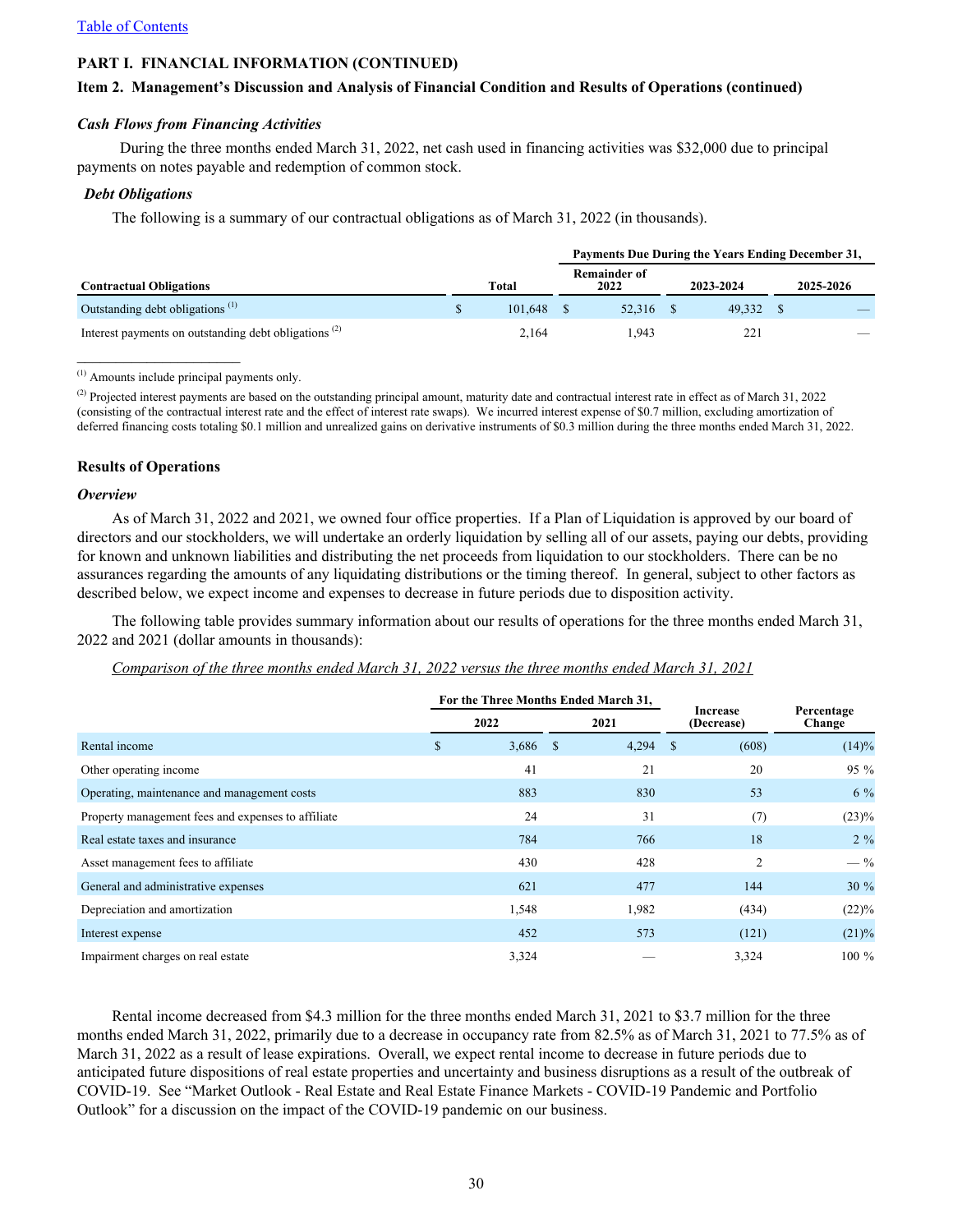#### **Item 2. Management's Discussion and Analysis of Financial Condition and Results of Operations (continued)**

#### *Cash Flows from Financing Activities*

 During the three months ended March 31, 2022, net cash used in financing activities was \$32,000 due to principal payments on notes payable and redemption of common stock.

#### *Debt Obligations*

The following is a summary of our contractual obligations as of March 31, 2022 (in thousands).

|                                                         |                                      |       | Payments Due During the Years Ending December 31, |        |           |           |  |  |  |  |  |
|---------------------------------------------------------|--------------------------------------|-------|---------------------------------------------------|--------|-----------|-----------|--|--|--|--|--|
| <b>Contractual Obligations</b>                          | <b>Remainder of</b><br>2022<br>Total |       |                                                   |        | 2023-2024 | 2025-2026 |  |  |  |  |  |
| Outstanding debt obligations <sup>(1)</sup>             |                                      |       |                                                   | 52.316 |           | 49.332 \$ |  |  |  |  |  |
| Interest payments on outstanding debt obligations $(2)$ |                                      | 2.164 |                                                   | l.943  |           | 221       |  |  |  |  |  |

(1) Amounts include principal payments only.

 $^{(2)}$  Projected interest payments are based on the outstanding principal amount, maturity date and contractual interest rate in effect as of March 31, 2022 (consisting of the contractual interest rate and the effect of interest rate swaps). We incurred interest expense of \$0.7 million, excluding amortization of deferred financing costs totaling \$0.1 million and unrealized gains on derivative instruments of \$0.3 million during the three months ended March 31, 2022.

#### **Results of Operations**

 $\mathcal{L}_\text{max}$  and  $\mathcal{L}_\text{max}$  and  $\mathcal{L}_\text{max}$ 

#### *Overview*

As of March 31, 2022 and 2021, we owned four office properties. If a Plan of Liquidation is approved by our board of directors and our stockholders, we will undertake an orderly liquidation by selling all of our assets, paying our debts, providing for known and unknown liabilities and distributing the net proceeds from liquidation to our stockholders. There can be no assurances regarding the amounts of any liquidating distributions or the timing thereof. In general, subject to other factors as described below, we expect income and expenses to decrease in future periods due to disposition activity.

The following table provides summary information about our results of operations for the three months ended March 31, 2022 and 2021 (dollar amounts in thousands):

#### *Comparison of the three months ended March 31, 2022 versus the three months ended March 31, 2021*

|                                                    | For the Three Months Ended March 31, |       |      |       |                        |       |                      |
|----------------------------------------------------|--------------------------------------|-------|------|-------|------------------------|-------|----------------------|
|                                                    | 2022                                 |       | 2021 |       | Increase<br>(Decrease) |       | Percentage<br>Change |
| Rental income                                      | \$                                   | 3,686 | - \$ | 4,294 | - \$                   | (608) | $(14)\%$             |
| Other operating income                             |                                      | 41    |      | 21    |                        | 20    | $95\%$               |
| Operating, maintenance and management costs        |                                      | 883   |      | 830   |                        | 53    | $6\%$                |
| Property management fees and expenses to affiliate |                                      | 24    |      | 31    |                        | (7)   | (23)%                |
| Real estate taxes and insurance                    |                                      | 784   |      | 766   |                        | 18    | $2\%$                |
| Asset management fees to affiliate                 |                                      | 430   |      | 428   |                        | 2     | $-$ %                |
| General and administrative expenses                |                                      | 621   |      | 477   |                        | 144   | 30%                  |
| Depreciation and amortization                      |                                      | 1,548 |      | 1,982 |                        | (434) | $(22)\%$             |
| Interest expense                                   |                                      | 452   |      | 573   |                        | (121) | $(21)\%$             |
| Impairment charges on real estate                  |                                      | 3,324 |      |       |                        | 3,324 | $100\%$              |

Rental income decreased from \$4.3 million for the three months ended March 31, 2021 to \$3.7 million for the three months ended March 31, 2022, primarily due to a decrease in occupancy rate from 82.5% as of March 31, 2021 to 77.5% as of March 31, 2022 as a result of lease expirations. Overall, we expect rental income to decrease in future periods due to anticipated future dispositions of real estate properties and uncertainty and business disruptions as a result of the outbreak of COVID-19. See "Market Outlook - Real Estate and Real Estate Finance Markets - COVID-19 Pandemic and Portfolio Outlook" for a discussion on the impact of the COVID-19 pandemic on our business.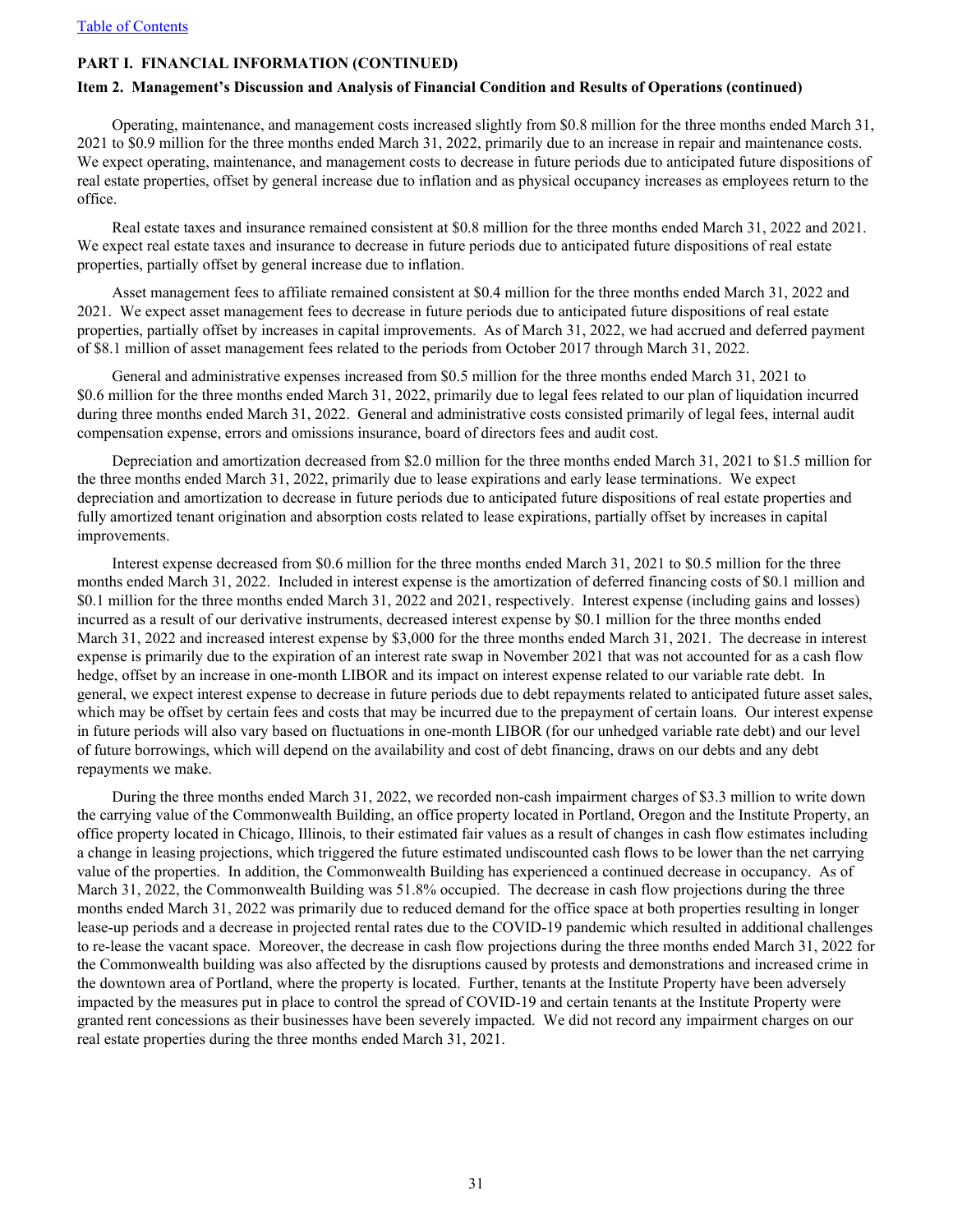### **Item 2. Management's Discussion and Analysis of Financial Condition and Results of Operations (continued)**

Operating, maintenance, and management costs increased slightly from \$0.8 million for the three months ended March 31, 2021 to \$0.9 million for the three months ended March 31, 2022, primarily due to an increase in repair and maintenance costs. We expect operating, maintenance, and management costs to decrease in future periods due to anticipated future dispositions of real estate properties, offset by general increase due to inflation and as physical occupancy increases as employees return to the office.

Real estate taxes and insurance remained consistent at \$0.8 million for the three months ended March 31, 2022 and 2021. We expect real estate taxes and insurance to decrease in future periods due to anticipated future dispositions of real estate properties, partially offset by general increase due to inflation.

Asset management fees to affiliate remained consistent at \$0.4 million for the three months ended March 31, 2022 and 2021. We expect asset management fees to decrease in future periods due to anticipated future dispositions of real estate properties, partially offset by increases in capital improvements. As of March 31, 2022, we had accrued and deferred payment of \$8.1 million of asset management fees related to the periods from October 2017 through March 31, 2022.

General and administrative expenses increased from \$0.5 million for the three months ended March 31, 2021 to \$0.6 million for the three months ended March 31, 2022, primarily due to legal fees related to our plan of liquidation incurred during three months ended March 31, 2022. General and administrative costs consisted primarily of legal fees, internal audit compensation expense, errors and omissions insurance, board of directors fees and audit cost.

Depreciation and amortization decreased from \$2.0 million for the three months ended March 31, 2021 to \$1.5 million for the three months ended March 31, 2022, primarily due to lease expirations and early lease terminations. We expect depreciation and amortization to decrease in future periods due to anticipated future dispositions of real estate properties and fully amortized tenant origination and absorption costs related to lease expirations, partially offset by increases in capital improvements.

Interest expense decreased from \$0.6 million for the three months ended March 31, 2021 to \$0.5 million for the three months ended March 31, 2022. Included in interest expense is the amortization of deferred financing costs of \$0.1 million and \$0.1 million for the three months ended March 31, 2022 and 2021, respectively. Interest expense (including gains and losses) incurred as a result of our derivative instruments, decreased interest expense by \$0.1 million for the three months ended March 31, 2022 and increased interest expense by \$3,000 for the three months ended March 31, 2021. The decrease in interest expense is primarily due to the expiration of an interest rate swap in November 2021 that was not accounted for as a cash flow hedge, offset by an increase in one-month LIBOR and its impact on interest expense related to our variable rate debt. In general, we expect interest expense to decrease in future periods due to debt repayments related to anticipated future asset sales, which may be offset by certain fees and costs that may be incurred due to the prepayment of certain loans. Our interest expense in future periods will also vary based on fluctuations in one-month LIBOR (for our unhedged variable rate debt) and our level of future borrowings, which will depend on the availability and cost of debt financing, draws on our debts and any debt repayments we make.

During the three months ended March 31, 2022, we recorded non-cash impairment charges of \$3.3 million to write down the carrying value of the Commonwealth Building, an office property located in Portland, Oregon and the Institute Property, an office property located in Chicago, Illinois, to their estimated fair values as a result of changes in cash flow estimates including a change in leasing projections, which triggered the future estimated undiscounted cash flows to be lower than the net carrying value of the properties. In addition, the Commonwealth Building has experienced a continued decrease in occupancy. As of March 31, 2022, the Commonwealth Building was 51.8% occupied. The decrease in cash flow projections during the three months ended March 31, 2022 was primarily due to reduced demand for the office space at both properties resulting in longer lease-up periods and a decrease in projected rental rates due to the COVID-19 pandemic which resulted in additional challenges to re-lease the vacant space. Moreover, the decrease in cash flow projections during the three months ended March 31, 2022 for the Commonwealth building was also affected by the disruptions caused by protests and demonstrations and increased crime in the downtown area of Portland, where the property is located. Further, tenants at the Institute Property have been adversely impacted by the measures put in place to control the spread of COVID-19 and certain tenants at the Institute Property were granted rent concessions as their businesses have been severely impacted. We did not record any impairment charges on our real estate properties during the three months ended March 31, 2021.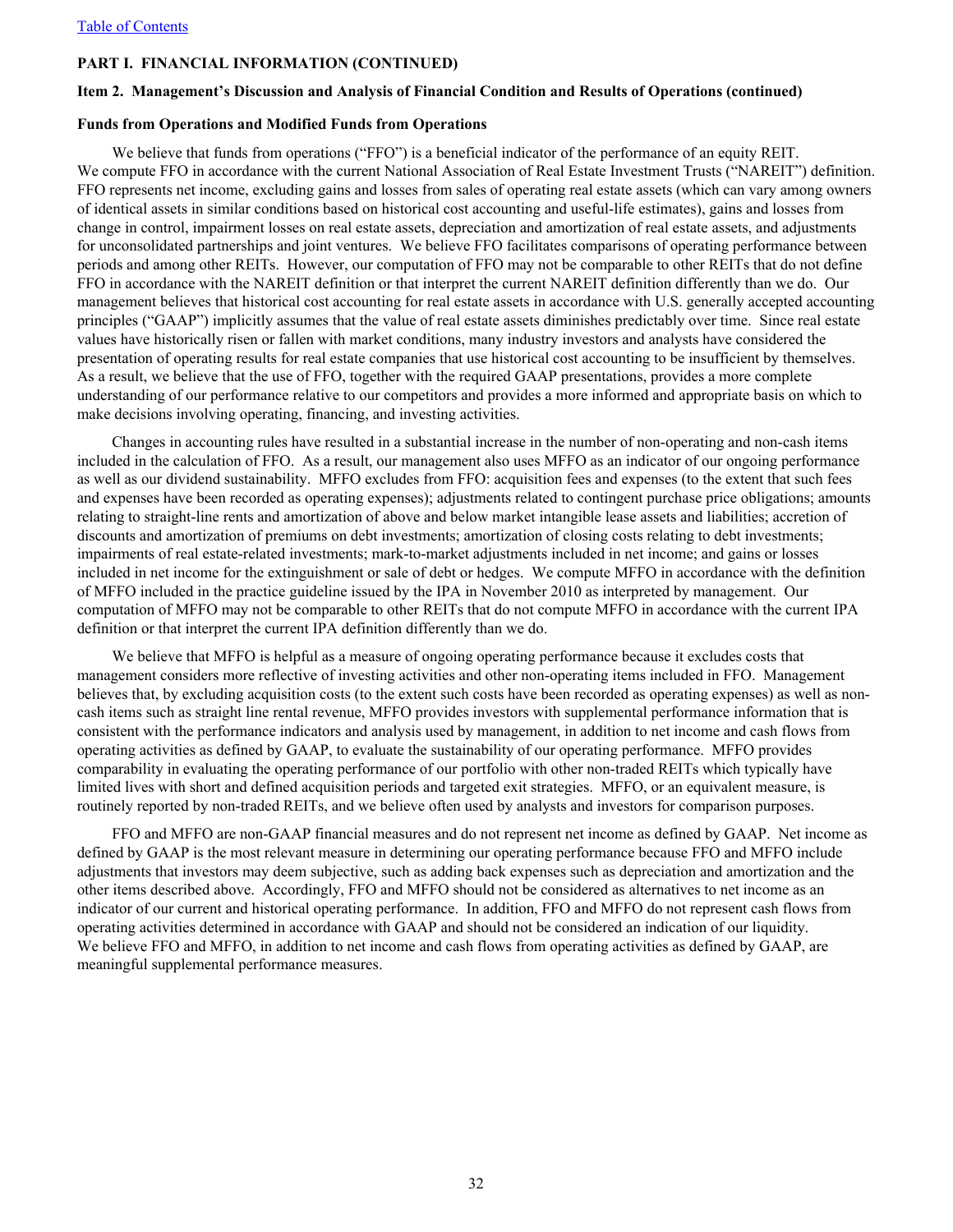#### **Item 2. Management's Discussion and Analysis of Financial Condition and Results of Operations (continued)**

#### **Funds from Operations and Modified Funds from Operations**

We believe that funds from operations ("FFO") is a beneficial indicator of the performance of an equity REIT. We compute FFO in accordance with the current National Association of Real Estate Investment Trusts ("NAREIT") definition. FFO represents net income, excluding gains and losses from sales of operating real estate assets (which can vary among owners of identical assets in similar conditions based on historical cost accounting and useful-life estimates), gains and losses from change in control, impairment losses on real estate assets, depreciation and amortization of real estate assets, and adjustments for unconsolidated partnerships and joint ventures. We believe FFO facilitates comparisons of operating performance between periods and among other REITs. However, our computation of FFO may not be comparable to other REITs that do not define FFO in accordance with the NAREIT definition or that interpret the current NAREIT definition differently than we do. Our management believes that historical cost accounting for real estate assets in accordance with U.S. generally accepted accounting principles ("GAAP") implicitly assumes that the value of real estate assets diminishes predictably over time. Since real estate values have historically risen or fallen with market conditions, many industry investors and analysts have considered the presentation of operating results for real estate companies that use historical cost accounting to be insufficient by themselves. As a result, we believe that the use of FFO, together with the required GAAP presentations, provides a more complete understanding of our performance relative to our competitors and provides a more informed and appropriate basis on which to make decisions involving operating, financing, and investing activities.

Changes in accounting rules have resulted in a substantial increase in the number of non-operating and non-cash items included in the calculation of FFO. As a result, our management also uses MFFO as an indicator of our ongoing performance as well as our dividend sustainability. MFFO excludes from FFO: acquisition fees and expenses (to the extent that such fees and expenses have been recorded as operating expenses); adjustments related to contingent purchase price obligations; amounts relating to straight-line rents and amortization of above and below market intangible lease assets and liabilities; accretion of discounts and amortization of premiums on debt investments; amortization of closing costs relating to debt investments; impairments of real estate-related investments; mark-to-market adjustments included in net income; and gains or losses included in net income for the extinguishment or sale of debt or hedges. We compute MFFO in accordance with the definition of MFFO included in the practice guideline issued by the IPA in November 2010 as interpreted by management. Our computation of MFFO may not be comparable to other REITs that do not compute MFFO in accordance with the current IPA definition or that interpret the current IPA definition differently than we do.

We believe that MFFO is helpful as a measure of ongoing operating performance because it excludes costs that management considers more reflective of investing activities and other non-operating items included in FFO. Management believes that, by excluding acquisition costs (to the extent such costs have been recorded as operating expenses) as well as noncash items such as straight line rental revenue, MFFO provides investors with supplemental performance information that is consistent with the performance indicators and analysis used by management, in addition to net income and cash flows from operating activities as defined by GAAP, to evaluate the sustainability of our operating performance. MFFO provides comparability in evaluating the operating performance of our portfolio with other non-traded REITs which typically have limited lives with short and defined acquisition periods and targeted exit strategies. MFFO, or an equivalent measure, is routinely reported by non-traded REITs, and we believe often used by analysts and investors for comparison purposes.

FFO and MFFO are non-GAAP financial measures and do not represent net income as defined by GAAP. Net income as defined by GAAP is the most relevant measure in determining our operating performance because FFO and MFFO include adjustments that investors may deem subjective, such as adding back expenses such as depreciation and amortization and the other items described above. Accordingly, FFO and MFFO should not be considered as alternatives to net income as an indicator of our current and historical operating performance. In addition, FFO and MFFO do not represent cash flows from operating activities determined in accordance with GAAP and should not be considered an indication of our liquidity. We believe FFO and MFFO, in addition to net income and cash flows from operating activities as defined by GAAP, are meaningful supplemental performance measures.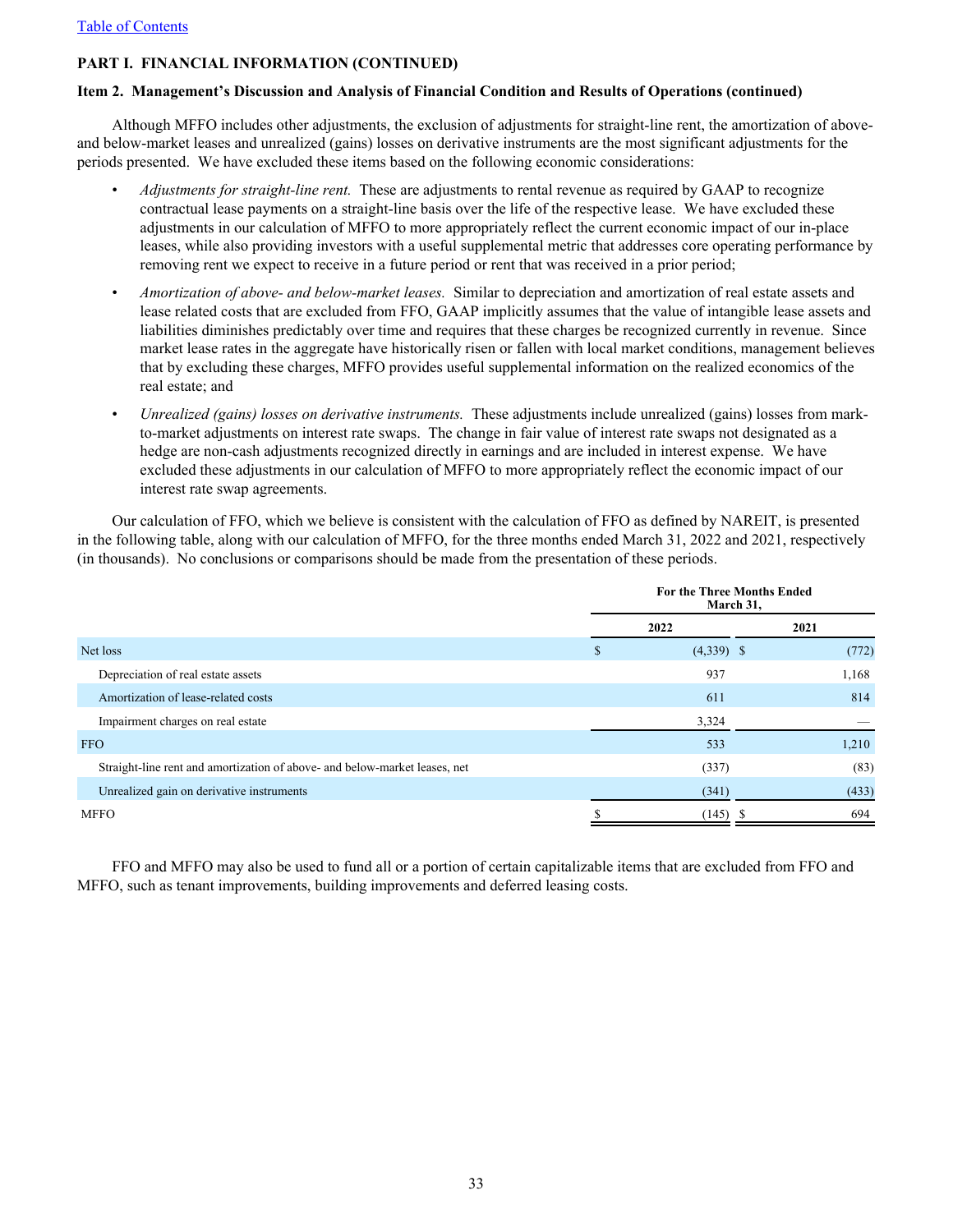#### **Item 2. Management's Discussion and Analysis of Financial Condition and Results of Operations (continued)**

Although MFFO includes other adjustments, the exclusion of adjustments for straight-line rent, the amortization of aboveand below-market leases and unrealized (gains) losses on derivative instruments are the most significant adjustments for the periods presented. We have excluded these items based on the following economic considerations:

- *Adjustments for straight-line rent.* These are adjustments to rental revenue as required by GAAP to recognize contractual lease payments on a straight-line basis over the life of the respective lease. We have excluded these adjustments in our calculation of MFFO to more appropriately reflect the current economic impact of our in-place leases, while also providing investors with a useful supplemental metric that addresses core operating performance by removing rent we expect to receive in a future period or rent that was received in a prior period;
- *Amortization of above- and below-market leases.* Similar to depreciation and amortization of real estate assets and lease related costs that are excluded from FFO, GAAP implicitly assumes that the value of intangible lease assets and liabilities diminishes predictably over time and requires that these charges be recognized currently in revenue. Since market lease rates in the aggregate have historically risen or fallen with local market conditions, management believes that by excluding these charges, MFFO provides useful supplemental information on the realized economics of the real estate; and
- *Unrealized (gains) losses on derivative instruments.* These adjustments include unrealized (gains) losses from markto-market adjustments on interest rate swaps. The change in fair value of interest rate swaps not designated as a hedge are non-cash adjustments recognized directly in earnings and are included in interest expense. We have excluded these adjustments in our calculation of MFFO to more appropriately reflect the economic impact of our interest rate swap agreements.

Our calculation of FFO, which we believe is consistent with the calculation of FFO as defined by NAREIT, is presented in the following table, along with our calculation of MFFO, for the three months ended March 31, 2022 and 2021, respectively (in thousands). No conclusions or comparisons should be made from the presentation of these periods.

|                                                                            | For the Three Months Ended<br>March 31, |              |  |       |
|----------------------------------------------------------------------------|-----------------------------------------|--------------|--|-------|
|                                                                            |                                         | 2022         |  | 2021  |
| Net loss                                                                   | -S                                      | $(4,339)$ \$ |  | (772) |
| Depreciation of real estate assets                                         |                                         | 937          |  | 1,168 |
| Amortization of lease-related costs                                        |                                         | 611          |  | 814   |
| Impairment charges on real estate                                          |                                         | 3,324        |  |       |
| <b>FFO</b>                                                                 |                                         | 533          |  | 1,210 |
| Straight-line rent and amortization of above- and below-market leases, net |                                         | (337)        |  | (83)  |
| Unrealized gain on derivative instruments                                  |                                         | (341)        |  | (433) |
| <b>MFFO</b>                                                                |                                         | $(145)$ \$   |  | 694   |

FFO and MFFO may also be used to fund all or a portion of certain capitalizable items that are excluded from FFO and MFFO, such as tenant improvements, building improvements and deferred leasing costs.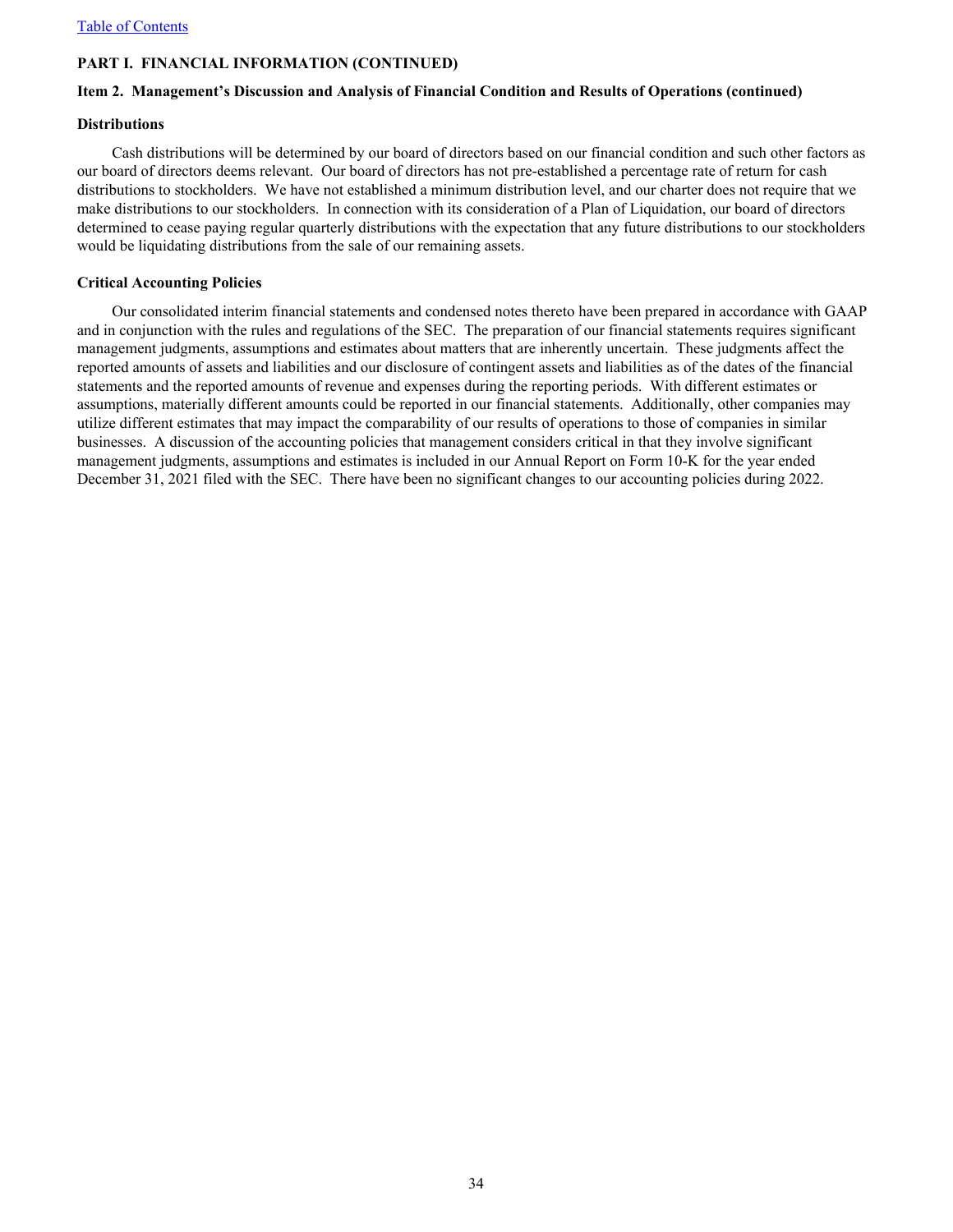#### **Item 2. Management's Discussion and Analysis of Financial Condition and Results of Operations (continued)**

#### **Distributions**

Cash distributions will be determined by our board of directors based on our financial condition and such other factors as our board of directors deems relevant. Our board of directors has not pre-established a percentage rate of return for cash distributions to stockholders. We have not established a minimum distribution level, and our charter does not require that we make distributions to our stockholders. In connection with its consideration of a Plan of Liquidation, our board of directors determined to cease paying regular quarterly distributions with the expectation that any future distributions to our stockholders would be liquidating distributions from the sale of our remaining assets.

#### **Critical Accounting Policies**

Our consolidated interim financial statements and condensed notes thereto have been prepared in accordance with GAAP and in conjunction with the rules and regulations of the SEC. The preparation of our financial statements requires significant management judgments, assumptions and estimates about matters that are inherently uncertain. These judgments affect the reported amounts of assets and liabilities and our disclosure of contingent assets and liabilities as of the dates of the financial statements and the reported amounts of revenue and expenses during the reporting periods. With different estimates or assumptions, materially different amounts could be reported in our financial statements. Additionally, other companies may utilize different estimates that may impact the comparability of our results of operations to those of companies in similar businesses. A discussion of the accounting policies that management considers critical in that they involve significant management judgments, assumptions and estimates is included in our Annual Report on Form 10-K for the year ended December 31, 2021 filed with the SEC. There have been no significant changes to our accounting policies during 2022.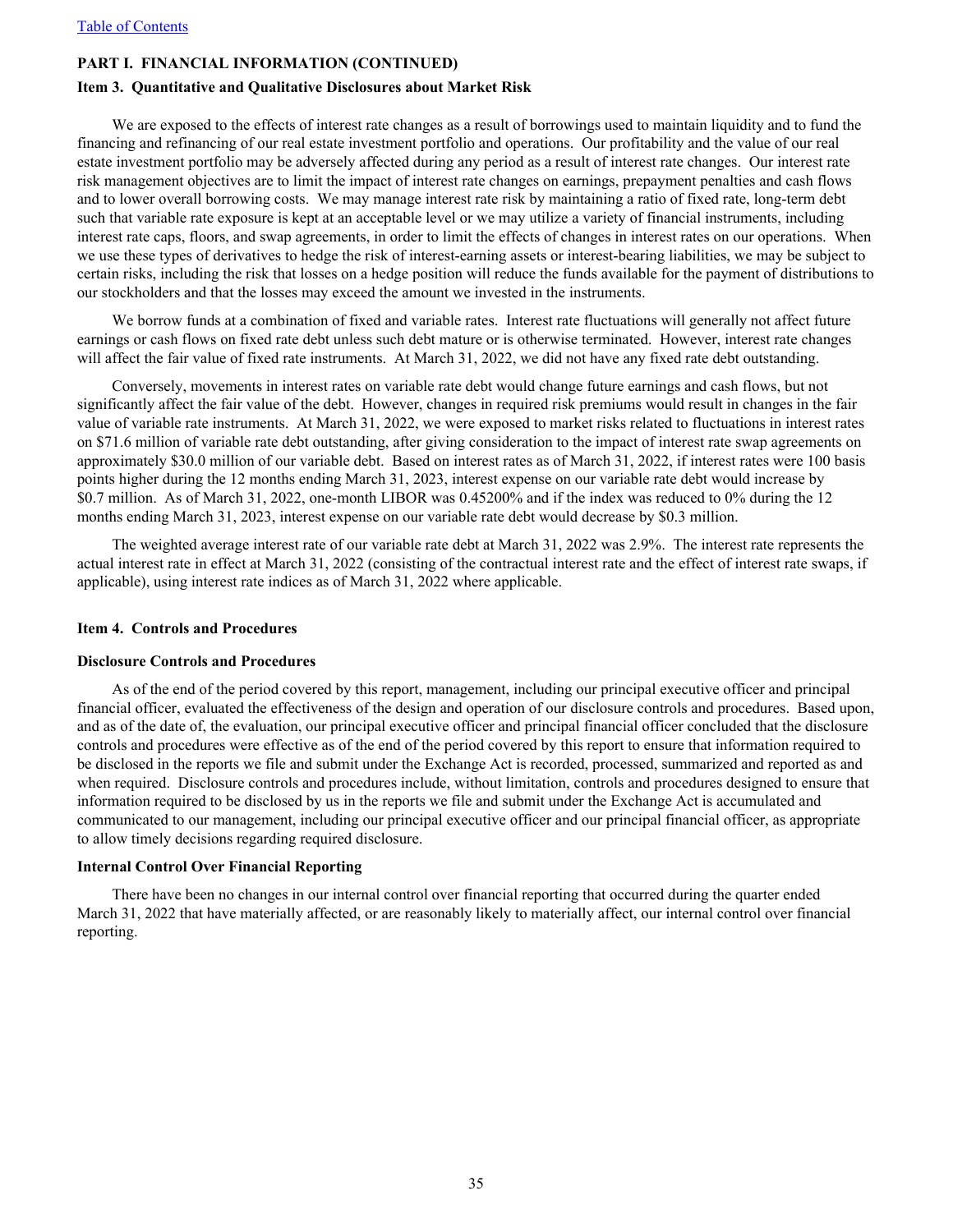#### <span id="page-35-0"></span>**Item 3. Quantitative and Qualitative Disclosures about Market Risk**

We are exposed to the effects of interest rate changes as a result of borrowings used to maintain liquidity and to fund the financing and refinancing of our real estate investment portfolio and operations. Our profitability and the value of our real estate investment portfolio may be adversely affected during any period as a result of interest rate changes. Our interest rate risk management objectives are to limit the impact of interest rate changes on earnings, prepayment penalties and cash flows and to lower overall borrowing costs. We may manage interest rate risk by maintaining a ratio of fixed rate, long-term debt such that variable rate exposure is kept at an acceptable level or we may utilize a variety of financial instruments, including interest rate caps, floors, and swap agreements, in order to limit the effects of changes in interest rates on our operations. When we use these types of derivatives to hedge the risk of interest-earning assets or interest-bearing liabilities, we may be subject to certain risks, including the risk that losses on a hedge position will reduce the funds available for the payment of distributions to our stockholders and that the losses may exceed the amount we invested in the instruments.

We borrow funds at a combination of fixed and variable rates. Interest rate fluctuations will generally not affect future earnings or cash flows on fixed rate debt unless such debt mature or is otherwise terminated. However, interest rate changes will affect the fair value of fixed rate instruments. At March 31, 2022, we did not have any fixed rate debt outstanding.

Conversely, movements in interest rates on variable rate debt would change future earnings and cash flows, but not significantly affect the fair value of the debt. However, changes in required risk premiums would result in changes in the fair value of variable rate instruments. At March 31, 2022, we were exposed to market risks related to fluctuations in interest rates on \$71.6 million of variable rate debt outstanding, after giving consideration to the impact of interest rate swap agreements on approximately \$30.0 million of our variable debt. Based on interest rates as of March 31, 2022, if interest rates were 100 basis points higher during the 12 months ending March 31, 2023, interest expense on our variable rate debt would increase by \$0.7 million. As of March 31, 2022, one-month LIBOR was 0.45200% and if the index was reduced to 0% during the 12 months ending March 31, 2023, interest expense on our variable rate debt would decrease by \$0.3 million.

The weighted average interest rate of our variable rate debt at March 31, 2022 was 2.9%. The interest rate represents the actual interest rate in effect at March 31, 2022 (consisting of the contractual interest rate and the effect of interest rate swaps, if applicable), using interest rate indices as of March 31, 2022 where applicable.

#### **Item 4. Controls and Procedures**

#### **Disclosure Controls and Procedures**

As of the end of the period covered by this report, management, including our principal executive officer and principal financial officer, evaluated the effectiveness of the design and operation of our disclosure controls and procedures. Based upon, and as of the date of, the evaluation, our principal executive officer and principal financial officer concluded that the disclosure controls and procedures were effective as of the end of the period covered by this report to ensure that information required to be disclosed in the reports we file and submit under the Exchange Act is recorded, processed, summarized and reported as and when required. Disclosure controls and procedures include, without limitation, controls and procedures designed to ensure that information required to be disclosed by us in the reports we file and submit under the Exchange Act is accumulated and communicated to our management, including our principal executive officer and our principal financial officer, as appropriate to allow timely decisions regarding required disclosure.

#### **Internal Control Over Financial Reporting**

There have been no changes in our internal control over financial reporting that occurred during the quarter ended March 31, 2022 that have materially affected, or are reasonably likely to materially affect, our internal control over financial reporting.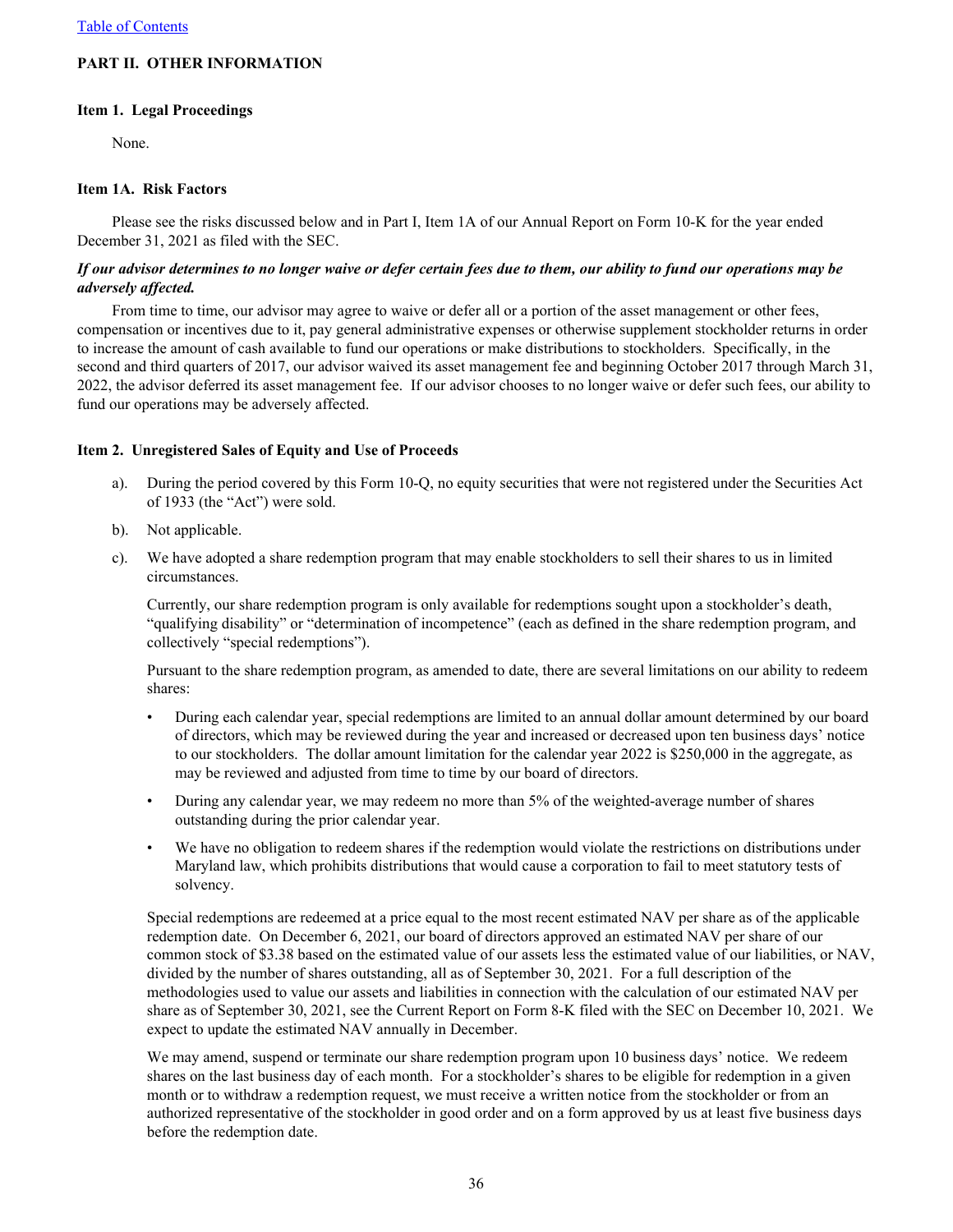# <span id="page-36-0"></span>**PART II. OTHER INFORMATION**

#### **Item 1. Legal Proceedings**

None.

#### **Item 1A. Risk Factors**

Please see the risks discussed below and in Part I, Item 1A of our Annual Report on Form 10-K for the year ended December 31, 2021 as filed with the SEC.

#### *If our advisor determines to no longer waive or defer certain fees due to them, our ability to fund our operations may be adversely affected.*

From time to time, our advisor may agree to waive or defer all or a portion of the asset management or other fees, compensation or incentives due to it, pay general administrative expenses or otherwise supplement stockholder returns in order to increase the amount of cash available to fund our operations or make distributions to stockholders. Specifically, in the second and third quarters of 2017, our advisor waived its asset management fee and beginning October 2017 through March 31, 2022, the advisor deferred its asset management fee. If our advisor chooses to no longer waive or defer such fees, our ability to fund our operations may be adversely affected.

#### **Item 2. Unregistered Sales of Equity and Use of Proceeds**

- a). During the period covered by this Form 10-Q, no equity securities that were not registered under the Securities Act of 1933 (the "Act") were sold.
- b). Not applicable.
- c). We have adopted a share redemption program that may enable stockholders to sell their shares to us in limited circumstances.

Currently, our share redemption program is only available for redemptions sought upon a stockholder's death, "qualifying disability" or "determination of incompetence" (each as defined in the share redemption program, and collectively "special redemptions").

Pursuant to the share redemption program, as amended to date, there are several limitations on our ability to redeem shares:

- During each calendar year, special redemptions are limited to an annual dollar amount determined by our board of directors, which may be reviewed during the year and increased or decreased upon ten business days' notice to our stockholders. The dollar amount limitation for the calendar year 2022 is \$250,000 in the aggregate, as may be reviewed and adjusted from time to time by our board of directors.
- During any calendar year, we may redeem no more than 5% of the weighted-average number of shares outstanding during the prior calendar year.
- We have no obligation to redeem shares if the redemption would violate the restrictions on distributions under Maryland law, which prohibits distributions that would cause a corporation to fail to meet statutory tests of solvency.

Special redemptions are redeemed at a price equal to the most recent estimated NAV per share as of the applicable redemption date. On December 6, 2021, our board of directors approved an estimated NAV per share of our common stock of \$3.38 based on the estimated value of our assets less the estimated value of our liabilities, or NAV, divided by the number of shares outstanding, all as of September 30, 2021. For a full description of the methodologies used to value our assets and liabilities in connection with the calculation of our estimated NAV per share as of September 30, 2021, see the Current Report on Form 8-K filed with the SEC on December 10, 2021. We expect to update the estimated NAV annually in December.

We may amend, suspend or terminate our share redemption program upon 10 business days' notice. We redeem shares on the last business day of each month. For a stockholder's shares to be eligible for redemption in a given month or to withdraw a redemption request, we must receive a written notice from the stockholder or from an authorized representative of the stockholder in good order and on a form approved by us at least five business days before the redemption date.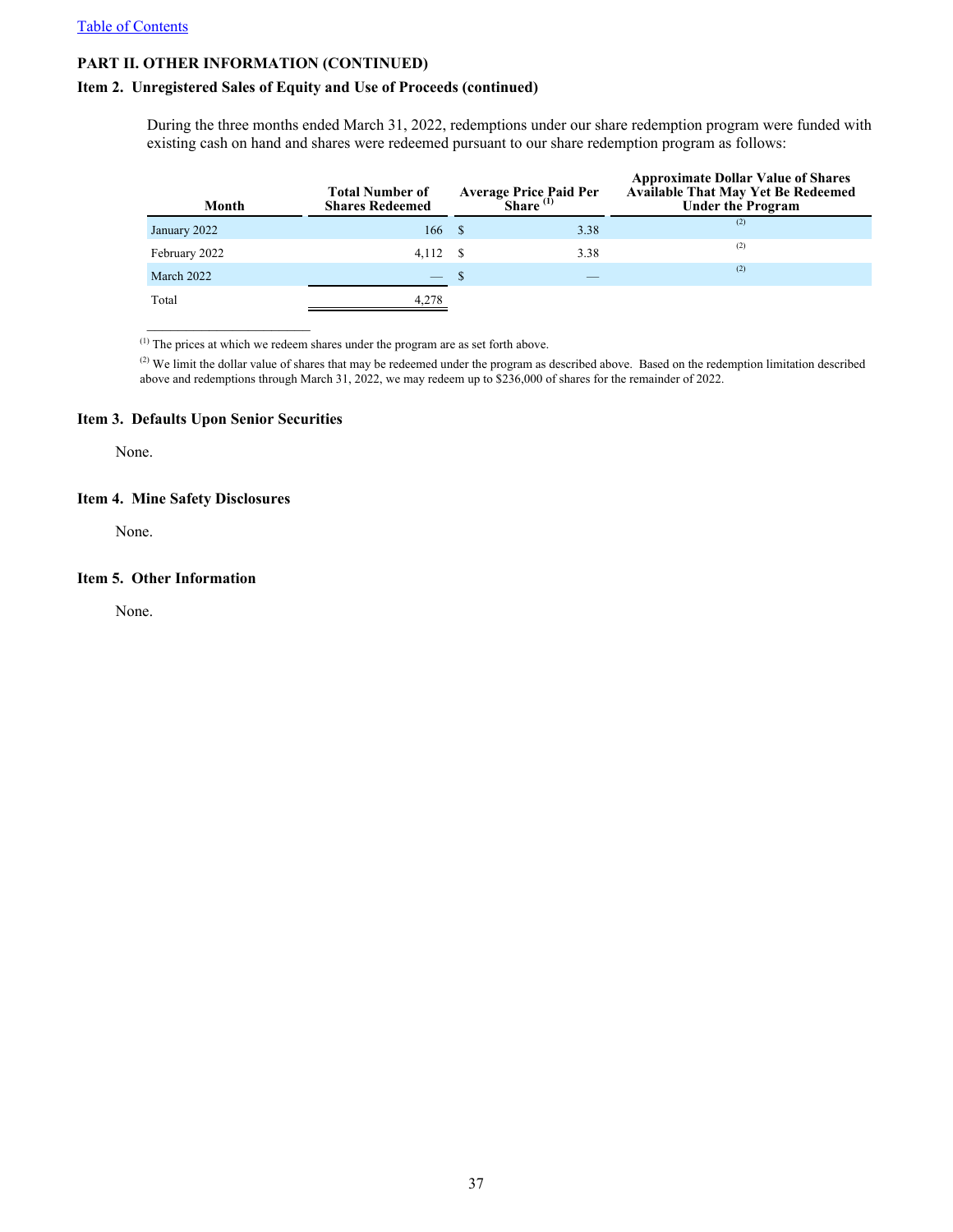# <span id="page-37-0"></span>**PART II. OTHER INFORMATION (CONTINUED)**

### **Item 2. Unregistered Sales of Equity and Use of Proceeds (continued)**

During the three months ended March 31, 2022, redemptions under our share redemption program were funded with existing cash on hand and shares were redeemed pursuant to our share redemption program as follows:

| Month         | <b>Total Number of</b><br><b>Shares Redeemed</b> | <b>Average Price Paid Per<br/>Share</b> <sup>(1)</sup> | <b>Approximate Dollar Value of Shares</b><br><b>Available That May Yet Be Redeemed</b><br><b>Under the Program</b> |
|---------------|--------------------------------------------------|--------------------------------------------------------|--------------------------------------------------------------------------------------------------------------------|
| January 2022  | 166 \$                                           | 3.38                                                   | (2)                                                                                                                |
| February 2022 | $4,112$ \$                                       | 3.38                                                   | (2)                                                                                                                |
| March 2022    | $-$ \$                                           |                                                        | (2)                                                                                                                |
| Total         | 4,278                                            |                                                        |                                                                                                                    |

 $(1)$  The prices at which we redeem shares under the program are as set forth above.

<sup>(2)</sup> We limit the dollar value of shares that may be redeemed under the program as described above. Based on the redemption limitation described above and redemptions through March 31, 2022, we may redeem up to \$236,000 of shares for the remainder of 2022.

#### **Item 3. Defaults Upon Senior Securities**

 $\mathcal{L}_\text{max}$  and  $\mathcal{L}_\text{max}$  and  $\mathcal{L}_\text{max}$ 

None.

#### **Item 4. Mine Safety Disclosures**

None.

#### **Item 5. Other Information**

None.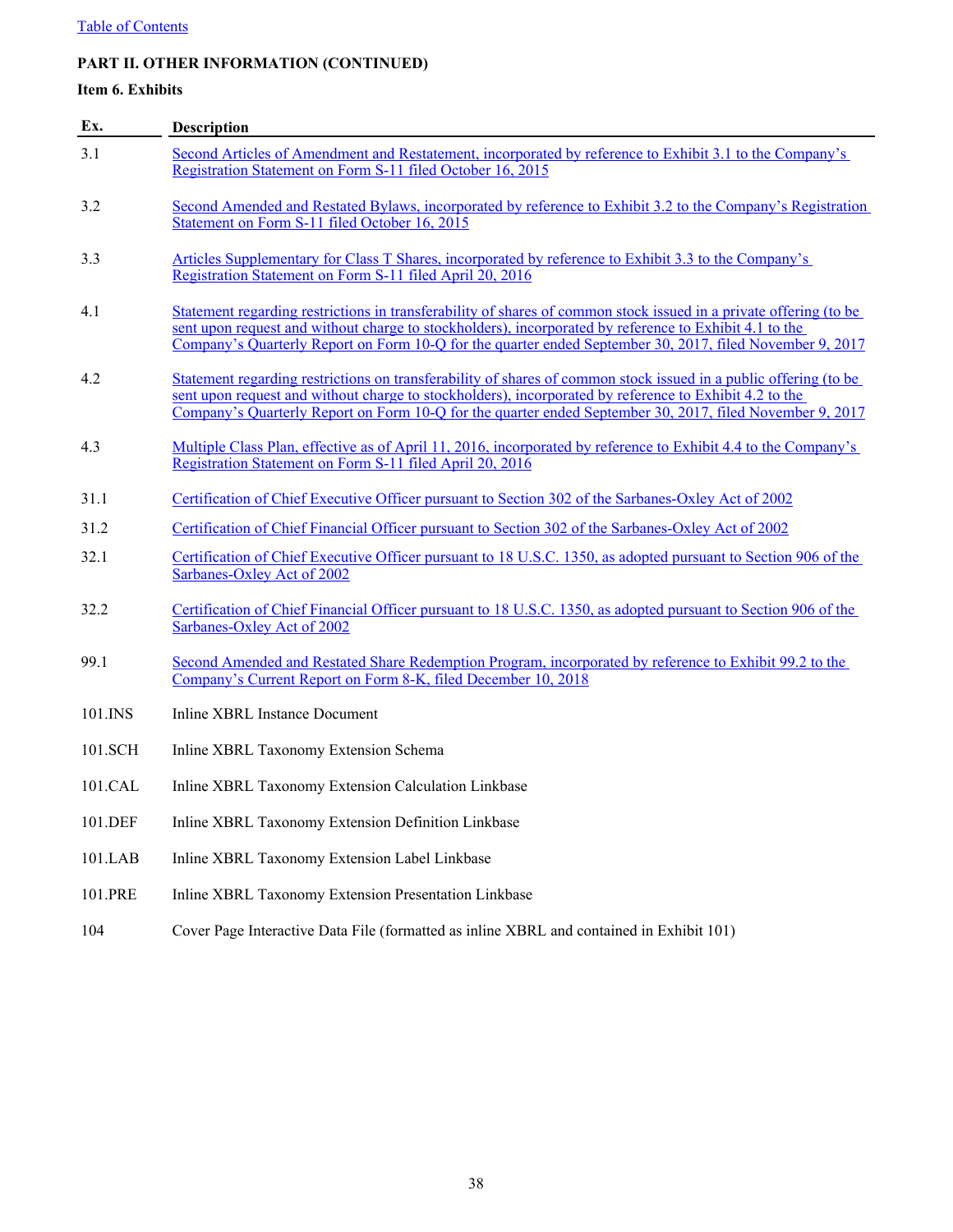# <span id="page-38-0"></span>**PART II. OTHER INFORMATION (CONTINUED)**

# **Item 6. Exhibits**

| Ex.     | Description                                                                                                                                                                                                                                                                                                                             |
|---------|-----------------------------------------------------------------------------------------------------------------------------------------------------------------------------------------------------------------------------------------------------------------------------------------------------------------------------------------|
| 3.1     | Second Articles of Amendment and Restatement, incorporated by reference to Exhibit 3.1 to the Company's<br>Registration Statement on Form S-11 filed October 16, 2015                                                                                                                                                                   |
| 3.2     | Second Amended and Restated Bylaws, incorporated by reference to Exhibit 3.2 to the Company's Registration<br>Statement on Form S-11 filed October 16, 2015                                                                                                                                                                             |
| 3.3     | Articles Supplementary for Class T Shares, incorporated by reference to Exhibit 3.3 to the Company's<br>Registration Statement on Form S-11 filed April 20, 2016                                                                                                                                                                        |
| 4.1     | Statement regarding restrictions in transferability of shares of common stock issued in a private offering (to be<br>sent upon request and without charge to stockholders), incorporated by reference to Exhibit 4.1 to the<br>Company's Quarterly Report on Form 10-Q for the quarter ended September 30, 2017, filed November 9, 2017 |
| 4.2     | Statement regarding restrictions on transferability of shares of common stock issued in a public offering (to be<br>sent upon request and without charge to stockholders), incorporated by reference to Exhibit 4.2 to the<br>Company's Quarterly Report on Form 10-Q for the quarter ended September 30, 2017, filed November 9, 2017  |
| 4.3     | Multiple Class Plan, effective as of April 11, 2016, incorporated by reference to Exhibit 4.4 to the Company's<br>Registration Statement on Form S-11 filed April 20, 2016                                                                                                                                                              |
| 31.1    | Certification of Chief Executive Officer pursuant to Section 302 of the Sarbanes-Oxley Act of 2002                                                                                                                                                                                                                                      |
| 31.2    | Certification of Chief Financial Officer pursuant to Section 302 of the Sarbanes-Oxley Act of 2002                                                                                                                                                                                                                                      |
| 32.1    | Certification of Chief Executive Officer pursuant to 18 U.S.C. 1350, as adopted pursuant to Section 906 of the<br>Sarbanes-Oxley Act of 2002                                                                                                                                                                                            |
| 32.2    | Certification of Chief Financial Officer pursuant to 18 U.S.C. 1350, as adopted pursuant to Section 906 of the<br>Sarbanes-Oxley Act of 2002                                                                                                                                                                                            |
| 99.1    | Second Amended and Restated Share Redemption Program, incorporated by reference to Exhibit 99.2 to the<br>Company's Current Report on Form 8-K, filed December 10, 2018                                                                                                                                                                 |
| 101.INS | <b>Inline XBRL Instance Document</b>                                                                                                                                                                                                                                                                                                    |
| 101.SCH | Inline XBRL Taxonomy Extension Schema                                                                                                                                                                                                                                                                                                   |
| 101.CAL | Inline XBRL Taxonomy Extension Calculation Linkbase                                                                                                                                                                                                                                                                                     |
| 101.DEF | Inline XBRL Taxonomy Extension Definition Linkbase                                                                                                                                                                                                                                                                                      |
| 101.LAB | Inline XBRL Taxonomy Extension Label Linkbase                                                                                                                                                                                                                                                                                           |
| 101.PRE | Inline XBRL Taxonomy Extension Presentation Linkbase                                                                                                                                                                                                                                                                                    |
| 104     | Cover Page Interactive Data File (formatted as inline XBRL and contained in Exhibit 101)                                                                                                                                                                                                                                                |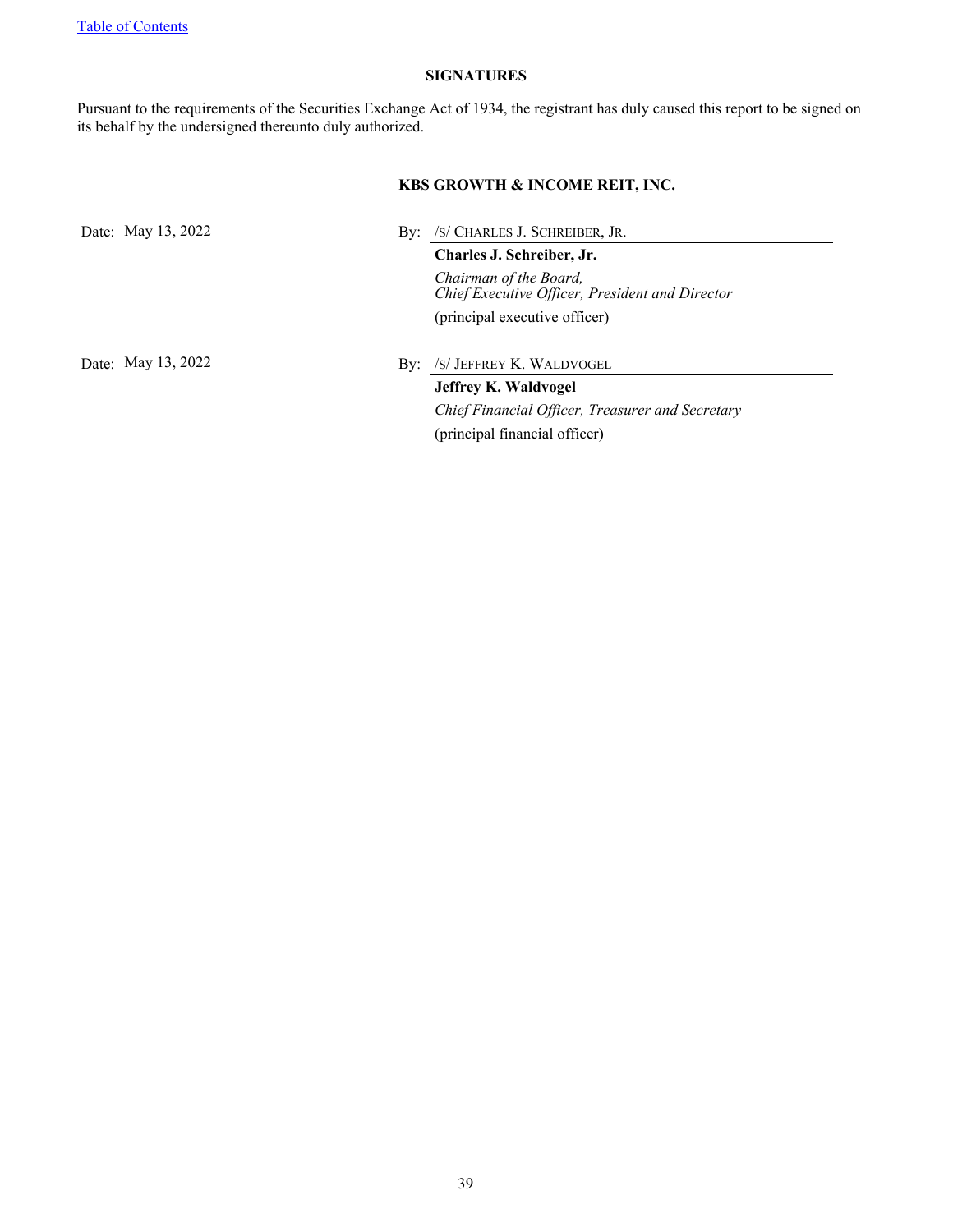<span id="page-39-0"></span>[Table of Contents](#page-1-0)

#### **SIGNATURES**

Pursuant to the requirements of the Securities Exchange Act of 1934, the registrant has duly caused this report to be signed on its behalf by the undersigned thereunto duly authorized.

# **KBS GROWTH & INCOME REIT, INC.**

| Date: May 13, 2022 |     | By: /S/ CHARLES J. SCHREIBER, JR.                                         |  |
|--------------------|-----|---------------------------------------------------------------------------|--|
|                    |     | Charles J. Schreiber, Jr.                                                 |  |
|                    |     | Chairman of the Board,<br>Chief Executive Officer, President and Director |  |
|                    |     | (principal executive officer)                                             |  |
| Date: May 13, 2022 | Bv: | /S/ JEFFREY K. WALDVOGEL                                                  |  |
|                    |     | <b>Jeffrey K. Waldvogel</b>                                               |  |
|                    |     | Chief Financial Officer, Treasurer and Secretary                          |  |
|                    |     | (principal financial officer)                                             |  |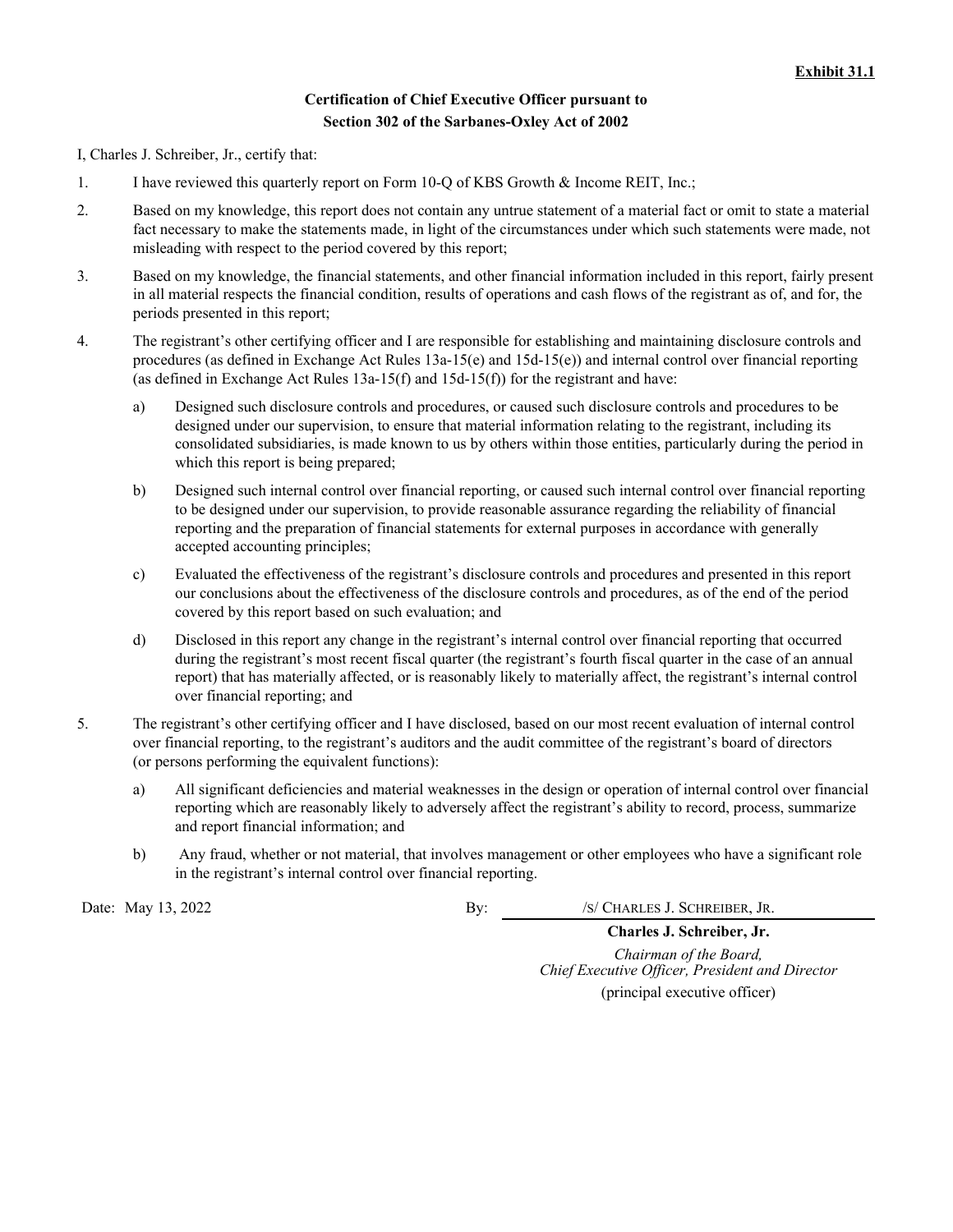# **Certification of Chief Executive Officer pursuant to Section 302 of the Sarbanes-Oxley Act of 2002**

I, Charles J. Schreiber, Jr., certify that:

- 1. I have reviewed this quarterly report on Form 10-Q of KBS Growth & Income REIT, Inc.;
- 2. Based on my knowledge, this report does not contain any untrue statement of a material fact or omit to state a material fact necessary to make the statements made, in light of the circumstances under which such statements were made, not misleading with respect to the period covered by this report;
- 3. Based on my knowledge, the financial statements, and other financial information included in this report, fairly present in all material respects the financial condition, results of operations and cash flows of the registrant as of, and for, the periods presented in this report;
- 4. The registrant's other certifying officer and I are responsible for establishing and maintaining disclosure controls and procedures (as defined in Exchange Act Rules 13a-15(e) and 15d-15(e)) and internal control over financial reporting (as defined in Exchange Act Rules  $13a-15(f)$  and  $15d-15(f)$ ) for the registrant and have:
	- a) Designed such disclosure controls and procedures, or caused such disclosure controls and procedures to be designed under our supervision, to ensure that material information relating to the registrant, including its consolidated subsidiaries, is made known to us by others within those entities, particularly during the period in which this report is being prepared;
	- b) Designed such internal control over financial reporting, or caused such internal control over financial reporting to be designed under our supervision, to provide reasonable assurance regarding the reliability of financial reporting and the preparation of financial statements for external purposes in accordance with generally accepted accounting principles;
	- c) Evaluated the effectiveness of the registrant's disclosure controls and procedures and presented in this report our conclusions about the effectiveness of the disclosure controls and procedures, as of the end of the period covered by this report based on such evaluation; and
	- d) Disclosed in this report any change in the registrant's internal control over financial reporting that occurred during the registrant's most recent fiscal quarter (the registrant's fourth fiscal quarter in the case of an annual report) that has materially affected, or is reasonably likely to materially affect, the registrant's internal control over financial reporting; and
- 5. The registrant's other certifying officer and I have disclosed, based on our most recent evaluation of internal control over financial reporting, to the registrant's auditors and the audit committee of the registrant's board of directors (or persons performing the equivalent functions):
	- a) All significant deficiencies and material weaknesses in the design or operation of internal control over financial reporting which are reasonably likely to adversely affect the registrant's ability to record, process, summarize and report financial information; and
	- b) Any fraud, whether or not material, that involves management or other employees who have a significant role in the registrant's internal control over financial reporting.

Date: May 13, 2022 By: /S/ CHARLES J. SCHREIBER, JR.

**Charles J. Schreiber, Jr.** *Chairman of the Board, Chief Executive Officer, President and Director* (principal executive officer)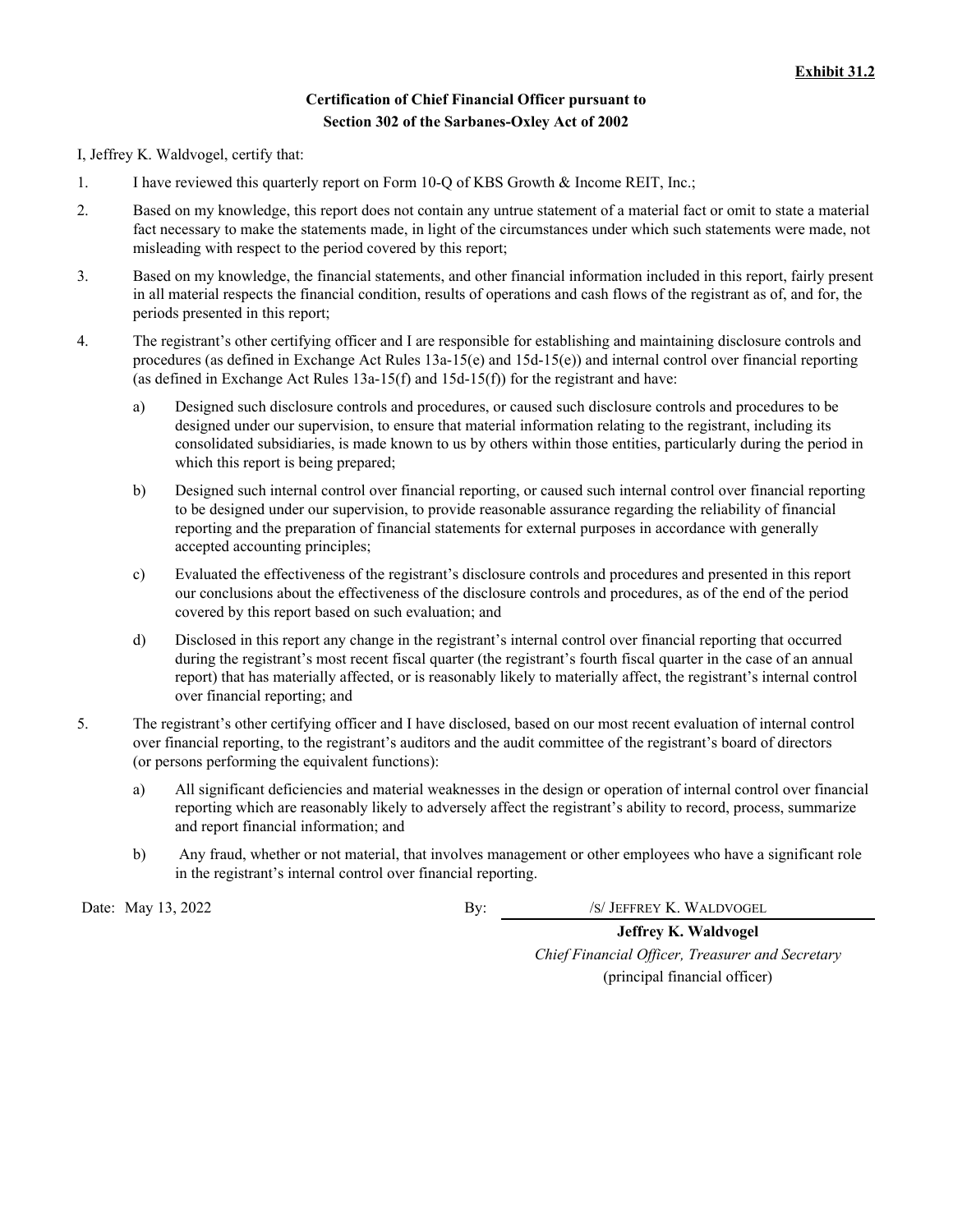# **Certification of Chief Financial Officer pursuant to Section 302 of the Sarbanes-Oxley Act of 2002**

I, Jeffrey K. Waldvogel, certify that:

- 1. I have reviewed this quarterly report on Form 10-Q of KBS Growth & Income REIT, Inc.;
- 2. Based on my knowledge, this report does not contain any untrue statement of a material fact or omit to state a material fact necessary to make the statements made, in light of the circumstances under which such statements were made, not misleading with respect to the period covered by this report;
- 3. Based on my knowledge, the financial statements, and other financial information included in this report, fairly present in all material respects the financial condition, results of operations and cash flows of the registrant as of, and for, the periods presented in this report;
- 4. The registrant's other certifying officer and I are responsible for establishing and maintaining disclosure controls and procedures (as defined in Exchange Act Rules 13a-15(e) and 15d-15(e)) and internal control over financial reporting (as defined in Exchange Act Rules  $13a-15(f)$  and  $15d-15(f)$ ) for the registrant and have:
	- a) Designed such disclosure controls and procedures, or caused such disclosure controls and procedures to be designed under our supervision, to ensure that material information relating to the registrant, including its consolidated subsidiaries, is made known to us by others within those entities, particularly during the period in which this report is being prepared;
	- b) Designed such internal control over financial reporting, or caused such internal control over financial reporting to be designed under our supervision, to provide reasonable assurance regarding the reliability of financial reporting and the preparation of financial statements for external purposes in accordance with generally accepted accounting principles;
	- c) Evaluated the effectiveness of the registrant's disclosure controls and procedures and presented in this report our conclusions about the effectiveness of the disclosure controls and procedures, as of the end of the period covered by this report based on such evaluation; and
	- d) Disclosed in this report any change in the registrant's internal control over financial reporting that occurred during the registrant's most recent fiscal quarter (the registrant's fourth fiscal quarter in the case of an annual report) that has materially affected, or is reasonably likely to materially affect, the registrant's internal control over financial reporting; and
- 5. The registrant's other certifying officer and I have disclosed, based on our most recent evaluation of internal control over financial reporting, to the registrant's auditors and the audit committee of the registrant's board of directors (or persons performing the equivalent functions):
	- a) All significant deficiencies and material weaknesses in the design or operation of internal control over financial reporting which are reasonably likely to adversely affect the registrant's ability to record, process, summarize and report financial information; and
	- b) Any fraud, whether or not material, that involves management or other employees who have a significant role in the registrant's internal control over financial reporting.

Date: May 13, 2022 By: /S/ JEFFREY K. WALDVOGEL

**Jeffrey K. Waldvogel** *Chief Financial Officer, Treasurer and Secretary* (principal financial officer)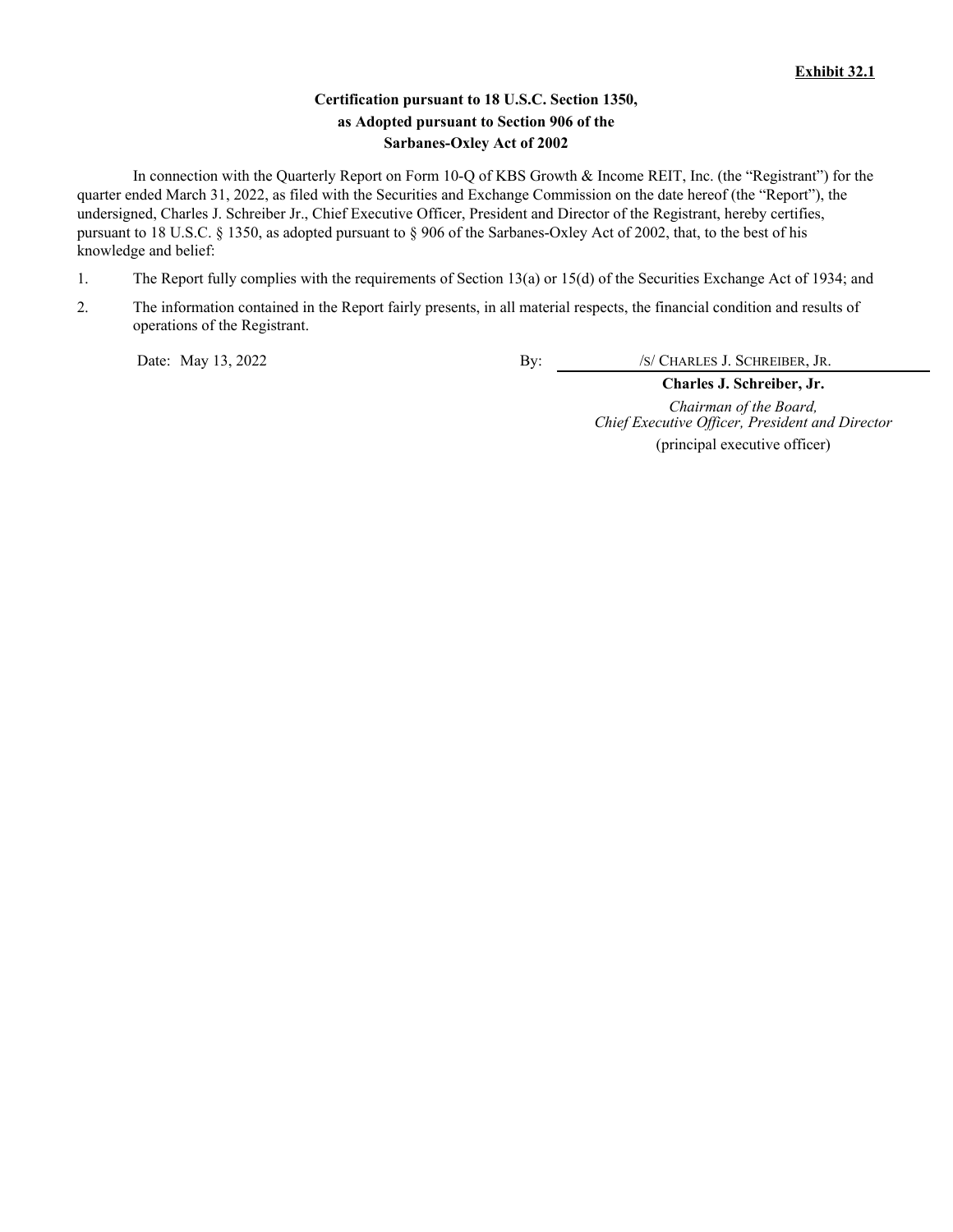# **Certification pursuant to 18 U.S.C. Section 1350, as Adopted pursuant to Section 906 of the Sarbanes-Oxley Act of 2002**

In connection with the Quarterly Report on Form 10-Q of KBS Growth & Income REIT, Inc. (the "Registrant") for the quarter ended March 31, 2022, as filed with the Securities and Exchange Commission on the date hereof (the "Report"), the undersigned, Charles J. Schreiber Jr., Chief Executive Officer, President and Director of the Registrant, hereby certifies, pursuant to 18 U.S.C. § 1350, as adopted pursuant to § 906 of the Sarbanes-Oxley Act of 2002, that, to the best of his knowledge and belief:

- 1. The Report fully complies with the requirements of Section 13(a) or 15(d) of the Securities Exchange Act of 1934; and
- 2. The information contained in the Report fairly presents, in all material respects, the financial condition and results of operations of the Registrant.

Date: May 13, 2022 By: /S/ CHARLES J. SCHREIBER, JR.

**Charles J. Schreiber, Jr.** *Chairman of the Board, Chief Executive Officer, President and Director* (principal executive officer)